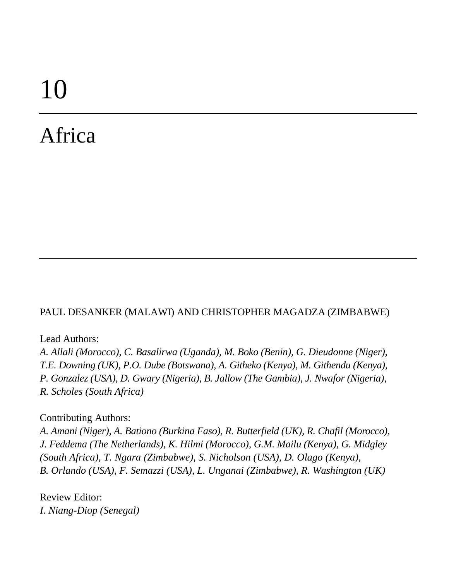# 10

## Africa

## PAUL DESANKER (MALAWI) AND CHRISTOPHER MAGADZA (ZIMBABWE)

Lead Authors:

*A. Allali (Morocco), C. Basalirwa (Uganda), M. Boko (Benin), G. Dieudonne (Niger), T.E. Downing (UK), P.O. Dube (Botswana), A. Githeko (Kenya), M. Githendu (Kenya), P. Gonzalez (USA), D. Gwary (Nigeria), B. Jallow (The Gambia), J. Nwafor (Nigeria), R. Scholes (South Africa)*

### Contributing Authors:

A. Amani (Niger), A. Bationo (Burkina Faso), R. Butterfield (UK), R. Chafil (Morocco), *J. Feddema (The Netherlands), K. Hilmi (Morocco), G.M. Mailu (Kenya), G. Midgley (South Africa), T. Ngara (Zimbabwe), S. Nicholson (USA), D. Olago (Kenya), B. Orlando (USA), F. Semazzi (USA), L. Unganai (Zimbabwe), R. Washington (UK)*

Review Editor: *I. Niang-Diop (Senegal)*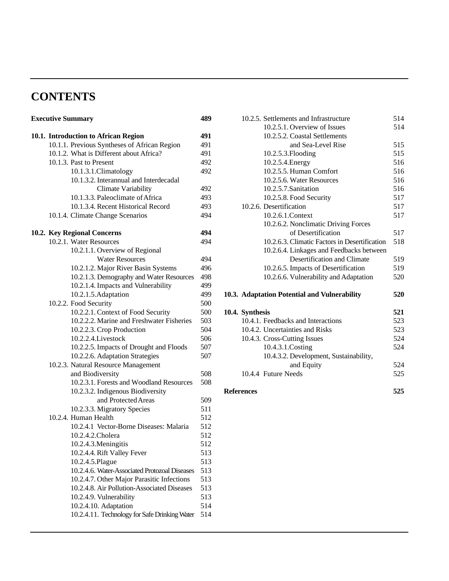## **CONTENTS**

| 491<br>10.1. Introduction to African Region<br>491<br>10.1.1. Previous Syntheses of African Region<br>491<br>10.1.2. What is Different about Africa?<br>492<br>10.1.3. Past to Present<br>492<br>10.1.3.1.Climatology<br>10.1.3.2. Interannual and Interdecadal<br>Climate Variability<br>492<br>493<br>10.1.3.3. Paleoclimate of Africa<br>493<br>10.1.3.4. Recent Historical Record<br>494<br>10.1.4. Climate Change Scenarios<br>494<br>10.2. Key Regional Concerns<br>10.2.1. Water Resources<br>494<br>10.2.1.1. Overview of Regional<br>494<br><b>Water Resources</b><br>496<br>10.2.1.2. Major River Basin Systems<br>498<br>10.2.1.3. Demography and Water Resources<br>499<br>10.2.1.4. Impacts and Vulnerability<br>499<br>10.2.1.5. Adaptation<br>500<br>10.2.2. Food Security<br>500<br>10.2.2.1. Context of Food Security<br>10.2.2.2. Marine and Freshwater Fisheries<br>503<br>504<br>10.2.2.3. Crop Production<br>506<br>10.2.2.4. Livestock<br>507<br>10.2.2.5. Impacts of Drought and Floods<br>507<br>10.2.2.6. Adaptation Strategies<br>10.2.3. Natural Resource Management<br>and Biodiversity<br>508 |
|----------------------------------------------------------------------------------------------------------------------------------------------------------------------------------------------------------------------------------------------------------------------------------------------------------------------------------------------------------------------------------------------------------------------------------------------------------------------------------------------------------------------------------------------------------------------------------------------------------------------------------------------------------------------------------------------------------------------------------------------------------------------------------------------------------------------------------------------------------------------------------------------------------------------------------------------------------------------------------------------------------------------------------------------------------------------------------------------------------------------------|
|                                                                                                                                                                                                                                                                                                                                                                                                                                                                                                                                                                                                                                                                                                                                                                                                                                                                                                                                                                                                                                                                                                                            |
|                                                                                                                                                                                                                                                                                                                                                                                                                                                                                                                                                                                                                                                                                                                                                                                                                                                                                                                                                                                                                                                                                                                            |
|                                                                                                                                                                                                                                                                                                                                                                                                                                                                                                                                                                                                                                                                                                                                                                                                                                                                                                                                                                                                                                                                                                                            |
|                                                                                                                                                                                                                                                                                                                                                                                                                                                                                                                                                                                                                                                                                                                                                                                                                                                                                                                                                                                                                                                                                                                            |
|                                                                                                                                                                                                                                                                                                                                                                                                                                                                                                                                                                                                                                                                                                                                                                                                                                                                                                                                                                                                                                                                                                                            |
|                                                                                                                                                                                                                                                                                                                                                                                                                                                                                                                                                                                                                                                                                                                                                                                                                                                                                                                                                                                                                                                                                                                            |
|                                                                                                                                                                                                                                                                                                                                                                                                                                                                                                                                                                                                                                                                                                                                                                                                                                                                                                                                                                                                                                                                                                                            |
|                                                                                                                                                                                                                                                                                                                                                                                                                                                                                                                                                                                                                                                                                                                                                                                                                                                                                                                                                                                                                                                                                                                            |
|                                                                                                                                                                                                                                                                                                                                                                                                                                                                                                                                                                                                                                                                                                                                                                                                                                                                                                                                                                                                                                                                                                                            |
|                                                                                                                                                                                                                                                                                                                                                                                                                                                                                                                                                                                                                                                                                                                                                                                                                                                                                                                                                                                                                                                                                                                            |
|                                                                                                                                                                                                                                                                                                                                                                                                                                                                                                                                                                                                                                                                                                                                                                                                                                                                                                                                                                                                                                                                                                                            |
|                                                                                                                                                                                                                                                                                                                                                                                                                                                                                                                                                                                                                                                                                                                                                                                                                                                                                                                                                                                                                                                                                                                            |
|                                                                                                                                                                                                                                                                                                                                                                                                                                                                                                                                                                                                                                                                                                                                                                                                                                                                                                                                                                                                                                                                                                                            |
|                                                                                                                                                                                                                                                                                                                                                                                                                                                                                                                                                                                                                                                                                                                                                                                                                                                                                                                                                                                                                                                                                                                            |
|                                                                                                                                                                                                                                                                                                                                                                                                                                                                                                                                                                                                                                                                                                                                                                                                                                                                                                                                                                                                                                                                                                                            |
|                                                                                                                                                                                                                                                                                                                                                                                                                                                                                                                                                                                                                                                                                                                                                                                                                                                                                                                                                                                                                                                                                                                            |
|                                                                                                                                                                                                                                                                                                                                                                                                                                                                                                                                                                                                                                                                                                                                                                                                                                                                                                                                                                                                                                                                                                                            |
|                                                                                                                                                                                                                                                                                                                                                                                                                                                                                                                                                                                                                                                                                                                                                                                                                                                                                                                                                                                                                                                                                                                            |
|                                                                                                                                                                                                                                                                                                                                                                                                                                                                                                                                                                                                                                                                                                                                                                                                                                                                                                                                                                                                                                                                                                                            |
|                                                                                                                                                                                                                                                                                                                                                                                                                                                                                                                                                                                                                                                                                                                                                                                                                                                                                                                                                                                                                                                                                                                            |
|                                                                                                                                                                                                                                                                                                                                                                                                                                                                                                                                                                                                                                                                                                                                                                                                                                                                                                                                                                                                                                                                                                                            |
|                                                                                                                                                                                                                                                                                                                                                                                                                                                                                                                                                                                                                                                                                                                                                                                                                                                                                                                                                                                                                                                                                                                            |
|                                                                                                                                                                                                                                                                                                                                                                                                                                                                                                                                                                                                                                                                                                                                                                                                                                                                                                                                                                                                                                                                                                                            |
|                                                                                                                                                                                                                                                                                                                                                                                                                                                                                                                                                                                                                                                                                                                                                                                                                                                                                                                                                                                                                                                                                                                            |
|                                                                                                                                                                                                                                                                                                                                                                                                                                                                                                                                                                                                                                                                                                                                                                                                                                                                                                                                                                                                                                                                                                                            |
|                                                                                                                                                                                                                                                                                                                                                                                                                                                                                                                                                                                                                                                                                                                                                                                                                                                                                                                                                                                                                                                                                                                            |
|                                                                                                                                                                                                                                                                                                                                                                                                                                                                                                                                                                                                                                                                                                                                                                                                                                                                                                                                                                                                                                                                                                                            |
| 508<br>10.2.3.1. Forests and Woodland Resources                                                                                                                                                                                                                                                                                                                                                                                                                                                                                                                                                                                                                                                                                                                                                                                                                                                                                                                                                                                                                                                                            |
| 10.2.3.2. Indigenous Biodiversity                                                                                                                                                                                                                                                                                                                                                                                                                                                                                                                                                                                                                                                                                                                                                                                                                                                                                                                                                                                                                                                                                          |
| and Protected Areas<br>509                                                                                                                                                                                                                                                                                                                                                                                                                                                                                                                                                                                                                                                                                                                                                                                                                                                                                                                                                                                                                                                                                                 |
| 511<br>10.2.3.3. Migratory Species                                                                                                                                                                                                                                                                                                                                                                                                                                                                                                                                                                                                                                                                                                                                                                                                                                                                                                                                                                                                                                                                                         |
| 512<br>10.2.4. Human Health                                                                                                                                                                                                                                                                                                                                                                                                                                                                                                                                                                                                                                                                                                                                                                                                                                                                                                                                                                                                                                                                                                |
| 10.2.4.1 Vector-Borne Diseases: Malaria<br>512                                                                                                                                                                                                                                                                                                                                                                                                                                                                                                                                                                                                                                                                                                                                                                                                                                                                                                                                                                                                                                                                             |
| 10.2.4.2. Cholera<br>512                                                                                                                                                                                                                                                                                                                                                                                                                                                                                                                                                                                                                                                                                                                                                                                                                                                                                                                                                                                                                                                                                                   |
| 10.2.4.3. Meningitis<br>512                                                                                                                                                                                                                                                                                                                                                                                                                                                                                                                                                                                                                                                                                                                                                                                                                                                                                                                                                                                                                                                                                                |
| 10.2.4.4. Rift Valley Fever<br>513                                                                                                                                                                                                                                                                                                                                                                                                                                                                                                                                                                                                                                                                                                                                                                                                                                                                                                                                                                                                                                                                                         |
| 513<br>10.2.4.5.Plague                                                                                                                                                                                                                                                                                                                                                                                                                                                                                                                                                                                                                                                                                                                                                                                                                                                                                                                                                                                                                                                                                                     |
| 10.2.4.6. Water-Associated Protozoal Diseases<br>513                                                                                                                                                                                                                                                                                                                                                                                                                                                                                                                                                                                                                                                                                                                                                                                                                                                                                                                                                                                                                                                                       |
| 10.2.4.7. Other Major Parasitic Infections<br>513                                                                                                                                                                                                                                                                                                                                                                                                                                                                                                                                                                                                                                                                                                                                                                                                                                                                                                                                                                                                                                                                          |
| 10.2.4.8. Air Pollution-Associated Diseases<br>513                                                                                                                                                                                                                                                                                                                                                                                                                                                                                                                                                                                                                                                                                                                                                                                                                                                                                                                                                                                                                                                                         |
| 513<br>10.2.4.9. Vulnerability                                                                                                                                                                                                                                                                                                                                                                                                                                                                                                                                                                                                                                                                                                                                                                                                                                                                                                                                                                                                                                                                                             |
| 514<br>10.2.4.10. Adaptation                                                                                                                                                                                                                                                                                                                                                                                                                                                                                                                                                                                                                                                                                                                                                                                                                                                                                                                                                                                                                                                                                               |
| 514<br>10.2.4.11. Technology for Safe Drinking Water                                                                                                                                                                                                                                                                                                                                                                                                                                                                                                                                                                                                                                                                                                                                                                                                                                                                                                                                                                                                                                                                       |

| 10.2.5. Settlements and Infrastructure        | 514 |
|-----------------------------------------------|-----|
| 10.2.5.1. Overview of Issues                  | 514 |
| 10.2.5.2. Coastal Settlements                 |     |
| and Sea-Level Rise                            | 515 |
| $10.2.5.3$ . Flooding                         | 515 |
| 10.2.5.4. Energy                              | 516 |
| 10.2.5.5. Human Comfort                       | 516 |
| 10.2.5.6. Water Resources                     | 516 |
| 10.2.5.7. Sanitation                          | 516 |
| 10.2.5.8. Food Security                       | 517 |
| 10.2.6. Desertification                       | 517 |
| 10.2.6.1. Context                             | 517 |
| 10.2.6.2. Nonclimatic Driving Forces          |     |
| of Desertification                            | 517 |
| 10.2.6.3. Climatic Factors in Desertification | 518 |
| 10.2.6.4. Linkages and Feedbacks between      |     |
| Desertification and Climate                   | 519 |
| 10.2.6.5. Impacts of Desertification          | 519 |
| 10.2.6.6. Vulnerability and Adaptation        | 520 |
| 10.3. Adaptation Potential and Vulnerability  | 520 |

| 10.4. Synthesis                        | 521 |
|----------------------------------------|-----|
| 10.4.1. Feedbacks and Interactions     | 523 |
| 10.4.2. Uncertainties and Risks        | 523 |
| 10.4.3. Cross-Cutting Issues           | 524 |
| 10.4.3.1. Costing                      | 524 |
| 10.4.3.2. Development, Sustainability, |     |
| and Equity                             | 524 |
| 10.4.4 Future Needs                    | 525 |
|                                        |     |

```
References 525
```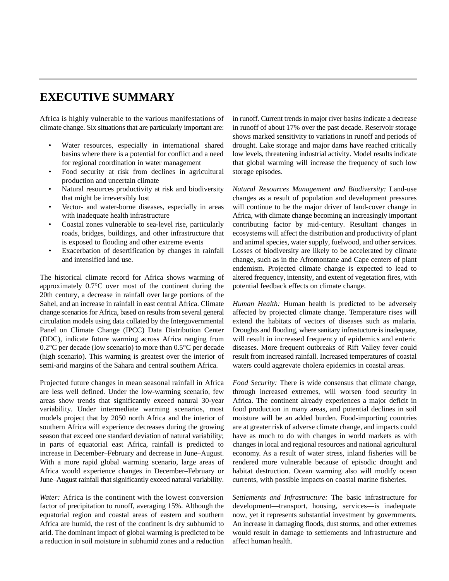## **EXECUTIVE SUMMARY**

Africa is highly vulnerable to the various manifestations of climate change. Six situations that are particularly important are:

- Water resources, especially in international shared basins where there is a potential for conflict and a need for regional coordination in water management
- Food security at risk from declines in agricultural production and uncertain climate
- Natural resources productivity at risk and biodiversity that might be irreversibly lost
- Vector- and water-borne diseases, especially in areas with inadequate health infrastructure
- Coastal zones vulnerable to sea-level rise, particularly roads, bridges, buildings, and other infrastructure that is exposed to flooding and other extreme events
- Exacerbation of desertification by changes in rainfall and intensified land use.

The historical climate record for Africa shows warming of approximately 0.7°C over most of the continent during the 20th century, a decrease in rainfall over large portions of the Sahel, and an increase in rainfall in east central Africa. Climate change scenarios for Africa, based on results from several general circulation models using data collated by the Intergovernmental Panel on Climate Change (IPCC) Data Distribution Center (DDC), indicate future warming across Africa ranging from 0.2°C per decade (low scenario) to more than 0.5°C per decade (high scenario). This warming is greatest over the interior of semi-arid margins of the Sahara and central southern Africa.

Projected future changes in mean seasonal rainfall in Africa are less well defined. Under the low-warming scenario, few areas show trends that significantly exceed natural 30-year variability. Under intermediate warming scenarios, most models project that by 2050 north Africa and the interior of southern Africa will experience decreases during the growing season that exceed one standard deviation of natural variability; in parts of equatorial east Africa, rainfall is predicted to increase in December–February and decrease in June–August. With a more rapid global warming scenario, large areas of Africa would experience changes in December–February or June–August rainfall that significantly exceed natural variability.

*Water:* Africa is the continent with the lowest conversion factor of precipitation to runoff, averaging 15%. Although the equatorial region and coastal areas of eastern and southern Africa are humid, the rest of the continent is dry subhumid to arid. The dominant impact of global warming is predicted to be a reduction in soil moisture in subhumid zones and a reduction in runoff. Current trends in major river basins indicate a decrease in runoff of about 17% over the past decade. Reservoir storage shows marked sensitivity to variations in runoff and periods of drought. Lake storage and major dams have reached critically low levels, threatening industrial activity. Model results indicate that global warming will increase the frequency of such low storage episodes.

*Natural Resources Management and Biodiversity:* Land-use changes as a result of population and development pressures will continue to be the major driver of land-cover change in Africa, with climate change becoming an increasingly important contributing factor by mid-century. Resultant changes in ecosystems will affect the distribution and productivity of plant and animal species, water supply, fuelwood, and other services. Losses of biodiversity are likely to be accelerated by climate change, such as in the Afromontane and Cape centers of plant endemism. Projected climate change is expected to lead to altered frequency, intensity, and extent of vegetation fires, with potential feedback effects on climate change.

*Human Health:* Human health is predicted to be adversely affected by projected climate change. Temperature rises will extend the habitats of vectors of diseases such as malaria. Droughts and flooding, where sanitary infrastucture is inadequate, will result in increased frequency of epidemics and enteric diseases. More frequent outbreaks of Rift Valley fever could result from increased rainfall. Increased temperatures of coastal waters could aggrevate cholera epidemics in coastal areas.

*Food Security:* There is wide consensus that climate change, through increased extremes, will worsen food security in Africa. The continent already experiences a major deficit in food production in many areas, and potential declines in soil moisture will be an added burden. Food-importing countries are at greater risk of adverse climate change, and impacts could have as much to do with changes in world markets as with changes in local and regional resources and national agricultural economy. As a result of water stress, inland fisheries will be rendered more vulnerable because of episodic drought and habitat destruction. Ocean warming also will modify ocean currents, with possible impacts on coastal marine fisheries.

*Settlements and Infrastructure:* The basic infrastructure for development—transport, housing, services—is inadequate now, yet it represents substantial investment by governments. An increase in damaging floods, dust storms, and other extremes would result in damage to settlements and infrastructure and affect human health.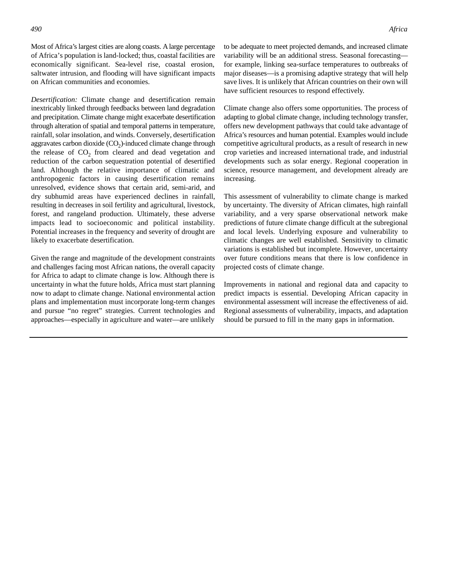Most of Africa's largest cities are along coasts. A large percentage of Africa's population is land-locked; thus, coastal facilities are economically significant. Sea-level rise, coastal erosion, saltwater intrusion, and flooding will have significant impacts on African communities and economies.

*Desertification:* Climate change and desertification remain inextricably linked through feedbacks between land degradation and precipitation. Climate change might exacerbate desertification through alteration of spatial and temporal patterns in temperature, rainfall, solar insolation, and winds. Conversely, desertification aggravates carbon dioxide  $(CO<sub>2</sub>)$ -induced climate change through the release of  $CO<sub>2</sub>$  from cleared and dead vegetation and reduction of the carbon sequestration potential of desertified land. Although the relative importance of climatic and anthropogenic factors in causing desertification remains unresolved, evidence shows that certain arid, semi-arid, and dry subhumid areas have experienced declines in rainfall, resulting in decreases in soil fertility and agricultural, livestock, forest, and rangeland production. Ultimately, these adverse impacts lead to socioeconomic and political instability. Potential increases in the frequency and severity of drought are likely to exacerbate desertification.

Given the range and magnitude of the development constraints and challenges facing most African nations, the overall capacity for Africa to adapt to climate change is low. Although there is uncertainty in what the future holds, Africa must start planning now to adapt to climate change. National environmental action plans and implementation must incorporate long-term changes and pursue "no regret" strategies. Current technologies and approaches—especially in agriculture and water—are unlikely

to be adequate to meet projected demands, and increased climate variability will be an additional stress. Seasonal forecasting for example, linking sea-surface temperatures to outbreaks of major diseases—is a promising adaptive strategy that will help save lives. It is unlikely that African countries on their own will have sufficient resources to respond effectively.

Climate change also offers some opportunities. The process of adapting to global climate change, including technology transfer, offers new development pathways that could take advantage of Africa's resources and human potential. Examples would include competitive agricultural products, as a result of research in new crop varieties and increased international trade, and industrial developments such as solar energy. Regional cooperation in science, resource management, and development already are increasing.

This assessment of vulnerability to climate change is marked by uncertainty. The diversity of African climates, high rainfall variability, and a very sparse observational network make predictions of future climate change difficult at the subregional and local levels. Underlying exposure and vulnerability to climatic changes are well established. Sensitivity to climatic variations is established but incomplete. However, uncertainty over future conditions means that there is low confidence in projected costs of climate change.

Improvements in national and regional data and capacity to predict impacts is essential. Developing African capacity in environmental assessment will increase the effectiveness of aid. Regional assessments of vulnerability, impacts, and adaptation should be pursued to fill in the many gaps in information.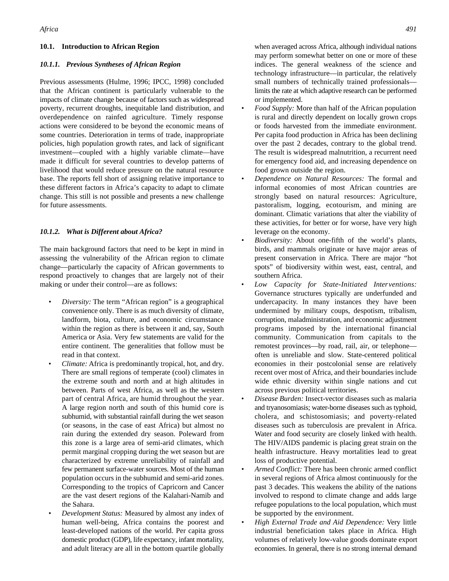#### **10.1. Introduction to African Region**

#### *10.1.1. Previous Syntheses of African Region*

Previous assessments (Hulme, 1996; IPCC, 1998) concluded that the African continent is particularly vulnerable to the impacts of climate change because of factors such as widespread poverty, recurrent droughts, inequitable land distribution, and overdependence on rainfed agriculture. Timely response actions were considered to be beyond the economic means of some countries. Deterioration in terms of trade, inappropriate policies, high population growth rates, and lack of significant investment—coupled with a highly variable climate—have made it difficult for several countries to develop patterns of livelihood that would reduce pressure on the natural resource base. The reports fell short of assigning relative importance to these different factors in Africa's capacity to adapt to climate change. This still is not possible and presents a new challenge for future assessments.

#### *10.1.2. What is Different about Africa?*

The main background factors that need to be kept in mind in assessing the vulnerability of the African region to climate change—particularly the capacity of African governments to respond proactively to changes that are largely not of their making or under their control—are as follows:

- *Diversity:* The term "African region" is a geographical convenience only. There is as much diversity of climate, landform, biota, culture, and economic circumstance within the region as there is between it and, say, South America or Asia. Very few statements are valid for the entire continent. The generalities that follow must be read in that context.
- *Climate:* Africa is predominantly tropical, hot, and dry. There are small regions of temperate (cool) climates in the extreme south and north and at high altitudes in between. Parts of west Africa, as well as the western part of central Africa, are humid throughout the year. A large region north and south of this humid core is subhumid, with substantial rainfall during the wet season (or seasons, in the case of east Africa) but almost no rain during the extended dry season. Poleward from this zone is a large area of semi-arid climates, which permit marginal cropping during the wet season but are characterized by extreme unreliability of rainfall and few permanent surface-water sources. Most of the human population occurs in the subhumid and semi-arid zones. Corresponding to the tropics of Capricorn and Cancer are the vast desert regions of the Kalahari-Namib and the Sahara.
- *Development Status:* Measured by almost any index of human well-being, Africa contains the poorest and least-developed nations of the world. Per capita gross domestic product (GDP), life expectancy, infant mortality, and adult literacy are all in the bottom quartile globally

when averaged across Africa, although individual nations may perform somewhat better on one or more of these indices. The general weakness of the science and technology infrastructure—in particular, the relatively small numbers of technically trained professionals limits the rate at which adaptive research can be performed or implemented.

- *Food Supply:* More than half of the African population is rural and directly dependent on locally grown crops or foods harvested from the immediate environment. Per capita food production in Africa has been declining over the past 2 decades, contrary to the global trend. The result is widespread malnutrition, a recurrent need for emergency food aid, and increasing dependence on food grown outside the region.
- *Dependence on Natural Resources:* The formal and informal economies of most African countries are strongly based on natural resources: Agriculture, pastoralism, logging, ecotourism, and mining are dominant. Climatic variations that alter the viability of these activities, for better or for worse, have very high leverage on the economy.
- *Biodiversity:* About one-fifth of the world's plants, birds, and mammals originate or have major areas of present conservation in Africa. There are major "hot spots" of biodiversity within west, east, central, and southern Africa.
- *Low Capacity for State-Initiated Interventions:* Governance structures typically are underfunded and undercapacity. In many instances they have been undermined by military coups, despotism, tribalism, corruption, maladministration, and economic adjustment programs imposed by the international financial community. Communication from capitals to the remotest provinces—by road, rail, air, or telephone often is unreliable and slow. State-centered political economies in their postcolonial sense are relatively recent over most of Africa, and their boundaries include wide ethnic diversity within single nations and cut across previous political territories.
- *Disease Burden:* Insect-vector diseases such as malaria and tryanosomiasis; water-borne diseases such as typhoid, cholera, and schistosomiasis; and poverty-related diseases such as tuberculosis are prevalent in Africa. Water and food security are closely linked with health. The HIV/AIDS pandemic is placing great strain on the health infrastructure. Heavy mortalities lead to great loss of productive potential.
- *Armed Conflict:* There has been chronic armed conflict in several regions of Africa almost continuously for the past 3 decades. This weakens the ability of the nations involved to respond to climate change and adds large refugee populations to the local population, which must be supported by the environment.
- *High External Trade and Aid Dependence:* Very little industrial beneficiation takes place in Africa. High volumes of relatively low-value goods dominate export economies. In general, there is no strong internal demand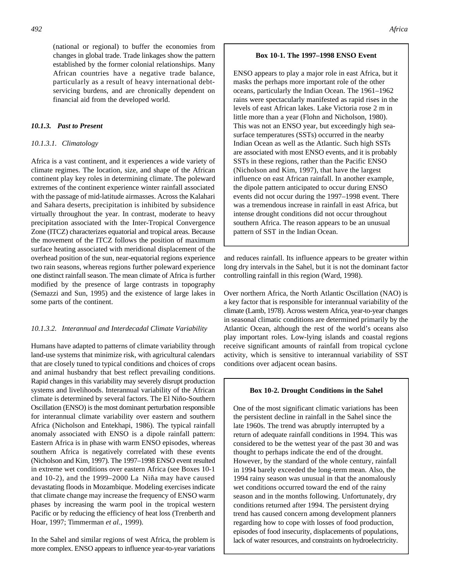(national or regional) to buffer the economies from changes in global trade. Trade linkages show the pattern established by the former colonial relationships. Many African countries have a negative trade balance, particularly as a result of heavy international debtservicing burdens, and are chronically dependent on financial aid from the developed world.

#### *10.1.3. Past to Present*

#### *10.1.3.1. Climatology*

Africa is a vast continent, and it experiences a wide variety of climate regimes. The location, size, and shape of the African continent play key roles in determining climate. The poleward extremes of the continent experience winter rainfall associated with the passage of mid-latitude airmasses. Across the Kalahari and Sahara deserts, precipitation is inhibited by subsidence virtually throughout the year. In contrast, moderate to heavy precipitation associated with the Inter-Tropical Convergence Zone (ITCZ) characterizes equatorial and tropical areas. Because the movement of the ITCZ follows the position of maximum surface heating associated with meridional displacement of the overhead position of the sun, near-equatorial regions experience two rain seasons, whereas regions further poleward experience one distinct rainfall season. The mean climate of Africa is further modified by the presence of large contrasts in topography (Semazzi and Sun, 1995) and the existence of large lakes in some parts of the continent.

#### *10.1.3.2. Interannual and Interdecadal Climate Variability*

Humans have adapted to patterns of climate variability through land-use systems that minimize risk, with agricultural calendars that are closely tuned to typical conditions and choices of crops and animal husbandry that best reflect prevailing conditions. Rapid changes in this variability may severely disrupt production systems and livelihoods. Interannual variability of the African climate is determined by several factors. The El Niño-Southern Oscillation (ENSO) is the most dominant perturbation responsible for interannual climate variability over eastern and southern Africa (Nicholson and Entekhapi, 1986). The typical rainfall anomaly associated with ENSO is a dipole rainfall pattern: Eastern Africa is in phase with warm ENSO episodes, whereas southern Africa is negatively correlated with these events (Nicholson and Kim, 1997). The 1997–1998 ENSO event resulted in extreme wet conditions over eastern Africa (see Boxes 10-1 and 10-2), and the 1999–2000 La Niña may have caused devastating floods in Mozambique. Modeling exercises indicate that climate change may increase the frequency of ENSO warm phases by increasing the warm pool in the tropical western Pacific or by reducing the efficiency of heat loss (Trenberth and Hoar, 1997; Timmerman *et al.,* 1999).

In the Sahel and similar regions of west Africa, the problem is more complex. ENSO appears to influence year-to-year variations

#### **Box 10-1. The 1997–1998 ENSO Event**

ENSO appears to play a major role in east Africa, but it masks the perhaps more important role of the other oceans, particularly the Indian Ocean. The 1961–1962 rains were spectacularly manifested as rapid rises in the levels of east African lakes. Lake Victoria rose 2 m in little more than a year (Flohn and Nicholson, 1980). This was not an ENSO year, but exceedingly high seasurface temperatures (SSTs) occurred in the nearby Indian Ocean as well as the Atlantic. Such high SSTs are associated with most ENSO events, and it is probably SSTs in these regions, rather than the Pacific ENSO (Nicholson and Kim,  $1997$ ), that have the largest influence on east African rainfall. In another example, the dipole pattern anticipated to occur during ENSO events did not occur during the 1997–1998 event. There was a tremendous increase in rainfall in east Africa, but intense drought conditions did not occur throughout southern Africa. The reason appears to be an unusual pattern of SST in the Indian Ocean.

and reduces rainfall. Its influence appears to be greater within long dry intervals in the Sahel, but it is not the dominant factor controlling rainfall in this region (Ward, 1998).

Over northern Africa, the North Atlantic Oscillation (NAO) is a key factor that is responsible for interannual variability of the climate (Lamb, 1978). Across western Africa, year-to-year changes in seasonal climatic conditions are determined primarily by the Atlantic Ocean, although the rest of the world's oceans also play important roles. Low-lying islands and coastal regions receive significant amounts of rainfall from tropical cyclone activity, which is sensitive to interannual variability of SST conditions over adjacent ocean basins.

#### **Box 10-2. Drought Conditions in the Sahel**

One of the most significant climatic variations has been the persistent decline in rainfall in the Sahel since the late 1960s. The trend was abruptly interrupted by a return of adequate rainfall conditions in 1994. This was considered to be the wettest year of the past 30 and was thought to perhaps indicate the end of the drought. However, by the standard of the whole century, rainfall in 1994 barely exceeded the long-term mean. Also, the 1994 rainy season was unusual in that the anomalously wet conditions occurred toward the end of the rainy season and in the months following. Unfortunately, dry conditions returned after 1994. The persistent drying trend has caused concern among development planners regarding how to cope with losses of food production, episodes of food insecurity, displacements of populations, lack of water resources, and constraints on hydroelectricity.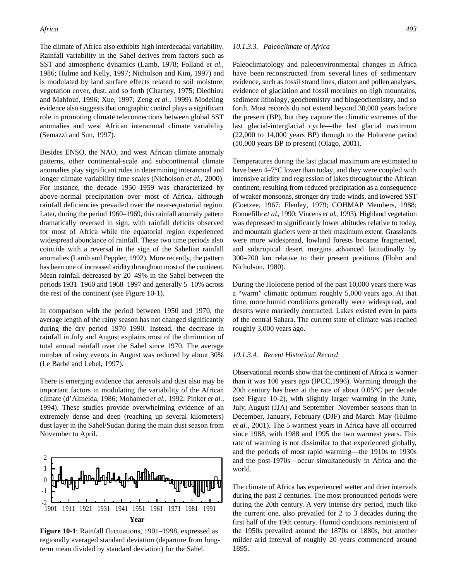#### *Africa 493*

The climate of Africa also exhibits high interdecadal variability. Rainfall variability in the Sahel derives from factors such as SST and atmospheric dynamics (Lamb, 1978; Folland *et al.,* 1986; Hulme and Kelly, 1997; Nicholson and Kim, 1997) and is modulated by land surface effects related to soil moisture, vegetation cover, dust, and so forth (Charney, 1975; Diedhiou and Mahfouf, 1996; Xue, 1997; Zeng *et al.,* 1999). Modeling evidence also suggests that orographic control plays a significant role in promoting climate teleconnections between global SST anomalies and west African interannual climate variability (Semazzi and Sun, 1997).

Besides ENSO, the NAO, and west African climate anomaly patterns, other continental-scale and subcontinental climate anomalies play significant roles in determining interannual and longer climate variability time scales (Nicholson *et al.,* 2000). For instance, the decade 1950–1959 was characterized by above-normal precipitation over most of Africa, although rainfall deficiencies prevailed over the near-equatorial region. Later, during the period 1960–1969, this rainfall anomaly pattern dramatically reversed in sign, with rainfall deficits observed for most of Africa while the equatorial region experienced widespread abundance of rainfall. These two time periods also coincide with a reversal in the sign of the Sahelian rainfall anomalies (Lamb and Peppler, 1992). More recently, the pattern has been one of increased aridity throughout most of the continent. Mean rainfall decreased by 20–49% in the Sahel between the periods 1931–1960 and 1968–1997 and generally 5–10% across the rest of the continent (see Figure 10-1).

In comparison with the period between 1950 and 1970, the average length of the rainy season has not changed significantly during the dry period 1970–1990. Instead, the decrease in rainfall in July and August explains most of the diminution of total annual rainfall over the Sahel since 1970. The average number of rainy events in August was reduced by about 30% (Le Barbé and Lebel, 1997).

There is emerging evidence that aerosols and dust also may be important factors in modulating the variability of the African climate (d'Almeida, 1986; Mohamed *et al.,* 1992; Pinker *et al.,* 1994). These studies provide overwhelming evidence of an extremely dense and deep (reaching up several kilometers) dust layer in the Sahel/Sudan during the main dust season from November to April.



**Figure 10-1**: Rainfall fluctuations, 1901–1998, expressed as regionally averaged standard deviation (departure from longterm mean divided by standard deviation) for the Sahel.

#### *10.1.3.3. Paleoclimate of Africa*

Paleoclimatology and paleoenvironmental changes in Africa have been reconstructed from several lines of sedimentary evidence, such as fossil strand lines, diatom and pollen analyses, evidence of glaciation and fossil moraines on high mountains, sediment lithology, geochemistry and biogeochemistry, and so forth. Most records do not extend beyond 30,000 years before the present (BP), but they capture the climatic extremes of the last glacial-interglacial cycle—the last glacial maximum (22,000 to 14,000 years BP) through to the Holocene period (10,000 years BP to present) (Olago, 2001).

Temperatures during the last glacial maximum are estimated to have been  $4-7^{\circ}$ C lower than today, and they were coupled with intensive aridity and regression of lakes throughout the African continent, resulting from reduced precipitation as a consequence of weaker monsoons, stronger dry trade winds, and lowered SST (Coetzee, 1967; Flenley, 1979; COHMAP Members, 1988; Bonnefille *et al*., 1990; Vincens *et al*., 1993). Highland vegetation was depressed to significantly lower altitudes relative to today, and mountain glaciers were at their maximum extent. Grasslands were more widespread, lowland forests became fragmented, and subtropical desert margins advanced latitudinally by 300–700 km relative to their present positions (Flohn and Nicholson, 1980).

During the Holocene period of the past 10,000 years there was a "warm" climatic optimum roughly 5,000 years ago. At that time, more humid conditions generally were widespread, and deserts were markedly contracted. Lakes existed even in parts of the central Sahara. The current state of climate was reached roughly 3,000 years ago.

#### *10.1.3.4. Recent Historical Record*

Observational records show that the continent of Africa is warmer than it was 100 years ago (IPCC,1996). Warming through the 20th century has been at the rate of about 0.05°C per decade (see Figure 10-2), with slightly larger warming in the June, July, August (JJA) and September–November seasons than in December, January, February (DJF) and March–May (Hulme *et al.*, 2001). The 5 warmest years in Africa have all occurred since 1988, with 1988 and 1995 the two warmest years. This rate of warming is not dissimilar to that experienced globally, and the periods of most rapid warming—the 1910s to 1930s and the post-1970s—occur simultaneously in Africa and the world.

The climate of Africa has experienced wetter and drier intervals during the past 2 centuries. The most pronounced periods were during the 20th century. A very intense dry period, much like the current one, also prevailed for 2 to 3 decades during the first half of the 19th century. Humid conditions reminiscent of the 1950s prevailed around the 1870s or 1880s, but another milder arid interval of roughly 20 years commenced around 1895.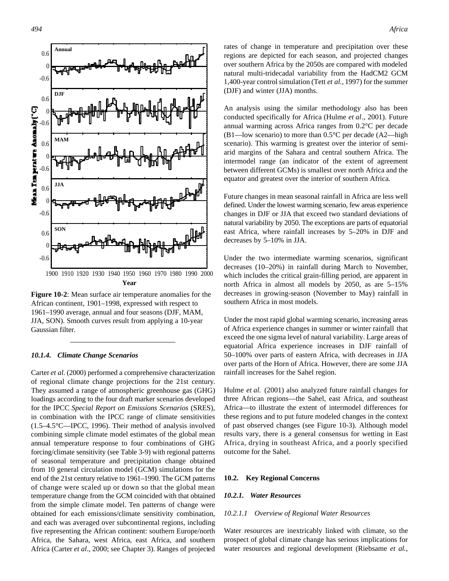

**Figure 10-2**: Mean surface air temperature anomalies for the African continent, 1901–1998, expressed with respect to 1961–1990 average, annual and four seasons (DJF, MAM, JJA, SON). Smooth curves result from applying a 10-year Gaussian filter.

#### *10.1.4. Climate Change Scenarios*

Carter *et al.* (2000) performed a comprehensive characterization of regional climate change projections for the 21st century. They assumed a range of atmospheric greenhouse gas (GHG) loadings according to the four draft marker scenarios developed for the IPCC *Special Report on Emissions Scenarios* (SRES), in combination with the IPCC range of climate sensitivities (1.5–4.5°C—IPCC, 1996). Their method of analysis involved combining simple climate model estimates of the global mean annual temperature response to four combinations of GHG forcing/climate sensitivity (see Table 3-9) with regional patterns of seasonal temperature and precipitation change obtained from 10 general circulation model (GCM) simulations for the end of the 21st century relative to 1961–1990. The GCM patterns of change were scaled up or down so that the global mean temperature change from the GCM coincided with that obtained from the simple climate model. Ten patterns of change were obtained for each emissions/climate sensitivity combination, and each was averaged over subcontinental regions, including five representing the African continent: southern Europe/north Africa, the Sahara, west Africa, east Africa, and southern Africa (Carter *et al*., 2000; see Chapter 3). Ranges of projected rates of change in temperature and precipitation over these regions are depicted for each season, and projected changes over southern Africa by the 2050s are compared with modeled natural multi-tridecadal variability from the HadCM2 GCM 1,400-year control simulation (Tett *et al.,* 1997) for the summer (DJF) and winter (JJA) months.

An analysis using the similar methodology also has been conducted specifically for Africa (Hulme *et al.*, 2001). Future annual warming across Africa ranges from 0.2°C per decade  $(B1)$ —low scenario) to more than  $0.5^{\circ}$ C per decade (A2—high scenario). This warming is greatest over the interior of semiarid margins of the Sahara and central southern Africa. The intermodel range (an indicator of the extent of agreement between different GCMs) is smallest over north Africa and the equator and greatest over the interior of southern Africa.

Future changes in mean seasonal rainfall in Africa are less well defined. Under the lowest warming scenario, few areas experience changes in DJF or JJA that exceed two standard deviations of natural variability by 2050. The exceptions are parts of equatorial east Africa, where rainfall increases by 5–20% in DJF and decreases by 5–10% in JJA.

Under the two intermediate warming scenarios, significant decreases (10–20%) in rainfall during March to November, which includes the critical grain-filling period, are apparent in north Africa in almost all models by 2050, as are 5–15% decreases in growing-season (November to May) rainfall in southern Africa in most models.

Under the most rapid global warming scenario, increasing areas of Africa experience changes in summer or winter rainfall that exceed the one sigma level of natural variability. Large areas of equatorial Africa experience increases in DJF rainfall of 50–100% over parts of eastern Africa, with decreases in JJA over parts of the Horn of Africa. However, there are some JJA rainfall increases for the Sahel region.

Hulme *et al.* (2001) also analyzed future rainfall changes for three African regions—the Sahel, east Africa, and southeast Africa—to illustrate the extent of intermodel differences for these regions and to put future modeled changes in the context of past observed changes (see Figure 10-3). Although model results vary, there is a general consensus for wetting in East Africa, drying in southeast Africa, and a poorly specified outcome for the Sahel.

#### **10.2. Key Regional Concerns**

#### *10.2.1. Water Resources*

#### *10.2.1.1 Overview of Regional Water Resources*

Water resources are inextricably linked with climate, so the prospect of global climate change has serious implications for water resources and regional development (Riebsame *et al.*,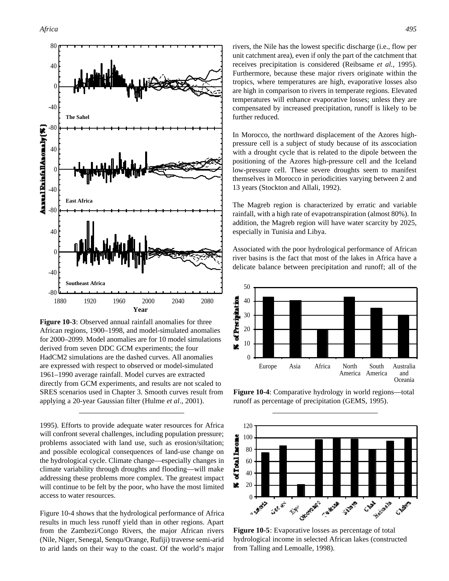

**Figure 10-3**: Observed annual rainfall anomalies for three African regions, 1900–1998, and model-simulated anomalies for 2000–2099. Model anomalies are for 10 model simulations derived from seven DDC GCM experiments; the four HadCM2 simulations are the dashed curves. All anomalies are expressed with respect to observed or model-simulated 1961–1990 average rainfall. Model curves are extracted directly from GCM experiments, and results are not scaled to SRES scenarios used in Chapter 3. Smooth curves result from applying a 20-year Gaussian filter (Hulme *et al*., 2001).

1995). Efforts to provide adequate water resources for Africa will confront several challenges, including population pressure; problems associated with land use, such as erosion/siltation; and possible ecological consequences of land-use change on the hydrological cycle. Climate change—especially changes in climate variability through droughts and flooding—will make addressing these problems more complex. The greatest impact will continue to be felt by the poor, who have the most limited access to water resources.

Figure 10-4 shows that the hydrological performance of Africa results in much less runoff yield than in other regions. Apart from the Zambezi/Congo Rivers, the major African rivers (Nile, Niger, Senegal, Senqu/Orange, Rufiji) traverse semi-arid to arid lands on their way to the coast. Of the world's major

rivers, the Nile has the lowest specific discharge (i.e., flow per unit catchment area), even if only the part of the catchment that receives precipitation is considered (Reibsame *et al.,* 1995). Furthermore, because these major rivers originate within the tropics, where temperatures are high, evaporative losses also are high in comparison to rivers in temperate regions. Elevated temperatures will enhance evaporative losses; unless they are compensated by increased precipitation, runoff is likely to be further reduced.

In Morocco, the northward displacement of the Azores highpressure cell is a subject of study because of its asscociation with a drought cycle that is related to the dipole between the positioning of the Azores high-pressure cell and the Iceland low-pressure cell. These severe droughts seem to manifest themselves in Morocco in periodicities varying between 2 and 13 years (Stockton and Allali, 1992).

The Magreb region is characterized by erratic and variable rainfall, with a high rate of evapotranspiration (almost 80%). In addition, the Magreb region will have water scarcity by 2025, especially in Tunisia and Libya.

Associated with the poor hydrological performance of African river basins is the fact that most of the lakes in Africa have a delicate balance between precipitation and runoff; all of the



**Figure 10-4**: Comparative hydrology in world regions—total runoff as percentage of precipitation (GEMS, 1995).



Figure 10-5: Evaporative losses as percentage of total hydrological income in selected African lakes (constructed from Talling and Lemoalle, 1998).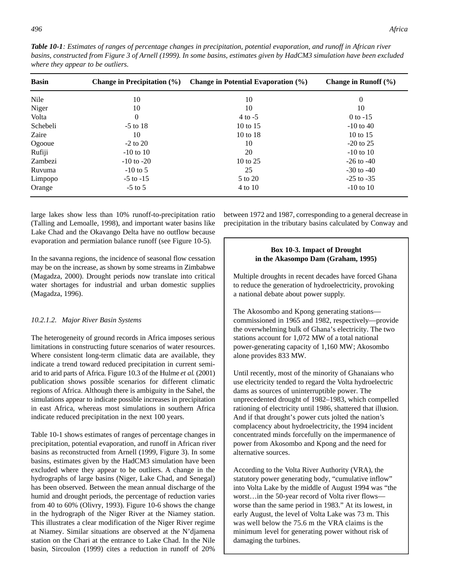*Table 10-1: Estimates of ranges of percentage changes in precipitation, potential evaporation, and runoff in African river basins, constructed from Figure 3 of Arnell (1999). In some basins, estimates given by HadCM3 simulation have been excluded where they appear to be outliers.*

| <b>Basin</b> | <b>Change in Precipitation</b> $(\% )$ | Change in Potential Evaporation $(\%)$ | Change in Runoff $(\% )$ |
|--------------|----------------------------------------|----------------------------------------|--------------------------|
| Nile         | 10                                     | 10                                     | $\Omega$                 |
| Niger        | 10                                     | 10                                     | 10                       |
| Volta        | $\theta$                               | $4$ to $-5$                            | $0$ to $-15$             |
| Schebeli     | $-5$ to 18                             | 10 to 15                               | $-10$ to 40              |
| Zaire        | 10                                     | 10 to 18                               | 10 to 15                 |
| Ogooue       | $-2$ to 20                             | 10                                     | $-20$ to 25              |
| Rufiji       | $-10$ to $10$                          | 20                                     | $-10$ to $10$            |
| Zambezi      | $-10$ to $-20$                         | 10 to 25                               | $-26$ to $-40$           |
| Ruvuma       | $-10$ to 5                             | 25                                     | $-30$ to $-40$           |
| Limpopo      | $-5$ to $-15$                          | 5 to 20                                | $-25$ to $-35$           |
| Orange       | $-5$ to 5                              | 4 to 10                                | $-10$ to $10$            |

large lakes show less than 10% runoff-to-precipitation ratio (Talling and Lemoalle, 1998), and important water basins like Lake Chad and the Okavango Delta have no outflow because evaporation and permiation balance runoff (see Figure 10-5).

In the savanna regions, the incidence of seasonal flow cessation may be on the increase, as shown by some streams in Zimbabwe (Magadza, 2000). Drought periods now translate into critical water shortages for industrial and urban domestic supplies (Magadza, 1996).

#### *10.2.1.2. Major River Basin Systems*

The heterogeneity of ground records in Africa imposes serious limitations in constructing future scenarios of water resources. Where consistent long-term climatic data are available, they indicate a trend toward reduced precipitation in current semiarid to arid parts of Africa. Figure 10.3 of the Hulme *et al*. (2001) publication shows possible scenarios for different climatic regions of Africa. Although there is ambiguity in the Sahel, the simulations appear to indicate possible increases in precipitation in east Africa, whereas most simulations in southern Africa indicate reduced precipitation in the next 100 years.

Table 10-1 shows estimates of ranges of percentage changes in precipitation, potential evaporation, and runoff in African river basins as reconstructed from Arnell (1999, Figure 3). In some basins, estimates given by the HadCM3 simulation have been excluded where they appear to be outliers. A change in the hydrographs of large basins (Niger, Lake Chad, and Senegal) has been observed. Between the mean annual discharge of the humid and drought periods, the percentage of reduction varies from 40 to 60% (Olivry, 1993). Figure 10-6 shows the change in the hydrograph of the Niger River at the Niamey station. This illustrates a clear modification of the Niger River regime at Niamey. Similar situations are observed at the N'djamena station on the Chari at the entrance to Lake Chad. In the Nile basin, Sircoulon (1999) cites a reduction in runoff of 20%

between 1972 and 1987, corresponding to a general decrease in precipitation in the tributary basins calculated by Conway and

#### **Box 10-3. Impact of Drought in the Akasompo Dam (Graham, 1995)**

Multiple droughts in recent decades have forced Ghana to reduce the generation of hydroelectricity, provoking a national debate about power supply.

The Akosombo and Kpong generating stations commissioned in 1965 and 1982, respectively—provide the overwhelming bulk of Ghana's electricity. The two stations account for 1,072 MW of a total national power-generating capacity of 1,160 MW; Akosombo alone provides 833 MW.

Until recently, most of the minority of Ghanaians who use electricity tended to regard the Volta hydroelectric dams as sources of uninterruptible power. The unprecedented drought of 1982–1983, which compelled rationing of electricity until 1986, shattered that illusion. And if that drought's power cuts jolted the nation's complacency about hydroelectricity, the 1994 incident concentrated minds forcefully on the impermanence of power from Akosombo and Kpong and the need for alternative sources.

According to the Volta River Authority (VRA), the statutory power generating body, "cumulative inflow" into Volta Lake by the middle of August 1994 was "the worst…in the 50-year record of Volta river flows worse than the same period in 1983." At its lowest, in early August, the level of Volta Lake was 73 m. This was well below the 75.6 m the VRA claims is the minimum level for generating power without risk of damaging the turbines.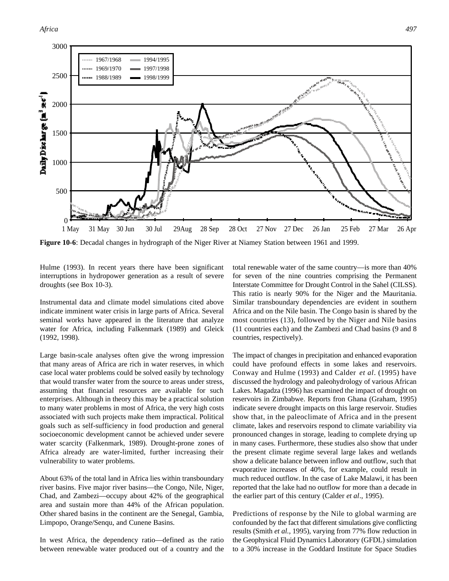



**Figure 10-6**: Decadal changes in hydrograph of the Niger River at Niamey Station between 1961 and 1999.

Hulme (1993). In recent years there have been significant interruptions in hydropower generation as a result of severe droughts (see Box 10-3).

Instrumental data and climate model simulations cited above indicate imminent water crisis in large parts of Africa. Several seminal works have appeared in the literature that analyze water for Africa, including Falkenmark (1989) and Gleick (1992, 1998).

Large basin-scale analyses often give the wrong impression that many areas of Africa are rich in water reserves, in which case local water problems could be solved easily by technology that would transfer water from the source to areas under stress, assuming that financial resources are available for such enterprises. Although in theory this may be a practical solution to many water problems in most of Africa, the very high costs associated with such projects make them impractical. Political goals such as self-sufficiency in food production and general socioeconomic development cannot be achieved under severe water scarcity (Falkenmark, 1989). Drought-prone zones of Africa already are water-limited, further increasing their vulnerability to water problems.

About 63% of the total land in Africa lies within transboundary river basins. Five major river basins—the Congo, Nile, Niger, Chad, and Zambezi—occupy about 42% of the geographical area and sustain more than 44% of the African population. Other shared basins in the continent are the Senegal, Gambia, Limpopo, Orange/Senqu, and Cunene Basins.

In west Africa, the dependency ratio—defined as the ratio between renewable water produced out of a country and the

total renewable water of the same country—is more than 40% for seven of the nine countries comprising the Permanent Interstate Committee for Drought Control in the Sahel (CILSS). This ratio is nearly 90% for the Niger and the Mauritania. Similar transboundary dependencies are evident in southern Africa and on the Nile basin. The Congo basin is shared by the most countries (13), followed by the Niger and Nile basins ( 11 countries each) and the Zambezi and Chad basins (9 and 8 countries, respectively).

The impact of changes in precipitation and enhanced evaporation could have profound effects in some lakes and reservoirs. Conway and Hulme (1993) and Calder *et al*. (1995) have discussed the hydrology and paleohydrology of various African Lakes. Magadza (1996) has examined the impact of drought on reservoirs in Zimbabwe. Reports fron Ghana (Graham, 1995) indicate severe drought impacts on this large reservoir. Studies show that, in the paleoclimate of Africa and in the present climate, lakes and reservoirs respond to climate variability via pronounced changes in storage, leading to complete drying up in many cases. Furthermore, these studies also show that under the present climate regime several large lakes and wetlands show a delicate balance between inflow and outflow, such that evaporative increases of 40%, for example, could result in much reduced outflow. In the case of Lake Malawi, it has been reported that the lake had no outflow for more than a decade in the earlier part of this century (Calder *et al*., 1995).

Predictions of response by the Nile to global warming are confounded by the fact that different simulations give conflicting results (Smith *et al.,* 1995), varying from 77% flow reduction in the Geophysical Fluid Dynamics Laboratory (GFDL) simulation to a 30% increase in the Goddard Institute for Space Studies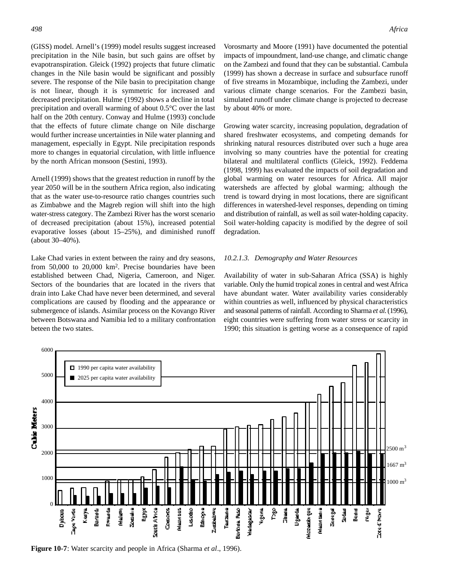(GISS) model. Arnell's (1999) model results suggest increased precipitation in the Nile basin, but such gains are offset by evapotranspiration. Gleick (1992) projects that future climatic changes in the Nile basin would be significant and possibly severe. The response of the Nile basin to precipitation change is not linear, though it is symmetric for increased and decreased precipitation. Hulme (1992) shows a decline in total precipitation and overall warming of about 0.5°C over the last half on the 20th century. Conway and Hulme (1993) conclude that the effects of future climate change on Nile discharge would further increase uncertainties in Nile water planning and management, especially in Egypt. Nile precipitation responds more to changes in equatorial circulation, with little influence by the north African monsoon (Sestini, 1993).

Arnell (1999) shows that the greatest reduction in runoff by the year 2050 will be in the southern Africa region, also indicating that as the water use-to-resource ratio changes countries such as Zimbabwe and the Magreb region will shift into the high water-stress category. The Zambezi River has the worst scenario of decreased precipitation (about 15%), increased potential evaporative losses (about 15–25%), and diminished runoff (about 30–40%).

Lake Chad varies in extent between the rainy and dry seasons, from 50,000 to 20,000 km2. Precise boundaries have been established between Chad, Nigeria, Cameroon, and Niger. Sectors of the boundaries that are located in the rivers that drain into Lake Chad have never been determined, and several complications are caused by flooding and the appearance or submergence of islands. Asimilar process on the Kovango River between Botswana and Namibia led to a military confrontation beteen the two states.

Vorosmarty and Moore (1991) have documented the potential impacts of impoundment, land-use change, and climatic change on the Zambezi and found that they can be substantial. Cambula (1999) has shown a decrease in surface and subsurface runoff of five streams in Mozambique, including the Zambezi, under various climate change scenarios. For the Zambezi basin, simulated runoff under climate change is projected to decrease by about 40% or more.

Growing water scarcity, increasing population, degradation of shared freshwater ecosystems, and competing demands for shrinking natural resources distributed over such a huge area involving so many countries have the potential for creating bilateral and multilateral conflicts (Gleick, 1992). Feddema (1998, 1999) has evaluated the impacts of soil degradation and global warming on water resources for Africa. All major watersheds are affected by global warming; although the trend is toward drying in most locations, there are significant differences in watershed-level responses, depending on timing and distribution of rainfall, as well as soil water-holding capacity. Soil water-holding capacity is modified by the degree of soil degradation.

#### *10.2.1.3. Demography and Water Resources*

Availability of water in sub-Saharan Africa (SSA) is highly variable. Only the humid tropical zones in central and west Africa have abundant water. Water availability varies considerably within countries as well, influenced by physical characteristics and seasonal patterns of rainfall. According to Sharma et al. (1996), eight countries were suffering from water stress or scarcity in 1990; this situation is getting worse as a consequence of rapid



**Figure 10-7**: Water scarcity and people in Africa (Sharma *et al*., 1996).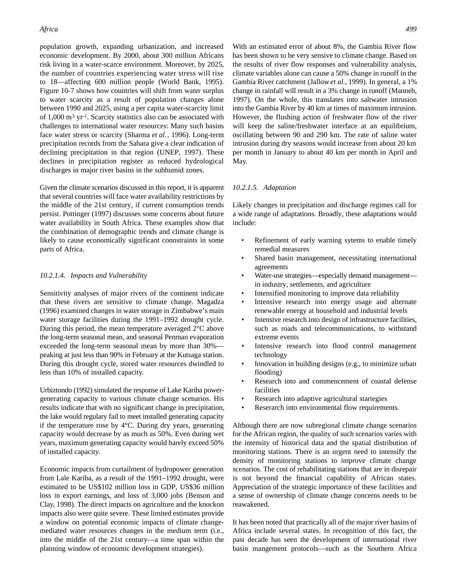population growth, expanding urbanization, and increased economic development. By 2000, about 300 million Africans risk living in a water-scarce environment. Moreover, by 2025, the number of countries experiencing water stress will rise to 18—affecting 600 million people (World Bank, 1995). Figure 10-7 shows how countries will shift from water surplus to water scarcity as a result of population changes alone between 1990 and 2025, using a per capita water-scarcity limit of 1,000 m<sup>3</sup> yr-1. Scarcity statistics also can be associated with challenges to international water resources: Many such basins face water stress or scarcity (Sharma *et al.*, 1996). Long-term precipitation records from the Sahara give a clear indication of declining precipitation in that region (UNEP, 1997). These declines in precipitation register as reduced hydrological discharges in major river basins in the subhumid zones.

Given the climate scenarios discussed in this report, it is apparent that several countries will face water availability restrictions by the middle of the 21st century, if current consumption trends persist. Pottinger (1997) discusses some concerns about future water availability in South Africa. These examples show that the combination of demographic trends and climate change is likely to cause economically significant connstraints in some parts of Africa.

#### *10.2.1.4. Impacts and Vulnerability*

Sensitivity analyses of major rivers of the continent indicate that these rivers are sensitive to climate change. Magadza (1996) examined changes in water storage in Zimbabwe's main water storage facilities during the 1991–1992 drought cycle. During this period, the mean temperature averaged 2°C above the long-term seasonal mean, and seasonal Penman evaporation exceeded the long-term seasonal mean by more than 30% peaking at just less than 90% in February at the Kutsaga station. During this drought cycle, stored water resources dwindled to less than 10% of installed capacity.

Urbiztondo (1992) simulated the response of Lake Kariba powergenerating capacity to various climate change scenarios. His results indicate that with no significant change in precipitation, the lake would regulary fail to meet installed generating capacity if the temperature rose by 4°C. During dry years, generating capacity would decrease by as much as 50%. Even during wet years, maximum generating capacity would barely exceed 50% of installed capacity.

Economic impacts from curtailment of hydropower generation from Lale Kariba, as a result of the 1991–1992 drought, were estimated to be US\$102 million loss in GDP, US\$36 million loss in export earnings, and loss of 3,000 jobs (Benson and Clay, 1998). The direct impacts on agriculture and the knockon impacts also were quite severe. These limited estimates provide a window on potential economic impacts of climate changemediated water resources changes in the medium term (i.e., into the middle of the 21st century—a time span within the planning window of economic development strategies).

With an estimated error of about 8%, the Gambia River flow has been shown to be very sensive to climate change. Based on the results of river flow responses and vulnerability analysis, climate variables alone can cause a 50% change in runoff in the Gambia River catchment (Jallow *et al.,* 1999). In general, a 1% change in rainfall will result in a 3% change in runoff (Manneh, 1997). On the whole, this translates into saltwater intrusion into the Gambia River by 40 km at times of maximum intrusion. However, the flushing action of freshwater flow of the river will keep the saline/freshwater interface at an equilibrium, oscillating between 90 and 290 km. The rate of saline water intrusion during dry seasons would increase from about 20 km per month in January to about 40 km per month in April and

#### *10.2.1.5. Adaptation*

May.

Likely changes in precipitation and discharge regimes call for a wide range of adaptations. Broadly, these adaptations would include:

- Refinement of early warning sytems to enable timely remedial measures
- Shared basin management, necessitating international agreements
- Water-use strategies—especially demand management in industry, settlements, and agriculture
- Intensified monitoring to improve data reliability
- Intensive research into energy usage and alternate renewable energy at household and industrial levels
- Intensive research into design of infrastructure facilities, such as roads and telecommunications, to withstand extreme events
- Intensive research into flood control management technology
- Innovation in building designs (e.g., to minimize urban flooding)
- Research into and commencement of coastal defense facilities
- Research into adaptive agricultural startegies
- Reserarch into environmental flow requirements.

Although there are now subregional climate change scenarios for the African region, the quality of such scenarios varies with the intensity of historical data and the spatial distribution of monitoring stations. There is an urgent need to intensify the density of monitoring stations to improve climate change scenarios. The cost of rehabilitating stations that are in disrepair is not beyond the financial capability of African states. Appreciation of the strategic importance of these facilities and a sense of ownership of climate change concerns needs to be reawakened.

It has been noted that practically all of the major river basins of Africa include several states. In recognition of this fact, the past decade has seen the development of international river basin mangement protocols—such as the Southern Africa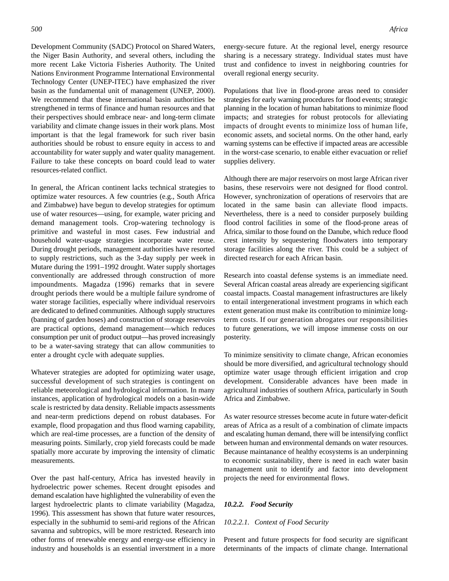Development Community (SADC) Protocol on Shared Waters, the Niger Basin Authority, and several others, including the more recent Lake Victoria Fisheries Authority. The United Nations Environment Programme International Environmental Technology Center (UNEP-ITEC) have emphasized the river basin as the fundamental unit of management (UNEP, 2000). We recommend that these international basin authorities be strengthened in terms of finance and human resources and that their perspectives should embrace near- and long-term climate variability and climate change issues in their work plans. Most important is that the legal framework for such river basin authorities should be robust to ensure equity in access to and accountability for water supply and water quality management. Failure to take these concepts on board could lead to water resources-related conflict.

In general, the African continent lacks technical strategies to optimize water resources. A few countries (e.g., South Africa and Zimbabwe) have begun to develop strategies for optimum use of water resources—using, for example, water pricing and demand management tools. Crop-watering technology is primitive and wasteful in most cases. Few industrial and household water-usage strategies incorporate water reuse. During drought periods, management authorities have resorted to supply restrictions, such as the 3-day supply per week in Mutare during the 1991–1992 drought. Water supply shortages conventionally are addressed through construction of more impoundments. Magadza (1996) remarks that in severe drought periods there would be a multiple failure syndrome of water storage facilities, especially where individual reservoirs are dedicated to defined communities. Although supply structures (banning of garden hoses) and construction of storage reservoirs are practical options, demand management—which reduces consumption per unit of product output—has proved increasingly to be a water-saving strategy that can allow communities to enter a drought cycle with adequate supplies.

Whatever strategies are adopted for optimizing water usage, successful development of such strategies is contingent on reliable meteorological and hydrological information. In many instances, application of hydrological models on a basin-wide scale is restricted by data density. Reliable impacts assessments and near-term predictions depend on robust databases. For example, flood propagation and thus flood warning capability, which are real-time processes, are a function of the density of measuring points. Similarly, crop yield forecasts could be made spatially more accurate by improving the intensity of climatic measurements.

Over the past half-century, Africa has invested heavily in hydroelectric power schemes. Recent drought episodes and demand escalation have highlighted the vulnerability of even the largest hydroelectric plants to climate variability (Magadza, 1996). This assessment has shown that future water resources, especially in the subhumid to semi-arid regions of the African savanna and subtropics, will be more restricted. Research into other forms of renewable energy and energy-use efficiency in industry and households is an essential inverstment in a more energy-secure future. At the regional level, energy resource sharing is a necessary strategy. Individual states must have trust and confidence to invest in neighboring countries for overall regional energy security.

Populations that live in flood-prone areas need to consider strategies for early warning procedures for flood events; strategic planning in the location of human habitations to minimize flood impacts; and strategies for robust protocols for alleviating impacts of drought events to minimize loss of human life, economic assets, and societal norms. On the other hand, early warning systems can be effective if impacted areas are accessible in the worst-case scenario, to enable either evacuation or relief supplies delivery.

Although there are major reservoirs on most large African river basins, these reservoirs were not designed for flood control. However, synchronization of operations of reservoirs that are located in the same basin can alleviate flood impacts. Nevertheless, there is a need to consider purposely building flood control facilities in some of the flood-prone areas of Africa, similar to those found on the Danube, which reduce flood crest intensity by sequestering floodwaters into temporary storage facilities along the river. This could be a subject of directed research for each African basin.

Research into coastal defense systems is an immediate need. Several African coastal areas already are experiencing sigificant coastal impacts. Coastal management infrastructures are likely to entail intergenerational investment programs in which each extent generation must make its contribution to minimize longterm costs. If our generation abrogates our responsibilities to future generations, we will impose immense costs on our posterity.

To minimize sensitivity to climate change, African economies should be more diversified, and agricultural technology should optimize water usage through efficient irrigation and crop development. Considerable advances have been made in agricultural industries of southern Africa, particularly in South Africa and Zimbabwe.

As water resource stresses become acute in future water-deficit areas of Africa as a result of a combination of climate impacts and escalating human demand, there will be intensifying conflict between human and environmental demands on water resources. Because maintanance of healthy ecosystems is an underpinning to economic sustainability, there is need in each water basin management unit to identify and factor into development projects the need for environmental flows.

#### *10.2.2. Food Security*

#### *10.2.2.1. Context of Food Security*

Present and future prospects for food security are significant determinants of the impacts of climate change. International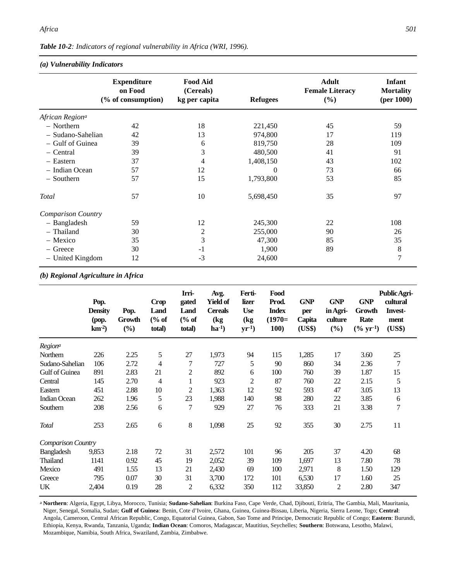#### *Table 10-2: Indicators of regional vulnerability in Africa (WRI, 1996).*

| $\sum_{i=1}^{n}$            |                                                     |                                               |                 |                                                  |                                                 |  |  |
|-----------------------------|-----------------------------------------------------|-----------------------------------------------|-----------------|--------------------------------------------------|-------------------------------------------------|--|--|
|                             | <b>Expenditure</b><br>on Food<br>(% of consumption) | <b>Food Aid</b><br>(Cereals)<br>kg per capita | <b>Refugees</b> | <b>Adult</b><br><b>Female Literacy</b><br>$(\%)$ | <b>Infant</b><br><b>Mortality</b><br>(per 1000) |  |  |
| African Region <sup>a</sup> |                                                     |                                               |                 |                                                  |                                                 |  |  |
| - Northern                  | 42                                                  | 18                                            | 221,450         | 45                                               | 59                                              |  |  |
| - Sudano-Sahelian           | 42                                                  | 13                                            | 974,800         | 17                                               | 119                                             |  |  |
| - Gulf of Guinea            | 39                                                  | 6                                             | 819,750         | 28                                               | 109                                             |  |  |
| - Central                   | 39                                                  | 3                                             | 480,500         | 41                                               | 91                                              |  |  |
| $-$ Eastern                 | 37                                                  | 4                                             | 1,408,150       | 43                                               | 102                                             |  |  |
| - Indian Ocean              | 57                                                  | 12                                            | $\theta$        | 73                                               | 66                                              |  |  |
| - Southern                  | 57                                                  | 15                                            | 1,793,800       | 53                                               | 85                                              |  |  |
| <b>Total</b>                | 57                                                  | 10                                            | 5,698,450       | 35                                               | 97                                              |  |  |
| <b>Comparison Country</b>   |                                                     |                                               |                 |                                                  |                                                 |  |  |
| - Bangladesh                | 59                                                  | 12                                            | 245,300         | 22                                               | 108                                             |  |  |
| - Thailand                  | 30                                                  | $\overline{c}$                                | 255,000         | 90                                               | 26                                              |  |  |
| - Mexico                    | 35                                                  | 3                                             | 47,300          | 85                                               | 35                                              |  |  |
| $-$ Greece                  | 30                                                  | $-1$                                          | 1,900           | 89                                               | 8                                               |  |  |
| - United Kingdom            | 12                                                  | $-3$                                          | 24,600          |                                                  | 7                                               |  |  |

#### *(a) Vulnerability Indicators*

*(b) Regional Agriculture in Africa*

|                           | Pop.<br><b>Density</b><br>(pop.<br>$km-2$ | Pop.<br>Growth<br>(%) | Crop<br>Land<br>% of<br>total) | Irri-<br>gated<br>Land<br>% of<br>total) | Avg.<br><b>Yield of</b><br><b>Cereals</b><br>(kg)<br>$ha^{-1}$ | Ferti-<br>lizer<br><b>Use</b><br>(kg<br>$yr^{-1}$ | Food<br>Prod.<br><b>Index</b><br>$(1970=$<br>100) | <b>GNP</b><br>per<br>Capita<br>(US\$) | <b>GNP</b><br>in Agri-<br>culture<br>(%) | <b>GNP</b><br>Growth<br>Rate<br>$(\% \,\text{yr-1})$ | Public Agri-<br>cultural<br><b>Invest-</b><br>ment<br>(US\$) |
|---------------------------|-------------------------------------------|-----------------------|--------------------------------|------------------------------------------|----------------------------------------------------------------|---------------------------------------------------|---------------------------------------------------|---------------------------------------|------------------------------------------|------------------------------------------------------|--------------------------------------------------------------|
| Regiona                   |                                           |                       |                                |                                          |                                                                |                                                   |                                                   |                                       |                                          |                                                      |                                                              |
| Northern                  | 226                                       | 2.25                  | 5                              | 27                                       | 1,973                                                          | 94                                                | 115                                               | 1,285                                 | 17                                       | 3.60                                                 | 25                                                           |
| Sudano-Sahelian           | 106                                       | 2.72                  | 4                              | 7                                        | 727                                                            | 5                                                 | 90                                                | 860                                   | 34                                       | 2.36                                                 | 7                                                            |
| Gulf of Guinea            | 891                                       | 2.83                  | 21                             | $\overline{c}$                           | 892                                                            | 6                                                 | 100                                               | 760                                   | 39                                       | 1.87                                                 | 15                                                           |
| Central                   | 145                                       | 2.70                  | 4                              | 1                                        | 923                                                            | $\overline{2}$                                    | 87                                                | 760                                   | 22                                       | 2.15                                                 | 5                                                            |
| Eastern                   | 451                                       | 2.88                  | 10                             | 2                                        | 1,363                                                          | 12                                                | 92                                                | 593                                   | 47                                       | 3.05                                                 | 13                                                           |
| <b>Indian Ocean</b>       | 262                                       | 1.96                  | 5                              | 23                                       | 1,988                                                          | 140                                               | 98                                                | 280                                   | 22                                       | 3.85                                                 | 6                                                            |
| Southern                  | 208                                       | 2.56                  | 6                              | 7                                        | 929                                                            | 27                                                | 76                                                | 333                                   | 21                                       | 3.38                                                 | 7                                                            |
| <b>Total</b>              | 253                                       | 2.65                  | 6                              | 8                                        | 1,098                                                          | 25                                                | 92                                                | 355                                   | 30                                       | 2.75                                                 | 11                                                           |
| <b>Comparison Country</b> |                                           |                       |                                |                                          |                                                                |                                                   |                                                   |                                       |                                          |                                                      |                                                              |
| Bangladesh                | 9,853                                     | 2.18                  | 72                             | 31                                       | 2,572                                                          | 101                                               | 96                                                | 205                                   | 37                                       | 4.20                                                 | 68                                                           |
| Thailand                  | 1141                                      | 0.92                  | 45                             | 19                                       | 2,052                                                          | 39                                                | 109                                               | 1,697                                 | 13                                       | 7.80                                                 | 78                                                           |
| Mexico                    | 491                                       | 1.55                  | 13                             | 21                                       | 2,430                                                          | 69                                                | 100                                               | 2,971                                 | 8                                        | 1.50                                                 | 129                                                          |
| Greece                    | 795                                       | 0.07                  | 30                             | 31                                       | 3,700                                                          | 172                                               | 101                                               | 6,530                                 | 17                                       | 1.60                                                 | 25                                                           |
| UK                        | 2,404                                     | 0.19                  | 28                             | $\overline{2}$                           | 6,332                                                          | 350                                               | 112                                               | 33,850                                | $\overline{2}$                           | 2.80                                                 | 347                                                          |

a **Northern**: Algeria, Egypt, Libya, Morocco, Tunisia; **Sudano-Sahelian**: Burkina Faso, Cape Verde, Chad, Djibouti, Eritria, The Gambia, Mali, Mauritania, Niger, Senegal, Somalia, Sudan; **Gulf of Guinea**: Benin, Cote d'Ivoire, Ghana, Guinea, Guinea-Bissau, Liberia, Nigeria, Sierra Leone, Togo; **Central**: Angola, Cameroon, Central African Republic, Congo, Equatorial Guinea, Gabon, Sao Tome and Principe, Democratic Republic of Congo; **Eastern**: Burundi, Ethiopia, Kenya, Rwanda, Tanzania, Uganda; **Indian Ocean**: Comoros, Madagascar, Mautitius, Seychelles; **Southern**: Botswana, Lesotho, Malawi, Mozambique, Namibia, South Africa, Swaziland, Zambia, Zimbabwe.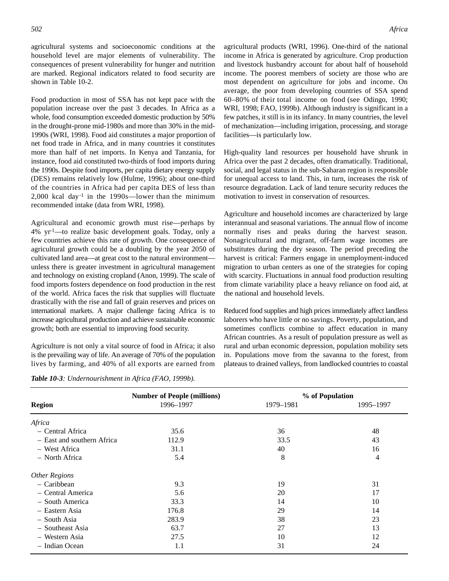agricultural systems and socioeconomic conditions at the household level are major elements of vulnerability. The consequences of present vulnerability for hunger and nutrition are marked. Regional indicators related to food security are shown in Table 10-2.

Food production in most of SSA has not kept pace with the population increase over the past 3 decades. In Africa as a whole, food consumption exceeded domestic production by 50% in the drought-prone mid-1980s and more than 30% in the mid-1990s (WRI, 1998). Food aid constitutes a major proportion of net food trade in Africa, and in many countries it constitutes more than half of net imports. In Kenya and Tanzania, for instance, food aid constituted two-thirds of food imports during the 1990s. Despite food imports, per capita dietary energy supply (DES) remains relatively low (Hulme, 1996); about one-third of the countries in Africa had per capita DES of less than 2,000 kcal day<sup>-1</sup> in the 1990s—lower than the minimum recommended intake (data from WRI, 1998).

Agricultural and economic growth must rise—perhaps by 4% yr-1—to realize basic development goals. Today, only a few countries achieve this rate of growth. One consequence of agricultural growth could be a doubling by the year 2050 of cultivated land area—at great cost to the natural environment unless there is greater investment in agricultural management and technology on existing cropland (Anon, 1999). The scale of food imports fosters dependence on food production in the rest of the world. Africa faces the risk that supplies will fluctuate drastically with the rise and fall of grain reserves and prices on international markets. A major challenge facing Africa is to increase agricultural production and achieve sustainable economic growth; both are essential to improving food security.

Agriculture is not only a vital source of food in Africa; it also is the prevailing way of life. An average of 70% of the population lives by farming, and 40% of all exports are earned from

|  |  | Table 10-3: Undernourishment in Africa (FAO, 1999b). |  |  |  |
|--|--|------------------------------------------------------|--|--|--|
|--|--|------------------------------------------------------|--|--|--|

agricultural products (WRI, 1996). One-third of the national income in Africa is generated by agriculture. Crop production and livestock husbandry account for about half of household income. The poorest members of society are those who are most dependent on agriculture for jobs and income. On average, the poor from developing countries of SSA spend 60–80% of their total income on food (see Odingo, 1990; WRI, 1998; FAO, 1999b). Although industry is significant in a few patches, it still is in its infancy. In many countries, the level of mechanization—including irrigation, processing, and storage facilities—is particularly low.

High-quality land resources per household have shrunk in Africa over the past 2 decades, often dramatically. Traditional, social, and legal status in the sub-Saharan region is responsible for unequal access to land. This, in turn, increases the risk of resource degradation. Lack of land tenure security reduces the motivation to invest in conservation of resources.

Agriculture and household incomes are characterized by large interannual and seasonal variations. The annual flow of income normally rises and peaks during the harvest season. Nonagricultural and migrant, off-farm wage incomes are substitutes during the dry season. The period preceding the harvest is critical: Farmers engage in unemployment-induced migration to urban centers as one of the strategies for coping with scarcity. Fluctuations in annual food production resulting from climate variability place a heavy reliance on food aid, at the national and household levels.

Reduced food supplies and high prices immediately affect landless laborers who have little or no savings. Poverty, population, and sometimes conflicts combine to affect education in many African countries. As a result of population pressure as well as rural and urban economic depression, population mobility sets in. Populations move from the savanna to the forest, from plateaus to drained valleys, from landlocked countries to coastal

|                            | <b>Number of People (millions)</b> | % of Population |                |  |
|----------------------------|------------------------------------|-----------------|----------------|--|
| <b>Region</b>              | 1996-1997                          | 1979-1981       | 1995-1997      |  |
| Africa                     |                                    |                 |                |  |
| - Central Africa           | 35.6                               | 36              | 48             |  |
| - East and southern Africa | 112.9                              | 33.5            | 43             |  |
| - West Africa              | 31.1                               | 40              | 16             |  |
| - North Africa             | 5.4                                | 8               | $\overline{4}$ |  |
| <b>Other Regions</b>       |                                    |                 |                |  |
| - Caribbean                | 9.3                                | 19              | 31             |  |
| - Central America          | 5.6                                | 20              | 17             |  |
| - South America            | 33.3                               | 14              | 10             |  |
| - Eastern Asia             | 176.8                              | 29              | 14             |  |
| - South Asia               | 283.9                              | 38              | 23             |  |
| - Southeast Asia           | 63.7                               | 27              | 13             |  |
| - Western Asia             | 27.5                               | 10              | 12             |  |
| - Indian Ocean             | 1.1                                | 31              | 24             |  |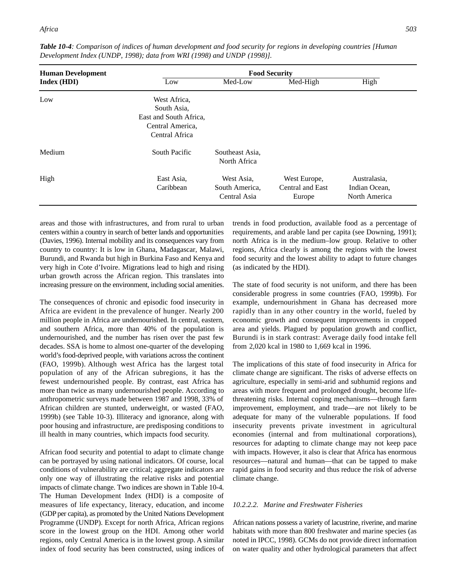areas and those with infrastructures, and from rural to urban centers within a country in search of better lands and opportunities (Davies, 1996). Internal mobility and its consequences vary from country to country: It is low in Ghana, Madagascar, Malawi, Burundi, and Rwanda but high in Burkina Faso and Kenya and very high in Cote d'Ivoire. Migrations lead to high and rising urban growth across the African region. This translates into increasing pressure on the environment, including social amenities.

The consequences of chronic and episodic food insecurity in Africa are evident in the prevalence of hunger. Nearly 200 million people in Africa are undernourished. In central, eastern, and southern Africa, more than 40% of the population is undernourished, and the number has risen over the past few decades. SSA is home to almost one-quarter of the developing world's food-deprived people, with variations across the continent ( FAO, 1999b). Although west Africa has the largest total population of any of the African subregions, it has the fewest undernourished people. By contrast, east Africa has more than twice as many undernourished people. According to anthropometric surveys made between 1987 and 1998, 33% of African children are stunted, underweight, or wasted (FAO, 1999b) (see Table 10-3). Illiteracy and ignorance, along with poor housing and infrastructure, are predisposing conditions to ill health in many countries, which impacts food security.

African food security and potential to adapt to climate change can be portrayed by using national indicators. Of course, local conditions of vulnerability are critical; aggregate indicators are only one way of illustrating the relative risks and potential impacts of climate change. Two indices are shown in Table 10-4. The Human Development Index (HDI) is a composite of measures of life expectancy, literacy, education, and income (GDP per capita), as promoted by the United Nations Development Programme (UNDP). Except for north Africa, African regions score in the lowest group on the HDI. Among other world regions, only Central America is in the lowest group. A similar index of food security has been constructed, using indices of

trends in food production, available food as a percentage of requirements, and arable land per capita (see Downing, 1991); north Africa is in the medium–low group. Relative to other regions, Africa clearly is among the regions with the lowest food security and the lowest ability to adapt to future changes (as indicated by the HDI).

The state of food security is not uniform, and there has been considerable progress in some countries (FAO, 1999b). For example, undernourishment in Ghana has decreased more rapidly than in any other country in the world, fueled by economic growth and consequent improvements in cropped area and yields. Plagued by population growth and conflict, Burundi is in stark contrast: Average daily food intake fell from 2,020 kcal in 1980 to 1,669 kcal in 1996.

The implications of this state of food insecurity in Africa for climate change are significant. The risks of adverse effects on agriculture, especially in semi-arid and subhumid regions and areas with more frequent and prolonged drought, become lifethreatening risks. Internal coping mechanisms—through farm improvement, employment, and trade—are not likely to be adequate for many of the vulnerable populations. If food in security prevents private investment in agricultural economies (internal and from multinational corporations), resources for adapting to climate change may not keep pace with impacts. However, it also is clear that Africa has enormous resources—natural and human—that can be tapped to make rapid gains in food security and thus reduce the risk of adverse climate change.

#### *10.2.2.2. Marine and Freshwater Fisheries*

African nations possess a variety of lacustrine, riverine, and marine habitats with more than 800 freshwater and marine species (as noted in IPCC, 1998). GCMs do not provide direct information on water quality and other hydrological parameters that affect

| Table 10-4: Comparison of indices of human development and food security for regions in developing countries [Human |  |
|---------------------------------------------------------------------------------------------------------------------|--|
| Development Index (UNDP, 1998); data from WRI (1998) and UNDP (1998)].                                              |  |

| <b>Human Development</b> | <b>Food Security</b>                                                                        |                                              |                                                   |                                                |  |  |
|--------------------------|---------------------------------------------------------------------------------------------|----------------------------------------------|---------------------------------------------------|------------------------------------------------|--|--|
| Index (HDI)              | Low                                                                                         | Med-Low                                      | Med-High                                          | High                                           |  |  |
| Low                      | West Africa,<br>South Asia,<br>East and South Africa,<br>Central America,<br>Central Africa |                                              |                                                   |                                                |  |  |
| Medium                   | South Pacific                                                                               | Southeast Asia,<br>North Africa              |                                                   |                                                |  |  |
| High                     | East Asia,<br>Caribbean                                                                     | West Asia,<br>South America,<br>Central Asia | West Europe,<br><b>Central and East</b><br>Europe | Australasia,<br>Indian Ocean.<br>North America |  |  |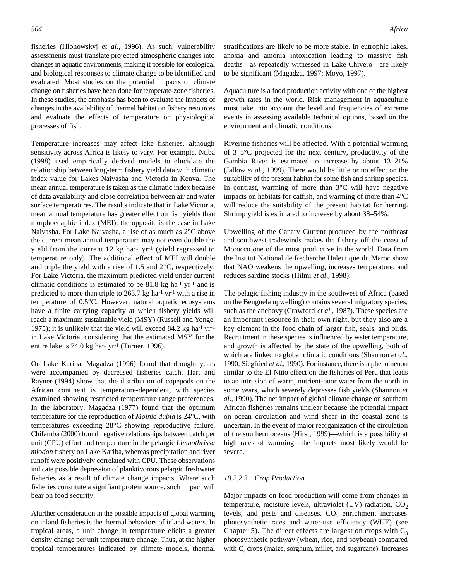fisheries (Hlohowskyj *et al.,* 1996). As such, vulnerability assessments must translate projected atmospheric changes into changes in aquatic environments, making it possible for ecological and biological responses to climate change to be identified and evaluated. Most studies on the potential impacts of climate change on fisheries have been done for temperate-zone fisheries. In these studies, the emphasis has been to evaluate the impacts of changes in the availability of thermal habitat on fishery resources and evaluate the effects of temperature on physiological processes of fish.

Temperature increases may affect lake fisheries, although sensitivity across Africa is likely to vary. For example, Ntiba (1998) used empirically derived models to elucidate the relationship between long-term fishery yield data with climatic index value for Lakes Naivasha and Victoria in Kenya. The mean annual temperature is taken as the climatic index because of data availability and close correlation between air and water surface temperatures. The results indicate that in Lake Victoria, mean annual temperature has greater effect on fish yields than morphoedaphic index (MEI); the opposite is the case in Lake Naivasha. For Lake Naivasha, a rise of as much as 2°C above the current mean annual temperature may not even double the yield from the current  $12 \text{ kg}$  ha<sup>-1</sup> yr<sup>-1</sup> (yield regressed to temperature only). The additional effect of MEI will double and triple the yield with a rise of 1.5 and 2°C, respectively. For Lake Victoria, the maximum predicted yield under current climatic conditions is estimated to be  $81.8 \text{ kg}$  ha<sup>-1</sup> yr<sup>-1</sup> and is predicted to more than triple to  $263.7$  kg ha<sup>-1</sup> yr<sup>-1</sup> with a rise in temperature of 0.5°C. However, natural aquatic ecosystems have a finite carrying capacity at which fishery yields will reach a maximum sustainable yield (MSY) (Russell and Yonge, 1975); it is unlikely that the yield will exceed  $84.2 \text{ kg}$  ha<sup>-1</sup> yr<sup>-1</sup> in Lake Victoria, considering that the estimated MSY for the entire lake is 74.0 kg ha<sup>-1</sup> yr<sup>-1</sup> (Turner, 1996).

On Lake Kariba, Magadza (1996) found that drought years were accompanied by decreased fisheries catch. Hart and Rayner (1994) show that the distribution of copepods on the African continent is temperature-dependent, with species examined showing restricted temperature range preferences. In the laboratory, Magadza (1977) found that the optimum temperature for the reproduction of *Moinia dubia* is 24°C, with temperatures exceeding 28°C showing reproductive failure. Chifamba (2000) found negative relationships between catch per unit (CPU) effort and temperature in the pelargic *Limnothrissa miodon* fishery on Lake Kariba, whereas precipitation and river run off were positively correlated with CPU. These observations indicate possible depression of planktivorous pelargic freshwater fisheries as a result of climate change impacts. Where such fisheries constitute a signifiant protein source, such impact will bear on food security.

Afurther consideration in the possible impacts of global warming on inland fisheries is the thermal behaviors of inland waters. In tropical areas, a unit change in temperature elicits a greater density change per unit temperature change. Thus, at the higher tropical temperatures indicated by climate models, thermal stratifications are likely to be more stable. In eutrophic lakes, anoxia and amonia intoxication leading to massive fish deaths—as repeatedly witnessed in Lake Chivero—are likely to be significant (Magadza, 1997; Moyo, 1997).

Aquaculture is a food production activity with one of the highest growth rates in the world. Risk management in aquaculture must take into account the level and frequencies of extreme events in assessing available technical options, based on the environment and climatic conditions.

Riverine fisheries will be affected. With a potential warming of 3–5°C projected for the next century, productivity of the Gambia River is estimated to increase by about 13–21% (Jallow *et al.,* 1999). There would be little or no effect on the suitability of the present habitat for some fish and shrimp species. In contrast, warming of more than  $3^{\circ}$ C will have negative impacts on habitats for catfish, and warming of more than 4°C will reduce the suitability of the present habitat for herring. Shrimp yield is estimated to increase by about 38–54%.

Upwelling of the Canary Current produced by the northeast and southwest tradewinds makes the fishery off the coast of Morocco one of the most productive in the world. Data from the Institut National de Recherche Haleutique du Maroc show that NAO weakens the upwelling, increases temperature, and reduces sardine stocks (Hilmi *et al*., 1998).

The pelagic fishing industry in the southwest of Africa (based on the Benguela upwelling) contains several migratory species, such as the anchovy (Crawford *et al.,* 1987). These species are an important resource in their own right, but they also are a key element in the food chain of larger fish, seals, and birds. Recruitment in these species is influenced by water temperature, and growth is affected by the state of the upwelling, both of which are linked to global climatic conditions (Shannon *et al*., 1990; Siegfried *et al*., 1990). For instance, there is a phenomenon similar to the El Niño effect on the fisheries of Peru that leads to an intrusion of warm, nutrient-poor water from the north in some years, which severely depresses fish yields (Shannon *et al.*, 1990). The net impact of global climate change on southern African fisheries remains unclear because the potential impact on ocean circulation and wind shear in the coastal zone is uncertain. In the event of major reorganization of the circulation of the southern oceans (Hirst, 1999)—which is a possibility at high rates of warming—the impacts most likely would be severe.

#### *10.2.2.3. Crop Production*

Major impacts on food production will come from changes in temperature, moisture levels, ultraviolet (UV) radiation,  $CO<sub>2</sub>$ levels, and pests and diseases.  $CO<sub>2</sub>$  enrichment increases photosynthetic rates and water-use efficiency (WUE) (see Chapter 5). The direct effects are largest on crops with  $C_3$ photosynthetic pathway (wheat, rice, and soybean) compared with C<sub>4</sub> crops (maize, sorghum, millet, and sugarcane). Increases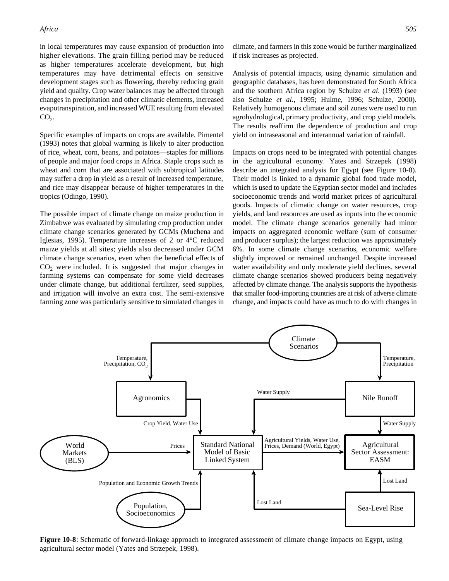#### *Africa 505*

in local temperatures may cause expansion of production into higher elevations. The grain filling period may be reduced as higher temperatures accelerate development, but high temperatures may have detrimental effects on sensitive development stages such as flowering, thereby reducing grain yield and quality. Crop water balances may be affected through changes in precipitation and other climatic elements, increased evapotranspiration, and increased WUE resulting from elevated  $CO<sub>2</sub>$ .

Specific examples of impacts on crops are available. Pimentel (1993) notes that global warming is likely to alter production of rice, wheat, corn, beans, and potatoes—staples for millions of people and major food crops in Africa. Staple crops such as wheat and corn that are associated with subtropical latitudes may suffer a drop in yield as a result of increased temperature, and rice may disappear because of higher temperatures in the tropics (Odingo, 1990).

The possible impact of climate change on maize production in Zimbabwe was evaluated by simulating crop production under climate change scenarios generated by GCMs (Muchena and Iglesias, 1995). Temperature increases of 2 or 4°C reduced maize yields at all sites; yields also decreased under GCM climate change scenarios, even when the beneficial effects of  $CO<sub>2</sub>$  were included. It is suggested that major changes in farming systems can compensate for some yield decreases under climate change, but additional fertilizer, seed supplies, and irrigation will involve an extra cost. The semi-extensive farming zone was particularly sensitive to simulated changes in climate, and farmers in this zone would be further marginalized if risk increases as projected.

Analysis of potential impacts, using dynamic simulation and geographic databases, has been demonstrated for South Africa and the southern Africa region by Schulze *et al*. (1993) (see also Schulze *et al.,* 1995; Hulme, 1996; Schulze, 2000). Relatively homogenous climate and soil zones were used to run agrohydrological, primary productivity, and crop yield models. The results reaffirm the dependence of production and crop yield on intraseasonal and interannual variation of rainfall.

Impacts on crops need to be integrated with potential changes in the agricultural economy. Yates and Strzepek (1998) describe an integrated analysis for Egypt (see Figure 10-8). Their model is linked to a dynamic global food trade model, which is used to update the Egyptian sector model and includes socioeconomic trends and world market prices of agricultural goods. Impacts of climatic change on water resources, crop yields, and land resources are used as inputs into the economic model. The climate change scenarios generally had minor impacts on aggregated economic welfare (sum of consumer and producer surplus); the largest reduction was approximately 6%. In some climate change scenarios, economic welfare slightly improved or remained unchanged. Despite increased water availability and only moderate yield declines, several climate change scenarios showed producers being negatively a ffected by climate change. The analysis supports the hypothesis that smaller food-importing countries are at risk of adverse climate change, and impacts could have as much to do with changes in



**Figure 10-8**: Schematic of forward-linkage approach to integrated assessment of climate change impacts on Egypt, using agricultural sector model (Yates and Strzepek, 1998).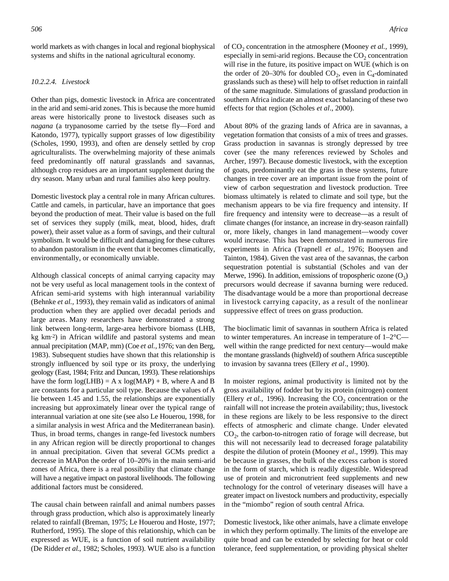world markets as with changes in local and regional biophysical systems and shifts in the national agricultural economy.

#### *10.2.2.4. Livestock*

Other than pigs, domestic livestock in Africa are concentrated in the arid and semi-arid zones. This is because the more humid areas were historically prone to livestock diseases such as *nagana* (a trypanosome carried by the tsetse fly—Ford and Katondo, 1977), typically support grasses of low digestibility (Scholes, 1990, 1993), and often are densely settled by crop agriculturalists. The overwhelming majority of these animals feed predominantly off natural grasslands and savannas, although crop residues are an important supplement during the dry season. Many urban and rural families also keep poultry.

Domestic livestock play a central role in many African cultures. Cattle and camels, in particular, have an importance that goes beyond the production of meat. Their value is based on the full set of services they supply (milk, meat, blood, hides, draft power), their asset value as a form of savings, and their cultural symbolism. It would be difficult and damaging for these cultures to abandon pastoralism in the event that it becomes climatically, environmentally, or economically unviable.

Although classical concepts of animal carrying capacity may not be very useful as local management tools in the context of African semi-arid systems with high interannual variability (Behnke *et al.,* 1993), they remain valid as indicators of animal production when they are applied over decadal periods and large areas. Many researchers have demonstrated a strong link between long-term, large-area herbivore biomass (LHB, kg km-2) in African wildlife and pastoral systems and mean annual precipitation (MAP, mm) (Coe et al., 1976; van den Berg, 1983). Subsequent studies have shown that this relationship is strongly influenced by soil type or its proxy, the underlying geology (East, 1984; Fritz and Duncan, 1993). These relationships have the form  $log(LHB) = A x log(MAP) + B$ , where A and B are constants for a particular soil type. Because the values of A lie between 1.45 and 1.55, the relationships are exponentially increasing but approximately linear over the typical range of interannual variation at one site (see also Le Houerou, 1998, for a similar analysis in west Africa and the Mediterranean basin). Thus, in broad terms, changes in range-fed livestock numbers in any African region will be directly proportional to changes in annual precipitation. Given that several GCMs predict a decrease in MAPon the order of 10–20% in the main semi-arid zones of Africa, there is a real possibility that climate change will have a negative impact on pastoral livelihoods. The following additional factors must be considered.

The causal chain between rainfall and animal numbers passes through grass production, which also is approximately linearly related to rainfall (Breman, 1975; Le Houerou and Hoste, 1977; Rutherford, 1995). The slope of this relationship, which can be expressed as WUE, is a function of soil nutrient availability (De Ridder *et al*., 1982; Scholes, 1993). WUE also is a function

of CO<sub>2</sub> concentration in the atmosphere (Mooney *et al.*, 1999), especially in semi-arid regions. Because the  $CO<sub>2</sub>$  concentration will rise in the future, its positive impact on WUE (which is on the order of 20–30% for doubled  $CO_2$ , even in  $C_4$ -dominated grasslands such as these) will help to offset reduction in rainfall of the same magnitude. Simulations of grassland production in southern Africa indicate an almost exact balancing of these two effects for that region (Scholes *et al*., 2000).

About 80% of the grazing lands of Africa are in savannas, a vegetation formation that consists of a mix of trees and grasses. Grass production in savannas is strongly depressed by tree cover (see the many references reviewed by Scholes and Archer, 1997). Because domestic livestock, with the exception of goats, predominantly eat the grass in these systems, future changes in tree cover are an important issue from the point of view of carbon sequestration and livestock production. Tree biomass ultimately is related to climate and soil type, but the mechanism appears to be via fire frequency and intensity. If fire frequency and intensity were to decrease—as a result of climate changes (for instance, an increase in dry-season rainfall) or, more likely, changes in land management—woody cover would increase. This has been demonstrated in numerous fire experiments in Africa (Trapnell *et al.,* 1976; Booysen and Tainton, 1984). Given the vast area of the savannas, the carbon sequestration potential is substantial (Scholes and van der Merwe, 1996). In addition, emissions of tropospheric ozone  $(O_3)$ precursors would decrease if savanna burning were reduced. The disadvantage would be a more than proportional decrease in livestock carrying capacity, as a result of the nonlinear suppressive effect of trees on grass production.

The bioclimatic limit of savannas in southern Africa is related to winter temperatures. An increase in temperature of  $1-2$ <sup>o</sup>C well within the range predicted for next century—would make the montane grasslands (highveld) of southern Africa susceptible to invasion by savanna trees (Ellery *et al*., 1990).

In moister regions, animal productivity is limited not by the gross availability of fodder but by its protein (nitrogen) content (Ellery *et al.*, 1996). Increasing the  $CO_2$  concentration or the rainfall will not increase the protein availability; thus, livestock in these regions are likely to be less responsive to the direct effects of atmospheric and climate change. Under elevated CO<sup>2</sup> , the carbon-to-nitrogen ratio of forage will decrease, but this will not necessarily lead to decreased forage palatability despite the dilution of protein (Mooney *et al*., 1999). This may be because in grasses, the bulk of the excess carbon is stored in the form of starch, which is readily digestible. Widespread use of protein and micronutrient feed supplements and new technology for the control of veterinary diseases will have a greater impact on livestock numbers and productivity, especially in the "miombo" region of south central Africa.

Domestic livestock, like other animals, have a climate envelope in which they perform optimally. The limits of the envelope are quite broad and can be extended by selecting for heat or cold tolerance, feed supplementation, or providing physical shelter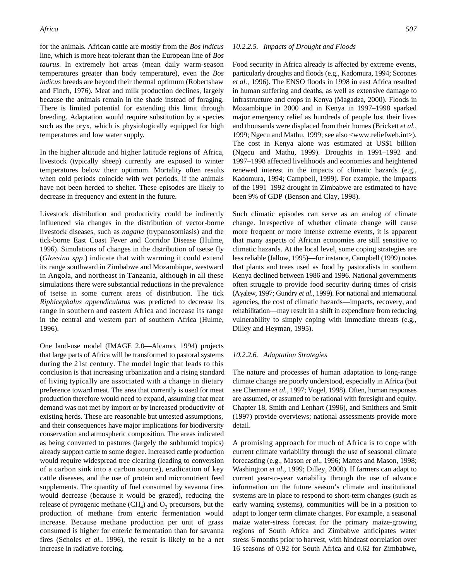for the animals. African cattle are mostly from the *Bos indicus* line, which is more heat-tolerant than the European line of *Bos taurus*. In extremely hot areas (mean daily warm-season temperatures greater than body temperature), even the *Bos indicus* breeds are beyond their thermal optimum (Robertshaw and Finch, 1976). Meat and milk production declines, largely because the animals remain in the shade instead of foraging. There is limited potential for extending this limit through breeding. Adaptation would require substitution by a species such as the oryx, which is physiologically equipped for high temperatures and low water supply.

In the higher altitude and higher latitude regions of Africa, livestock (typically sheep) currently are exposed to winter temperatures below their optimum. Mortality often results when cold periods coincide with wet periods, if the animals have not been herded to shelter. These episodes are likely to decrease in frequency and extent in the future.

Livestock distribution and productivity could be indirectly influenced via changes in the distribution of vector-borne livestock diseases, such as *nagana* (trypanosomiasis) and the tick-borne East Coast Fever and Corridor Disease (Hulme, 1996). Simulations of changes in the distribution of tsetse fly (*Glossina spp.*) indicate that with warming it could extend its range southward in Zimbabwe and Mozambique, westward in Angola, and northeast in Tanzania, although in all these simulations there were substantial reductions in the prevalence of tsetse in some current areas of distribution. The tick *Riphicephalus appendiculatus* was predicted to decrease its range in southern and eastern Africa and increase its range in the central and western part of southern Africa (Hulme, 1996).

One land-use model (IMAGE 2.0—Alcamo, 1994) projects that large parts of Africa will be transformed to pastoral systems during the 21st century. The model logic that leads to this conclusion is that increasing urbanization and a rising standard of living typically are associated with a change in dietary preference toward meat. The area that currently is used for meat production therefore would need to expand, assuming that meat demand was not met by import or by increased productivity of existing herds. These are reasonable but untested assumptions, and their consequences have major implications for biodiversity conservation and atmospheric composition. The areas indicated as being converted to pastures (largely the subhumid tropics) already support cattle to some degree. Increased cattle production would require widespread tree clearing (leading to conversion of a carbon sink into a carbon source), eradication of key cattle diseases, and the use of protein and micronutrient feed supplements. The quantity of fuel consumed by savanna fires would decrease (because it would be grazed), reducing the release of pyrogenic methane  $(CH_4)$  and  $O_3$  precursors, but the production of methane from enteric fermentation would increase. Because methane production per unit of grass consumed is higher for enteric fermentation than for savanna fires (Scholes *et al.,* 1996), the result is likely to be a net increase in radiative forcing.

#### *10.2.2.5. Impacts of Drought and Floods*

Food security in Africa already is affected by extreme events, particularly droughts and floods (e.g., Kadomura, 1994; Scoones *et al.,* 1996). The ENSO floods in 1998 in east Africa resulted in human suffering and deaths, as well as extensive damage to infrastructure and crops in Kenya (Magadza, 2000). Floods in Mozambique in 2000 and in Kenya in 1997–1998 sparked major emergency relief as hundreds of people lost their lives and thousands were displaced from their homes (Brickett *et al.,* 1999; Ngecu and Mathu, 1999; see also <www.reliefweb.int>). The cost in Kenya alone was estimated at US\$1 billion (Ngecu and Mathu, 1999). Droughts in 1991–1992 and 1997–1998 affected livelihoods and economies and heightened renewed interest in the impacts of climatic hazards (e.g., Kadomura, 1994; Campbell, 1999). For example, the impacts of the 1991–1992 drought in Zimbabwe are estimated to have been 9% of GDP (Benson and Clay, 1998).

Such climatic episodes can serve as an analog of climate change. Irrespective of whether climate change will cause more frequent or more intense extreme events, it is apparent that many aspects of African economies are still sensitive to climatic hazards. At the local level, some coping strategies are less reliable (Jallow, 1995)—for instance, Campbell (1999) notes that plants and trees used as food by pastoralists in southern Kenya declined between 1986 and 1996. National governments often struggle to provide food security during times of crisis (Ayalew, 1997; Gundry *et al.*, 1999). For national and international agencies, the cost of climatic hazards—impacts, recovery, and rehabilitation—may result in a shift in expenditure from reducing vulnerability to simply coping with immediate threats (e.g., Dilley and Heyman, 1995).

#### *10.2.2.6. Adaptation Strategies*

The nature and processes of human adaptation to long-range climate change are poorly understood, especially in Africa (but see Chemane *et al.,* 1997; Vogel, 1998). Often, human responses are assumed, or assumed to be rational with foresight and equity. Chapter 18, Smith and Lenhart (1996), and Smithers and Smit (1997) provide overviews; national assessments provide more detail.

A promising approach for much of Africa is to cope with current climate variability through the use of seasonal climate forecasting (e.g., Mason *et al*., 1996; Mattes and Mason, 1998; Washington *et al*., 1999; Dilley, 2000). If farmers can adapt to current year-to-year variability through the use of advance information on the future season's climate and institutional systems are in place to respond to short-term changes (such as early warning systems), communities will be in a position to adapt to longer term climate changes. For example, a seasonal maize water-stress forecast for the primary maize-growing regions of South Africa and Zimbabwe anticipates water stress 6 months prior to harvest, with hindcast correlation over 16 seasons of 0.92 for South Africa and 0.62 for Zimbabwe,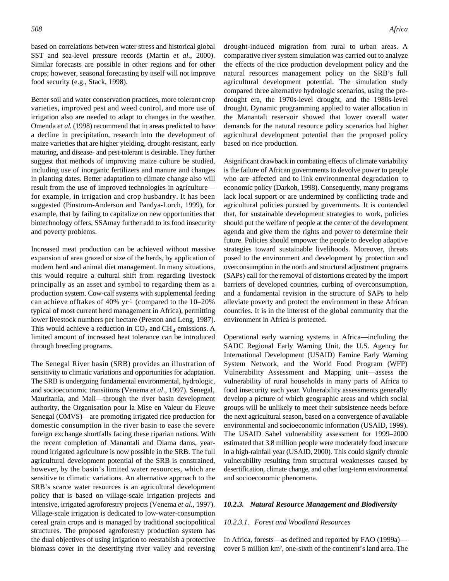based on correlations between water stress and historical global SST and sea-level pressure records (Martin *et al*., 2000). Similar forecasts are possible in other regions and for other crops; however, seasonal forecasting by itself will not improve food security (e.g., Stack, 1998).

Better soil and water conservation practices, more tolerant crop varieties, improved pest and weed control, and more use of irrigation also are needed to adapt to changes in the weather. Omenda *et al*. (1998) recommend that in areas predicted to have a decline in precipitation, research into the development of maize varieties that are higher yielding, drought-resistant, early maturing, and disease- and pest-tolerant is desirable. They further suggest that methods of improving maize culture be studied, including use of inorganic fertilizers and manure and changes in planting dates. Better adaptation to climate change also will result from the use of improved technologies in agriculture for example, in irrigation and crop husbandry. It has been suggested (Pinstrum-Anderson and Pandya-Lorch, 1999), for example, that by failing to capitalize on new opportunities that biotechnology offers, SSAmay further add to its food insecurity and poverty problems.

Increased meat production can be achieved without massive expansion of area grazed or size of the herds, by application of modern herd and animal diet management. In many situations, this would require a cultural shift from regarding livestock principally as an asset and symbol to regarding them as a production system. Cow-calf systems with supplemental feeding can achieve offtakes of 40%  $yr<sup>-1</sup>$  (compared to the 10–20%) typical of most current herd management in Africa), permitting lower livestock numbers per hectare (Preston and Leng, 1987). This would achieve a reduction in  $CO_2$  and  $CH_4$  emissions. A limited amount of increased heat tolerance can be introduced through breeding programs.

The Senegal River basin (SRB) provides an illustration of sensitivity to climatic variations and opportunities for adaptation. The SRB is undergoing fundamental environmental, hydrologic, and socioeconomic transitions (Venema *et al*., 1997). Senegal, Mauritania, and Mali—through the river basin development authority, the Organisation pour la Mise en Valeur du Fleuve Senegal (OMVS)—are promoting irrigated rice production for domestic consumption in the river basin to ease the severe foreign exchange shortfalls facing these riparian nations. With the recent completion of Manantali and Diama dams, yearround irrigated agriculture is now possible in the SRB. The full agricultural development potential of the SRB is constrained, however, by the basin's limited water resources, which are sensitive to climatic variations. An alternative approach to the SRB's scarce water resources is an agricultural development policy that is based on village-scale irrigation projects and intensive, irrigated agroforestry projects (Venema *et al.,* 1997). Village-scale irrigation is dedicated to low-water-consumption cereal grain crops and is managed by traditional sociopolitical structures. The proposed agroforestry production system has the dual objectives of using irrigation to reestablish a protective biomass cover in the desertifying river valley and reversing drought-induced migration from rural to urban areas. A comparative river system simulation was carried out to analyze the effects of the rice production development policy and the natural resources management policy on the SRB's full agricultural development potential. The simulation study compared three alternative hydrologic scenarios, using the predrought era, the 1970s-level drought, and the 1980s-level drought. Dynamic programming applied to water allocation in the Manantali reservoir showed that lower overall water demands for the natural resource policy scenarios had higher agricultural development potential than the proposed policy based on rice production.

Asignificant drawback in combating effects of climate variability is the failure of African governments to devolve power to people who are affected and to link environmental degradation to economic policy (Darkoh, 1998). Consequently, many programs lack local support or are undermined by conflicting trade and agricultural policies pursued by governments. It is contended that, for sustainable development strategies to work, policies should put the welfare of people at the center of the development agenda and give them the rights and power to determine their future. Policies should empower the people to develop adaptive strategies toward sustainable livelihoods. Moreover, threats posed to the environment and development by protection and overconsumption in the north and structural adjustment programs (SAPs) call for the removal of distortions created by the import barriers of developed countries, curbing of overconsumption, and a fundamental revision in the structure of SAPs to help alleviate poverty and protect the environment in these African countries. It is in the interest of the global community that the environment in Africa is protected.

Operational early warning systems in Africa—including the SADC Regional Early Warning Unit, the U.S. Agency for International Development (USAID) Famine Early Warning System Network, and the World Food Program (WFP) Vulnerability Assessment and Mapping unit—assess the vulnerability of rural households in many parts of Africa to food insecurity each year. Vulnerability assessments generally develop a picture of which geographic areas and which social groups will be unlikely to meet their subsistence needs before the next agricultural season, based on a convergence of available environmental and socioeconomic information (USAID, 1999). The USAID Sahel vulnerability assessment for 1999–2000 estimated that 3.8 million people were moderately food insecure in a high-rainfall year (USAID, 2000). This could signify chronic vulnerability resulting from structural weaknesses caused by desertification, climate change, and other long-term environmental and socioeconomic phenomena.

#### *10.2.3. Natural Resource Management and Biodiversity*

#### *10.2.3.1. Forest and Woodland Resources*

In Africa, forests—as defined and reported by FAO (1999a) cover 5 million km2, one-sixth of the continent's land area. The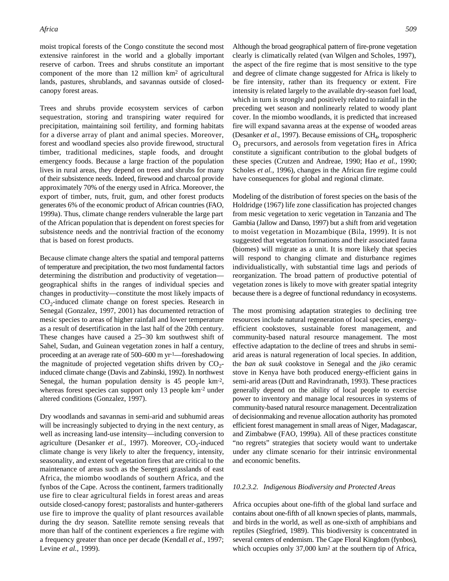moist tropical forests of the Congo constitute the second most extensive rainforest in the world and a globally important reserve of carbon. Trees and shrubs constitute an important component of the more than 12 million km<sup>2</sup> of agricultural lands, pastures, shrublands, and savannas outside of closedcanopy forest areas.

Trees and shrubs provide ecosystem services of carbon sequestration, storing and transpiring water required for precipitation, maintaining soil fertility, and forming habitats for a diverse array of plant and animal species. Moreover, forest and woodland species also provide firewood, structural timber, traditional medicines, staple foods, and drought emergency foods. Because a large fraction of the population lives in rural areas, they depend on trees and shrubs for many of their subsistence needs. Indeed, firewood and charcoal provide approximately 70% of the energy used in Africa. Moreover, the export of timber, nuts, fruit, gum, and other forest products generates 6% of the economic product of African countries (FAO, 1999a). Thus, climate change renders vulnerable the large part of the African population that is dependent on forest species for subsistence needs and the nontrivial fraction of the economy that is based on forest products.

Because climate change alters the spatial and temporal patterns of temperature and precipitation, the two most fundamental factors determining the distribution and productivity of vegetation geographical shifts in the ranges of individual species and changes in productivity—constitute the most likely impacts of CO<sup>2</sup> -induced climate change on forest species. Research in Senegal (Gonzalez, 1997, 2001) has documented retraction of mesic species to areas of higher rainfall and lower temperature as a result of desertification in the last half of the 20th century. These changes have caused a 25–30 km southwest shift of Sahel, Sudan, and Guinean vegetation zones in half a century, proceeding at an average rate of 500–600 m yr<sup>1</sup>—foreshadowing the magnitude of projected vegetation shifts driven by  $CO_2$ induced climate change (Davis and Zabinski, 1992). In northwest Senegal, the human population density is 45 people km-2, whereas forest species can support only 13 people km-2 under altered conditions (Gonzalez, 1997).

Dry woodlands and savannas in semi-arid and subhumid areas will be increasingly subjected to drying in the next century, as well as increasing land-use intensity—including conversion to agriculture (Desanker *et al.*, 1997). Moreover, CO<sub>2</sub>-induced climate change is very likely to alter the frequency, intensity, seasonality, and extent of vegetation fires that are critical to the maintenance of areas such as the Serengeti grasslands of east Africa, the miombo woodlands of southern Africa, and the fynbos of the Cape. Across the continent, farmers traditionally use fire to clear agricultural fields in forest areas and areas outside closed-canopy forest; pastoralists and hunter-gatherers use fire to improve the quality of plant resources available during the dry season. Satellite remote sensing reveals that more than half of the continent experiences a fire regime with a frequency greater than once per decade (Kendall *et al.,* 1997; Levine *et al.,* 1999).

Although the broad geographical pattern of fire-prone vegetation clearly is climatically related (van Wilgen and Scholes, 1997), the aspect of the fire regime that is most sensitive to the type and degree of climate change suggested for Africa is likely to be fire intensity, rather than its frequency or extent. Fire intensity is related largely to the available dry-season fuel load, which in turn is strongly and positively related to rainfall in the preceding wet season and nonlinearly related to woody plant cover. In the miombo woodlands, it is predicted that increased fire will expand savanna areas at the expense of wooded areas (Desanker et al., 1997). Because emissions of CH<sub>4</sub>, tropospheric  $O<sub>3</sub>$  precursors, and aerosols from vegetation fires in Africa constitute a significant contribution to the global budgets of these species (Crutzen and Andreae, 1990; Hao *et al.,* 1990; Scholes *et al.,* 1996), changes in the African fire regime could have consequences for global and regional climate.

Modeling of the distribution of forest species on the basis of the Holdridge (1967) life zone classification has projected changes from mesic vegetation to xeric vegetation in Tanzania and The Gambia (Jallow and Danso, 1997) but a shift from arid vegetation to moist vegetation in Mozambique (Bila, 1999). It is not suggested that vegetation formations and their associated fauna (biomes) will migrate as a unit. It is more likely that species will respond to changing climate and disturbance regimes individualistically, with substantial time lags and periods of reorganization. The broad pattern of productive potential of vegetation zones is likely to move with greater spatial integrity because there is a degree of functional redundancy in ecosystems.

The most promising adaptation strategies to declining tree resources include natural regeneration of local species, energye fficient cookstoves, sustainable forest management, and community-based natural resource management. The most effective adaptation to the decline of trees and shrubs in semiarid areas is natural regeneration of local species. In addition, the *ban ak suuk* cookstove in Senegal and the *jiko* ceramic stove in Kenya have both produced energy-efficient gains in semi-arid areas (Dutt and Ravindranath, 1993). These practices generally depend on the ability of local people to exercise power to inventory and manage local resources in systems of community-based natural resource management. Decentralization of decisionmaking and revenue allocation authority has promoted e fficient forest management in small areas of Niger, Madagascar, and Zimbabwe (FAO, 1999a). All of these practices constitute "no regrets" strategies that society would want to undertake under any climate scenario for their intrinsic environmental and economic benefits.

#### *10.2.3.2. Indigenous Biodiversity and Protected Areas*

Africa occupies about one-fifth of the global land surface and contains about one-fifth of all known species of plants, mammals, and birds in the world, as well as one-sixth of amphibians and reptiles (Siegfried, 1989). This biodiversity is concentrated in several centers of endemism. The Cape Floral Kingdom (fynbos), which occupies only 37,000 km<sup>2</sup> at the southern tip of Africa,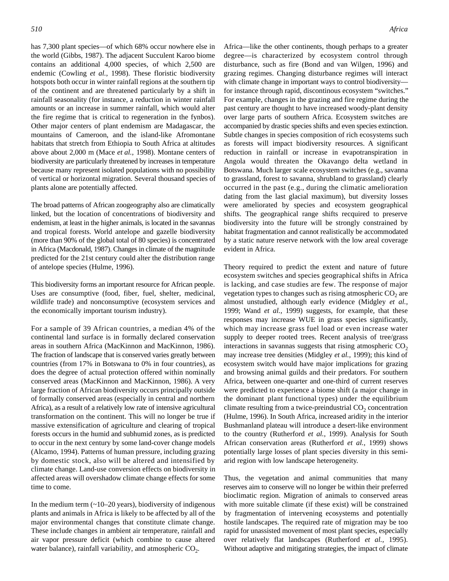has 7,300 plant species—of which 68% occur nowhere else in the world (Gibbs, 1987). The adjacent Succulent Karoo biome contains an additional 4,000 species, of which 2,500 are endemic (Cowling *et al.,* 1998). These floristic biodiversity hotspots both occur in winter rainfall regions at the southern tip of the continent and are threatened particularly by a shift in rainfall seasonality (for instance, a reduction in winter rainfall amounts or an increase in summer rainfall, which would alter the fire regime that is critical to regeneration in the fynbos). Other major centers of plant endemism are Madagascar, the mountains of Cameroon, and the island-like Afromontane habitats that stretch from Ethiopia to South Africa at altitudes above about 2,000 m (Mace *et al.,* 1998). Montane centers of biodiversity are particularly threatened by increases in temperature because many represent isolated populations with no possibility of vertical or horizontal migration. Several thousand species of plants alone are potentially affected.

The broad patterns of African zoogeography also are climatically linked, but the location of concentrations of biodiversity and endemism, at least in the higher animals, is located in the savannas and tropical forests. World antelope and gazelle biodiversity (more than 90% of the global total of 80 species) is concentrated in Africa (Macdonald, 1987). Changes in climate of the magnitude predicted for the 21st century could alter the distribution range of antelope species (Hulme, 1996).

This biodiversity forms an important resource for African people. Uses are consumptive (food, fiber, fuel, shelter, medicinal, wildlife trade) and nonconsumptive (ecosystem services and the economically important tourism industry).

For a sample of 39 African countries, a median 4% of the continental land surface is in formally declared conservation areas in southern Africa (MacKinnon and MacKinnon, 1986). The fraction of landscape that is conserved varies greatly between countries (from 17% in Botswana to 0% in four countries), as does the degree of actual protection offered within nominally conserved areas (MacKinnon and MacKinnon, 1986). A very large fraction of African biodiversity occurs principally outside of formally conserved areas (especially in central and northern Africa), as a result of a relatively low rate of intensive agricultural transformation on the continent. This will no longer be true if massive extensification of agriculture and clearing of tropical forests occurs in the humid and subhumid zones, as is predicted to occur in the next century by some land-cover change models (Alcamo, 1994). Patterns of human pressure, including grazing by domestic stock, also will be altered and intensified by climate change. Land-use conversion effects on biodiversity in affected areas will overshadow climate change effects for some time to come.

In the medium term  $(\sim 10-20$  years), biodiversity of indigenous plants and animals in Africa is likely to be affected by all of the major environmental changes that constitute climate change. These include changes in ambient air temperature, rainfall and air vapor pressure deficit (which combine to cause altered water balance), rainfall variability, and atmospheric  $CO<sub>2</sub>$ .

Africa—like the other continents, though perhaps to a greater degree—is characterized by ecosystem control through disturbance, such as fire (Bond and van Wilgen, 1996) and grazing regimes. Changing disturbance regimes will interact with climate change in important ways to control biodiversity for instance through rapid, discontinous ecosystem "switches." For example, changes in the grazing and fire regime during the past century are thought to have increased woody-plant density over large parts of southern Africa. Ecosystem switches are accompanied by drastic species shifts and even species extinction. Subtle changes in species composition of rich ecosystems such as forests will impact biodiversity resources. A significant reduction in rainfall or increase in evapotranspiration in Angola would threaten the Okavango delta wetland in Botswana. Much larger scale ecosystem switches (e.g., savanna to grassland, forest to savanna, shrubland to grassland) clearly occurred in the past (e.g., during the climatic amelioration dating from the last glacial maximum), but diversity losses were ameliorated by species and ecosystem geographical shifts. The geographical range shifts recquired to preserve biodiversity into the future will be strongly constrained by habitat fragmentation and cannot realistically be accommodated by a static nature reserve network with the low areal coverage evident in Africa.

Theory required to predict the extent and nature of future ecosystem switches and species geographical shifts in Africa is lacking, and case studies are few. The response of major vegetation types to changes such as rising atmospheric  $CO_2$  are almost unstudied, although early evidence (Midgley *et al.,* 1999; Wand *et al.,* 1999) suggests, for example, that these responses may increase WUE in grass species significantly, which may increase grass fuel load or even increase water supply to deeper rooted trees. Recent analysis of tree/grass interactions in savannas suggests that rising atmospheric  $CO<sub>2</sub>$ may increase tree densities (Midgley *et al.,* 1999); this kind of ecosystem switch would have major implications for grazing and browsing animal guilds and their predators. For southern Africa, between one-quarter and one-third of current reserves were predicted to experience a biome shift (a major change in the dominant plant functional types) under the equilibrium climate resulting from a twice-preindustrial  $CO_2$  concentration (Hulme, 1996). In South Africa, increased aridity in the interior Bushmanland plateau will introduce a desert-like environment to the country (Rutherford *et al.,* 1999). Analysis for South African conservation areas (Rutherford *et al.,* 1999) shows potentially large losses of plant species diversity in this semiarid region with low landscape heterogeneity.

Thus, the vegetation and animal communities that many reserves aim to conserve will no longer be within their preferred bioclimatic region. Migration of animals to conserved areas with more suitable climate (if these exist) will be constrained by fragmentation of intervening ecosystems and potentially hostile landscapes. The required rate of migration may be too rapid for unassisted movement of most plant species, especially over relatively flat landscapes (Rutherford *et al.*, 1995). Without adaptive and mitigating strategies, the impact of climate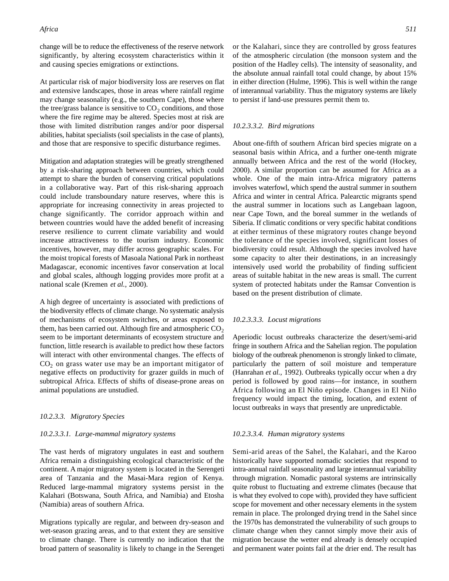#### *Africa 511*

change will be to reduce the effectiveness of the reserve network significantly, by altering ecosystem characteristics within it and causing species emigrations or extinctions.

At particular risk of major biodiversity loss are reserves on flat and extensive landscapes, those in areas where rainfall regime may change seasonality (e.g., the southern Cape), those where the tree/grass balance is sensitive to  $CO_2$  conditions, and those where the fire regime may be altered. Species most at risk are those with limited distribution ranges and/or poor dispersal abilities, habitat specialists (soil specialists in the case of plants), and those that are responsive to specific disturbance regimes.

Mitigation and adaptation strategies will be greatly strengthened by a risk-sharing approach between countries, which could attempt to share the burden of conserving critical populations in a collaborative way. Part of this risk-sharing approach could include transboundary nature reserves, where this is appropriate for increasing connectivity in areas projected to change significantly. The corridor approach within and between countries would have the added benefit of increasing reserve resilience to current climate variability and would increase attractiveness to the tourism industry. Economic incentives, however, may differ across geographic scales. For the moist tropical forests of Masoala National Park in northeast Madagascar, economic incentives favor conservation at local and global scales, although logging provides more profit at a national scale (Kremen *et al.,* 2000).

A high degree of uncertainty is associated with predictions of the biodiversity effects of climate change. No systematic analysis of mechanisms of ecosystem switches, or areas exposed to them, has been carried out. Although fire and atmospheric  $CO<sub>2</sub>$ seem to be important determinants of ecosystem structure and function, little research is available to predict how these factors will interact with other environmental changes. The effects of  $CO<sub>2</sub>$  on grass water use may be an important mitigator of negative effects on productivity for grazer guilds in much of subtropical Africa. Effects of shifts of disease-prone areas on animal populations are unstudied.

#### *10.2.3.3. Migratory Species*

#### *10.2.3.3.1. Large-mammal migratory systems*

The vast herds of migratory ungulates in east and southern Africa remain a distinguishing ecological characteristic of the continent. A major migratory system is located in the Serengeti area of Tanzania and the Masai-Mara region of Kenya. Reduced large-mammal migratory systems persist in the Kalahari (Botswana, South Africa, and Namibia) and Etosha (Namibia) areas of southern Africa.

Migrations typically are regular, and between dry-season and wet-season grazing areas, and to that extent they are sensitive to climate change. There is currently no indication that the broad pattern of seasonality is likely to change in the Serengeti or the Kalahari, since they are controlled by gross features of the atmospheric circulation (the monsoon system and the position of the Hadley cells). The intensity of seasonality, and the absolute annual rainfall total could change, by about 15% in either direction (Hulme, 1996). This is well within the range of interannual variability. Thus the migratory systems are likely to persist if land-use pressures permit them to.

#### *10.2.3.3.2. Bird migrations*

About one-fifth of southern African bird species migrate on a seasonal basis within Africa, and a further one-tenth migrate annually between Africa and the rest of the world (Hockey, 2000). A similar proportion can be assumed for Africa as a whole. One of the main intra-Africa migratory patterns involves waterfowl, which spend the austral summer in southern Africa and winter in central Africa. Palearctic migrants spend the austral summer in locations such as Langebaan lagoon, near Cape Town, and the boreal summer in the wetlands of Siberia. If climatic conditions or very specific habitat conditions at either terminus of these migratory routes change beyond the tolerance of the species involved, significant losses of biodiversity could result. Although the species involved have some capacity to alter their destinations, in an increasingly intensively used world the probability of finding sufficient areas of suitable habitat in the new areas is small. The current system of protected habitats under the Ramsar Convention is based on the present distribution of climate.

#### *10.2.3.3.3. Locust migrations*

Aperiodic locust outbreaks characterize the desert/semi-arid fringe in southern Africa and the Sahelian region. The population biology of the outbreak phenomenon is strongly linked to climate, particularly the pattern of soil moisture and temperature (Hanrahan *et al.,* 1992). Outbreaks typically occur when a dry period is followed by good rains—for instance, in southern Africa following an El Niño episode. Changes in El Niño frequency would impact the timing, location, and extent of locust outbreaks in ways that presently are unpredictable.

#### *10.2.3.3.4. Human migratory systems*

Semi-arid areas of the Sahel, the Kalahari, and the Karoo historically have supported nomadic societies that respond to intra-annual rainfall seasonality and large interannual variability through migration. Nomadic pastoral systems are intrinsically quite robust to fluctuating and extreme climates (because that is what they evolved to cope with), provided they have sufficient scope for movement and other necessary elements in the system remain in place. The prolonged drying trend in the Sahel since the 1970s has demonstrated the vulnerability of such groups to climate change when they cannot simply move their axis of migration because the wetter end already is densely occupied and permanent water points fail at the drier end. The result has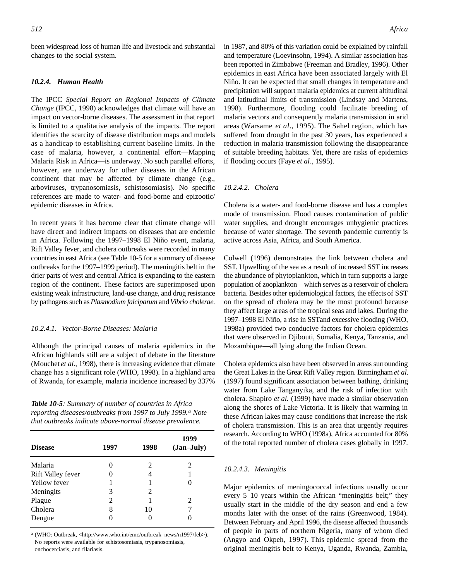been widespread loss of human life and livestock and substantial changes to the social system.

#### *10.2.4. Human Health*

The IPCC *Special Report on Regional Impacts of Climate Change* (IPCC, 1998) acknowledges that climate will have an impact on vector-borne diseases. The assessment in that report is limited to a qualitative analysis of the impacts. The report identifies the scarcity of disease distribution maps and models as a handicap to establishing current baseline limits. In the case of malaria, however, a continental effort—Mapping Malaria Risk in Africa—is underway. No such parallel efforts, however, are underway for other diseases in the African continent that may be affected by climate change (e.g., arboviruses, trypanosomiasis, schistosomiasis). No specific references are made to water- and food-borne and epizootic/ epidemic diseases in Africa.

In recent years it has become clear that climate change will have direct and indirect impacts on diseases that are endemic in Africa. Following the 1997–1998 El Niño event, malaria, Rift Valley fever, and cholera outbreaks were recorded in many countries in east Africa (see Table 10-5 for a summary of disease outbreaks for the 1997–1999 period). The meningitis belt in the drier parts of west and central Africa is expanding to the eastern region of the continent. These factors are superimposed upon existing weak infrastructure, land-use change, and drug resistance by pathogens such as *Plasmodium falciparum* and *Vibrio cholerae*.

#### *10.2.4.1. Vector-Borne Diseases: Malaria*

Although the principal causes of malaria epidemics in the African highlands still are a subject of debate in the literature (Mouchet *et al*., 1998), there is increasing evidence that climate change has a significant role (WHO, 1998). In a highland area of Rwanda, for example, malaria incidence increased by 337%

*Table 10-5: Summary of number of countries in Africa reporting diseases/outbreaks from 1997 to July 1999.<sup>a</sup> Note that outbreaks indicate above-normal disease prevalence.*

| <b>Disease</b>    | 1997 | 1998 | 1999<br>$(Jan-July)$ |
|-------------------|------|------|----------------------|
| Malaria           |      | 2    | 2                    |
| Rift Valley fever |      |      |                      |
| Yellow fever      |      |      |                      |
| Meningits         | 3    | 2    |                      |
| Plague            | 2    |      | 2                    |
| Cholera           | 8    | 10   |                      |
| Dengue            |      |      |                      |

a (WHO: Outbreak, <http://www.who.int/emc/outbreak\_news/n1997/feb>). No reports were available for schistosomiasis, trypanosomiasis, onchocerciasis, and filariasis.

in 1987, and 80% of this variation could be explained by rainfall and temperature (Loevinsohn, 1994). A similar association has been reported in Zimbabwe (Freeman and Bradley, 1996). Other epidemics in east Africa have been associated largely with El Niño. It can be expected that small changes in temperature and precipitation will support malaria epidemics at current altitudinal and latitudinal limits of transmission (Lindsay and Martens, 1998). Furthermore, flooding could facilitate breeding of malaria vectors and consequently malaria transmission in arid areas (Warsame *et al*., 1995). The Sahel region, which has suffered from drought in the past 30 years, has experienced a reduction in malaria transmission following the disappearance of suitable breeding habitats. Yet, there are risks of epidemics if flooding occurs (Faye *et al*., 1995).

#### *10.2.4.2. Cholera*

Cholera is a water- and food-borne disease and has a complex mode of transmission. Flood causes contamination of public water supplies, and drought encourages unhygienic practices because of water shortage. The seventh pandemic currently is active across Asia, Africa, and South America.

Colwell (1996) demonstrates the link between cholera and SST. Upwelling of the sea as a result of increased SST increases the abundance of phytoplankton, which in turn supports a large population of zooplankton—which serves as a reservoir of cholera bacteria. Besides other epidemiological factors, the effects of SST on the spread of cholera may be the most profound because they affect large areas of the tropical seas and lakes. During the 1997–1998 El Niño, a rise in SSTand excessive flooding (WHO, 1998a) provided two conducive factors for cholera epidemics that were observed in Djibouti, Somalia, Kenya, Tanzania, and Mozambique—all lying along the Indian Ocean.

Cholera epidemics also have been observed in areas surrounding the Great Lakes in the Great Rift Valley region. Birmingham *et al.* (1997) found significant association between bathing, drinking water from Lake Tanganyika, and the risk of infection with cholera. Shapiro *et al.* (1999) have made a similar observation along the shores of Lake Victoria. It is likely that warming in these African lakes may cause conditions that increase the risk of cholera transmission. This is an area that urgently requires research. According to WHO (1998a), Africa accounted for 80% of the total reported number of cholera cases globally in 1997.

#### *10.2.4.3. Meningitis*

Major epidemics of meningococcal infections usually occur every 5–10 years within the African "meningitis belt;" they usually start in the middle of the dry season and end a few months later with the onset of the rains (Greenwood, 1984). Between February and April 1996, the disease affected thousands of people in parts of northern Nigeria, many of whom died (Angyo and Okpeh, 1997). This epidemic spread from the original meningitis belt to Kenya, Uganda, Rwanda, Zambia,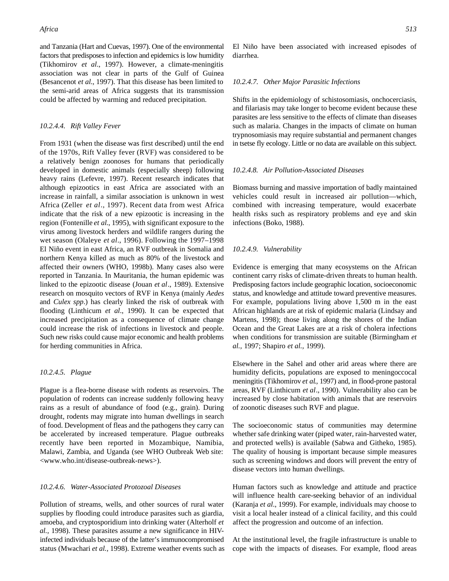and Tanzania (Hart and Cuevas, 1997). One of the environmental factors that predisposes to infection and epidemics is low humidity ( Tikhomirov *et al*., 1997). However, a climate-meningitis association was not clear in parts of the Gulf of Guinea (Besancenot *et al*., 1997). That this disease has been limited to the semi-arid areas of Africa suggests that its transmission could be affected by warming and reduced precipitation.

#### *10.2.4.4. Rift Valley Fever*

From 1931 (when the disease was first described) until the end of the 1970s, Rift Valley fever (RVF) was considered to be a relatively benign zoonoses for humans that periodically developed in domestic animals (especially sheep) following heavy rains (Lefevre, 1997). Recent research indicates that although epizootics in east Africa are associated with an increase in rainfall, a similar association is unknown in west Africa (Zeller *et al.*, 1997). Recent data from west Africa indicate that the risk of a new epizootic is increasing in the region (Fontenille *et al*., 1995), with significant exposure to the virus among livestock herders and wildlife rangers during the wet season (Olaleye *et al*., 1996). Following the 1997–1998 El Niño event in east Africa, an RVF outbreak in Somalia and northern Kenya killed as much as 80% of the livestock and affected their owners (WHO, 1998b). Many cases also were reported in Tanzania. In Mauritania, the human epidemic was linked to the epizootic disease (Jouan *et al*., 1989). Extensive research on mosquito vectors of RVF in Kenya (mainly *Aedes* and *Culex spp*.) has clearly linked the risk of outbreak with flooding (Linthicum *et al*., 1990). It can be expected that increased precipitation as a consequence of climate change could increase the risk of infections in livestock and people. Such new risks could cause major economic and health problems for herding communities in Africa.

#### *10.2.4.5. Plague*

Plague is a flea-borne disease with rodents as reservoirs. The population of rodents can increase suddenly following heavy rains as a result of abundance of food (e.g., grain). During drought, rodents may migrate into human dwellings in search of food. Development of fleas and the pathogens they carry can be accelerated by increased temperature. Plague outbreaks recently have been reported in Mozambique, Namibia, Malawi, Zambia, and Uganda (see WHO Outbreak Web site: <www.who.int/disease-outbreak-news>).

#### *10.2.4.6. Water-Associated Protozoal Diseases*

Pollution of streams, wells, and other sources of rural water supplies by flooding could introduce parasites such as giardia, amoeba, and cryptosporidium into drinking water (Alterholf *et al.,* 1998). These parasites assume a new significance in HIVinfected individuals because of the latter's immunocompromised status (Mwachari *et al.,* 1998). Extreme weather events such as El Niño have been associated with increased episodes of diarrhea.

#### *10.2.4.7. Other Major Parasitic Infections*

Shifts in the epidemiology of schistosomiasis, onchocerciasis, and filariasis may take longer to become evident because these parasites are less sensitive to the effects of climate than diseases such as malaria. Changes in the impacts of climate on human trypnosomiasis may require substantial and permanent changes in tsetse fly ecology. Little or no data are available on this subject.

#### *10.2.4.8. Air Pollution-Associated Diseases*

Biomass burning and massive importation of badly maintained vehicles could result in increased air pollution—which, combined with increasing temperature, would exacerbate health risks such as respiratory problems and eye and skin infections (Boko, 1988).

#### *10.2.4.9. Vulnerability*

Evidence is emerging that many ecosystems on the African continent carry risks of climate-driven threats to human health. Predisposing factors include geographic location, socioeconomic status, and knowledge and attitude toward preventive measures. For example, populations living above 1,500 m in the east African highlands are at risk of epidemic malaria (Lindsay and Martens, 1998); those living along the shores of the Indian Ocean and the Great Lakes are at a risk of cholera infections when conditions for transmission are suitable (Birmingham *et al.,* 1997; Shapiro *et al.,* 1999).

Elsewhere in the Sahel and other arid areas where there are humidity deficits, populations are exposed to meningoccocal meningitis (Tikhomirov *et al*., 1997) and, in flood-prone pastoral areas, RVF (Linthicum *et al*., 1990). Vulnerability also can be increased by close habitation with animals that are reservoirs of zoonotic diseases such RVF and plague.

The socioeconomic status of communities may determine whether safe drinking water (piped water, rain-harvested water, and protected wells) is available (Sabwa and Githeko, 1985). The quality of housing is important because simple measures such as screening windows and doors will prevent the entry of disease vectors into human dwellings.

Human factors such as knowledge and attitude and practice will influence health care-seeking behavior of an individual (Karanja *et al*., 1999). For example, individuals may choose to visit a local healer instead of a clinical facility, and this could affect the progression and outcome of an infection.

At the institutional level, the fragile infrastructure is unable to cope with the impacts of diseases. For example, flood areas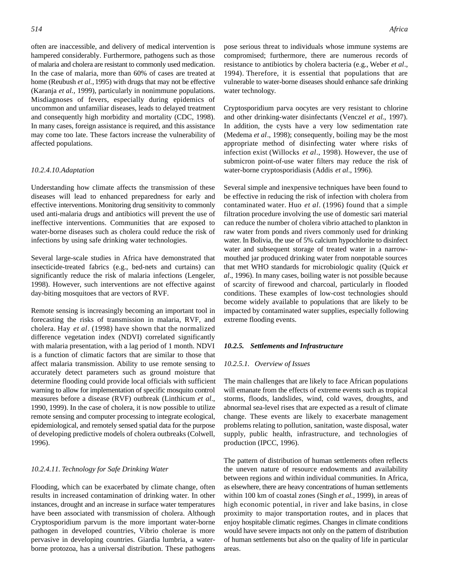often are inaccessible, and delivery of medical intervention is hampered considerably. Furthermore, pathogens such as those of malaria and cholera are resistant to commonly used medication. In the case of malaria, more than 60% of cases are treated at home (Reubush *et al.*, 1995) with drugs that may not be effective (Karanja *et al.,* 1999), particularly in nonimmune populations. Misdiagnoses of fevers, especially during epidemics of uncommon and unfamiliar diseases, leads to delayed treatment and consequently high morbidity and mortality (CDC, 1998). In many cases, foreign assistance is required, and this assistance may come too late. These factors increase the vulnerability of affected populations.

#### *10.2.4.10.Adaptation*

Understanding how climate affects the transmission of these diseases will lead to enhanced preparedness for early and effective interventions. Monitoring drug sensitivity to commonly used anti-malaria drugs and antibiotics will prevent the use of ineffective interventions. Communities that are exposed to water-borne diseases such as cholera could reduce the risk of infections by using safe drinking water technologies.

Several large-scale studies in Africa have demonstrated that insecticide-treated fabrics (e.g., bed-nets and curtains) can significantly reduce the risk of malaria infections (Lengeler, 1998). However, such interventions are not effective against day-biting mosquitoes that are vectors of RVF.

Remote sensing is increasingly becoming an important tool in forecasting the risks of transmission in malaria, RVF, and cholera. Hay *et al*. (1998) have shown that the normalized difference vegetation index (NDVI) correlated significantly with malaria presentation, with a lag period of 1 month. NDVI is a function of climatic factors that are similar to those that affect malaria transmission. Ability to use remote sensing to accurately detect parameters such as ground moisture that determine flooding could provide local officials with sufficient warning to allow for implementation of specific mosquito control measures before a disease (RVF) outbreak (Linthicum *et al*., 1990, 1999). In the case of cholera, it is now possible to utilize remote sensing and computer processing to integrate ecological, epidemiological, and remotely sensed spatial data for the purpose of developing predictive models of cholera outbreaks (Colwell, 1996).

#### *10.2.4.11.Technology for Safe Drinking Water*

Flooding, which can be exacerbated by climate change, often results in increased contamination of drinking water. In other instances, drought and an increase in surface water temperatures have been associated with transmission of cholera. Although Cryptosporidium parvum is the more important water-borne pathogen in developed countries, Vibrio cholerae is more pervasive in developing countries. Giardia lumbria, a waterborne protozoa, has a universal distribution. These pathogens pose serious threat to individuals whose immune systems are compromised; furthermore, there are numerous records of resistance to antibiotics by cholera bacteria (e.g., Weber *et al*., 1994). Therefore, it is essential that populations that are vulnerable to water-borne diseases should enhance safe drinking water technology.

Cryptosporidium parva oocytes are very resistant to chlorine and other drinking-water disinfectants (Venczel *et al*., 1997). In addition, the cysts have a very low sedimentation rate (Medema *et al*., 1998); consequently, boiling may be the most appropriate method of disinfecting water where risks of infection exist (Willocks *et al.*, 1998). However, the use of submicron point-of-use water filters may reduce the risk of water-borne cryptosporidiasis (Addis *et al*., 1996).

Several simple and inexpensive techniques have been found to be effective in reducing the risk of infection with cholera from contaminated water. Huo *et al*. (1996) found that a simple filtration procedure involving the use of domestic sari material can reduce the number of cholera vibrio attached to plankton in raw water from ponds and rivers commonly used for drinking water. In Bolivia, the use of 5% calcium hypochlorite to disinfect water and subsequent storage of treated water in a narrowmouthed jar produced drinking water from nonpotable sources that met WHO standards for microbiologic quality (Quick *et al*., 1996). In many cases, boiling water is not possible because of scarcity of firewood and charcoal, particularly in flooded conditions. These examples of low-cost technologies should become widely available to populations that are likely to be impacted by contaminated water supplies, especially following extreme flooding events.

#### *10.2.5. Settlements and Infrastructure*

#### *10.2.5.1. Overview of Issues*

The main challenges that are likely to face African populations will emanate from the effects of extreme events such as tropical storms, floods, landslides, wind, cold waves, droughts, and abnormal sea-level rises that are expected as a result of climate change. These events are likely to exacerbate management problems relating to pollution, sanitation, waste disposal, water supply, public health, infrastructure, and technologies of production (IPCC, 1996).

The pattern of distribution of human settlements often reflects the uneven nature of resource endowments and availability between regions and within individual communities. In Africa, as elsewhere, there are heavy concentrations of human settlements within 100 km of coastal zones (Singh *et al.,* 1999), in areas of high economic potential, in river and lake basins, in close proximity to major transportation routes, and in places that enjoy hospitable climatic regimes. Changes in climate conditions would have severe impacts not only on the pattern of distribution of human settlements but also on the quality of life in particular areas.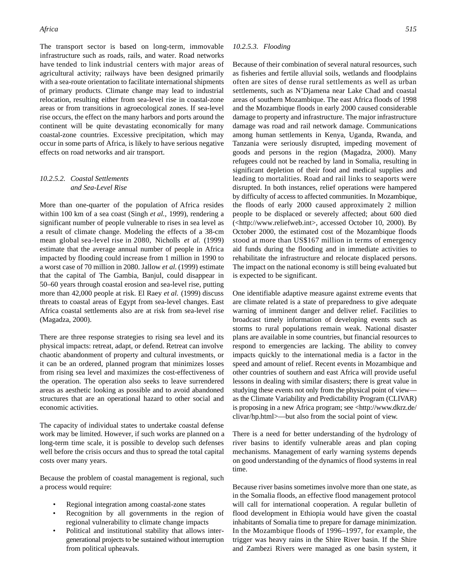#### *Africa 515*

The transport sector is based on long-term, immovable infrastructure such as roads, rails, and water. Road networks have tended to link industrial centers with major areas of agricultural activity; railways have been designed primarily with a sea-route orientation to facilitate international shipments of primary products. Climate change may lead to industrial relocation, resulting either from sea-level rise in coastal-zone areas or from transitions in agroecological zones. If sea-level rise occurs, the effect on the many harbors and ports around the continent will be quite devastating economically for many coastal-zone countries. Excessive precipitation, which may occur in some parts of Africa, is likely to have serious negative effects on road networks and air transport.

#### *10.2.5.2. Coastal Settlements and Sea-Level Rise*

More than one-quarter of the population of Africa resides within 100 km of a sea coast (Singh *et al.*, 1999), rendering a significant number of people vulnerable to rises in sea level as a result of climate change. Modeling the effects of a 38-cm mean global sea-level rise in 2080, Nicholls *et al.* (1999) estimate that the average annual number of people in Africa impacted by flooding could increase from 1 million in 1990 to a worst case of 70 million in 2080. Jallow *et al.* (1999) estimate that the capital of The Gambia, Banjul, could disappear in 50–60 years through coastal erosion and sea-level rise, putting more than 42,000 people at risk. El Raey *et al.* (1999) discuss threats to coastal areas of Egypt from sea-level changes. East Africa coastal settlements also are at risk from sea-level rise (Magadza, 2000).

There are three response strategies to rising sea level and its physical impacts: retreat, adapt, or defend. Retreat can involve chaotic abandonment of property and cultural investments, or it can be an ordered, planned program that minimizes losses from rising sea level and maximizes the cost-effectiveness of the operation. The operation also seeks to leave surrendered areas as aesthetic looking as possible and to avoid abandoned structures that are an operational hazard to other social and economic activities.

The capacity of individual states to undertake coastal defense work may be limited. However, if such works are planned on a long-term time scale, it is possible to develop such defenses well before the crisis occurs and thus to spread the total capital costs over many years.

Because the problem of coastal management is regional, such a process would require:

- Regional integration among coastal-zone states
- Recognition by all governments in the region of regional vulnerability to climate change impacts
- Political and institutional stability that allows intergenerational projects to be sustained without interruption from political upheavals.

#### *10.2.5.3. Flooding*

Because of their combination of several natural resources, such as fisheries and fertile alluvial soils, wetlands and floodplains often are sites of dense rural settlements as well as urban settlements, such as N'Djamena near Lake Chad and coastal areas of southern Mozambique. The east Africa floods of 1998 and the Mozambique floods in early 2000 caused considerable damage to property and infrastructure. The major infrastructure damage was road and rail network damage. Communications among human settlements in Kenya, Uganda, Rwanda, and Tanzania were seriously disrupted, impeding movement of goods and persons in the region (Magadza, 2000). Many refugees could not be reached by land in Somalia, resulting in significant depletion of their food and medical supplies and leading to mortalities. Road and rail links to seaports were disrupted. In both instances, relief operations were hampered by difficulty of access to affected communities. In Mozambique, the floods of early 2000 caused approximately 2 million people to be displaced or severely affected; about 600 died (<http://www.reliefweb.int>, accessed October 10, 2000). By October 2000, the estimated cost of the Mozambique floods stood at more than US\$167 million in terms of emergency aid funds during the flooding and in immediate activities to rehabilitate the infrastructure and relocate displaced persons. The impact on the national economy is still being evaluated but is expected to be significant.

One identifiable adaptive measure against extreme events that are climate related is a state of preparedness to give adequate warning of imminent danger and deliver relief. Facilities to broadcast timely information of developing events such as storms to rural populations remain weak. National disaster plans are available in some countries, but financial resources to respond to emergencies are lacking. The ability to convey impacts quickly to the international media is a factor in the speed and amount of relief. Recent events in Mozambique and other countries of southern and east Africa will provide useful lessons in dealing with similar disasters; there is great value in studying these events not only from the physical point of view as the Climate Variability and Predictability Program (CLIVAR) is proposing in a new Africa program; see <http://www.dkrz.de/ clivar/hp.html>—but also from the social point of view.

There is a need for better understanding of the hydrology of river basins to identify vulnerable areas and plan coping mechanisms. Management of early warning systems depends on good understanding of the dynamics of flood systems in real time.

Because river basins sometimes involve more than one state, as in the Somalia floods, an effective flood management protocol will call for international cooperation. A regular bulletin of flood development in Ethiopia would have given the coastal inhabitants of Somalia time to prepare for damage minimization. In the Mozambique floods of 1996–1997, for example, the trigger was heavy rains in the Shire River basin. If the Shire and Zambezi Rivers were managed as one basin system, it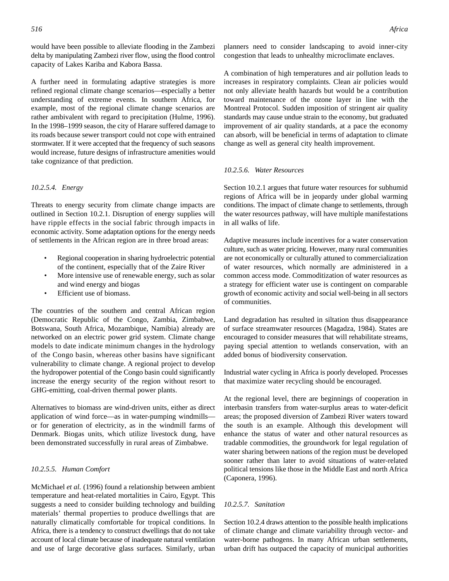would have been possible to alleviate flooding in the Zambezi delta by manipulating Zambezi river flow, using the flood control capacity of Lakes Kariba and Kabora Bassa.

A further need in formulating adaptive strategies is more refined regional climate change scenarios—especially a better understanding of extreme events. In southern Africa, for example, most of the regional climate change scenarios are rather ambivalent with regard to precipitation (Hulme, 1996). In the 1998–1999 season, the city of Harare suffered damage to its roads because sewer transport could not cope with entrained stormwater. If it were accepted that the frequency of such seasons would increase, future designs of infrastructure amenities would take cognizance of that prediction.

#### *10.2.5.4. Energy*

Threats to energy security from climate change impacts are outlined in Section 10.2.1. Disruption of energy supplies will have ripple effects in the social fabric through impacts in economic activity. Some adaptation options for the energy needs of settlements in the African region are in three broad areas:

- Regional cooperation in sharing hydroelectric potential of the continent, especially that of the Zaire River
- More intensive use of renewable energy, such as solar and wind energy and biogas
- Efficient use of biomass.

The countries of the southern and central African region (Democratic Republic of the Congo, Zambia, Zimbabwe, Botswana, South Africa, Mozambique, Namibia) already are networked on an electric power grid system. Climate change models to date indicate minimum changes in the hydrology of the Congo basin, whereas other basins have significant vulnerability to climate change. A regional project to develop the hydropower potential of the Congo basin could significantly increase the energy security of the region without resort to GHG-emitting, coal-driven thermal power plants.

Alternatives to biomass are wind-driven units, either as direct application of wind force—as in water-pumping windmills or for generation of electricity, as in the windmill farms of Denmark. Biogas units, which utilize livestock dung, have been demonstrated successfully in rural areas of Zimbabwe.

#### *10.2.5.5. Human Comfort*

McMichael *et al.* (1996) found a relationship between ambient temperature and heat-related mortalities in Cairo, Egypt. This suggests a need to consider building technology and building materials' thermal properties to produce dwellings that are naturally climatically comfortable for tropical conditions. In Africa, there is a tendency to construct dwellings that do not take account of local climate because of inadequate natural ventilation and use of large decorative glass surfaces. Similarly, urban planners need to consider landscaping to avoid inner-city congestion that leads to unhealthy microclimate enclaves.

A combination of high temperatures and air pollution leads to increases in respiratory complaints. Clean air policies would not only alleviate health hazards but would be a contribution toward maintenance of the ozone layer in line with the Montreal Protocol. Sudden imposition of stringent air quality standards may cause undue strain to the economy, but graduated improvement of air quality standards, at a pace the economy can absorb, will be beneficial in terms of adaptation to climate change as well as general city health improvement.

#### *10.2.5.6. Water Resources*

Section 10.2.1 argues that future water resources for subhumid regions of Africa will be in jeopardy under global warming conditions. The impact of climate change to settlements, through the water resources pathway, will have multiple manifestations in all walks of life.

Adaptive measures include incentives for a water conservation culture, such as water pricing. However, many rural communities are not economically or culturally attuned to commercialization of water resources, which normally are administered in a common access mode. Commoditization of water resources as a strategy for efficient water use is contingent on comparable growth of economic activity and social well-being in all sectors of communities.

Land degradation has resulted in siltation thus disappearance of surface streamwater resources (Magadza, 1984). States are encouraged to consider measures that will rehabilitate streams, paying special attention to wetlands conservation, with an added bonus of biodiversity conservation.

Industrial water cycling in Africa is poorly developed. Processes that maximize water recycling should be encouraged.

At the regional level, there are beginnings of cooperation in interbasin transfers from water-surplus areas to water-deficit areas; the proposed diversion of Zambezi River waters toward the south is an example. Although this development will enhance the status of water and other natural resources as tradable commodities, the groundwork for legal regulation of water sharing between nations of the region must be developed sooner rather than later to avoid situations of water-related political tensions like those in the Middle East and north Africa (Caponera, 1996).

#### *10.2.5.7. Sanitation*

Section 10.2.4 draws attention to the possible health implications of climate change and climate variability through vector- and water-borne pathogens. In many African urban settlements, urban drift has outpaced the capacity of municipal authorities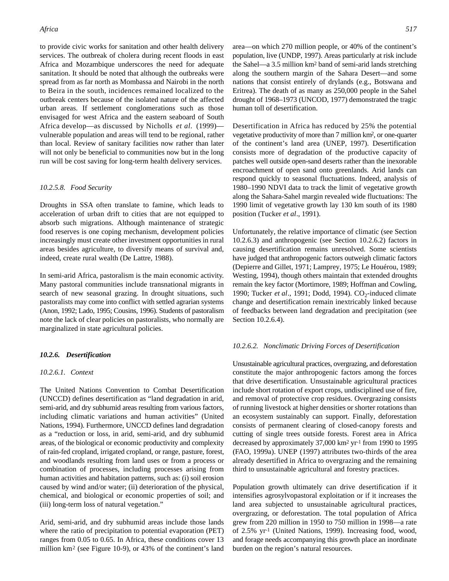#### *Africa 517*

to provide civic works for sanitation and other health delivery services. The outbreak of cholera during recent floods in east Africa and Mozambique underscores the need for adequate sanitation. It should be noted that although the outbreaks were spread from as far north as Mombassa and Nairobi in the north to Beira in the south, incidences remained localized to the outbreak centers because of the isolated nature of the affected urban areas. If settlement conglomerations such as those envisaged for west Africa and the eastern seaboard of South Africa develop—as discussed by Nicholls *et al.* (1999) vulnerable population and areas will tend to be regional, rather than local. Review of sanitary facilities now rather than later will not only be beneficial to communities now but in the long run will be cost saving for long-term health delivery services.

#### *10.2.5.8. Food Security*

Droughts in SSA often translate to famine, which leads to acceleration of urban drift to cities that are not equipped to absorb such migrations. Although maintenance of strategic food reserves is one coping mechanism, development policies increasingly must create other investment opportunities in rural areas besides agriculture, to diversify means of survival and, indeed, create rural wealth (De Lattre, 1988).

In semi-arid Africa, pastoralism is the main economic activity. Many pastoral communities include transnational migrants in search of new seasonal grazing. In drought situations, such pastoralists may come into conflict with settled agrarian systems (Anon, 1992; Lado, 1995; Cousins, 1996). Students of pastoralism note the lack of clear policies on pastoralists, who normally are marginalized in state agricultural policies.

#### *10.2.6. Desertification*

#### *10.2.6.1. Context*

The United Nations Convention to Combat Desertification (UNCCD) defines desertification as "land degradation in arid, semi-arid, and dry subhumid areas resulting from various factors, including climatic variations and human activities" (United Nations, 1994). Furthermore, UNCCD defines land degradation as a "reduction or loss, in arid, semi-arid, and dry subhumid areas, of the biological or economic productivity and complexity of rain-fed cropland, irrigated cropland, or range, pasture, forest, and woodlands resulting from land uses or from a process or combination of processes, including processes arising from human activities and habitation patterns, such as: (i) soil erosion caused by wind and/or water; (ii) deterioration of the physical, chemical, and biological or economic properties of soil; and (iii) long-term loss of natural vegetation."

Arid, semi-arid, and dry subhumid areas include those lands where the ratio of precipitation to potential evaporation (PET) ranges from 0.05 to 0.65. In Africa, these conditions cover 13 million km<sup>2</sup> (see Figure 10-9), or 43% of the continent's land

area—on which 270 million people, or 40% of the continent's population, live (UNDP, 1997). Areas particularly at risk include the Sahel—a 3.5 million km<sup>2</sup> band of semi-arid lands stretching along the southern margin of the Sahara Desert—and some nations that consist entirely of drylands (e.g., Botswana and Eritrea). The death of as many as 250,000 people in the Sahel drought of 1968–1973 (UNCOD, 1977) demonstrated the tragic human toll of desertification.

Desertification in Africa has reduced by 25% the potential vegetative productivity of more than 7 million km<sup>2</sup>, or one-quarter of the continent's land area (UNEP, 1997). Desertification consists more of degradation of the productive capacity of patches well outside open-sand deserts rather than the inexorable encroachment of open sand onto greenlands. Arid lands can respond quickly to seasonal fluctuations. Indeed, analysis of 1980–1990 NDVI data to track the limit of vegetative growth along the Sahara-Sahel margin revealed wide fluctuations: The 1990 limit of vegetative growth lay 130 km south of its 1980 position (Tucker *et al*., 1991).

Unfortunately, the relative importance of climatic (see Section 10.2.6.3) and anthropogenic (see Section 10.2.6.2) factors in causing desertification remains unresolved. Some scientists have judged that anthropogenic factors outweigh climatic factors (Depierre and Gillet, 1971; Lamprey, 1975; Le Houérou, 1989; Westing, 1994), though others maintain that extended droughts remain the key factor (Mortimore, 1989; Hoffman and Cowling, 1990; Tucker et al., 1991; Dodd, 1994). CO<sub>2</sub>-induced climate change and desertification remain inextricably linked because of feedbacks between land degradation and precipitation (see Section 10.2.6.4).

#### *10.2.6.2. Nonclimatic Driving Forces of Desertification*

Unsustainable agricultural practices, overgrazing, and deforestation constitute the major anthropogenic factors among the forces that drive desertification. Unsustainable agricultural practices include short rotation of export crops, undisciplined use of fire, and removal of protective crop residues. Overgrazing consists of running livestock at higher densities or shorter rotations than an ecosystem sustainably can support. Finally, deforestation consists of permanent clearing of closed-canopy forests and cutting of single trees outside forests. Forest area in Africa decreased by approximately  $37,000$  km<sup>2</sup> yr<sup>-1</sup> from 1990 to 1995 ( FAO, 1999a). UNEP (1997) attributes two-thirds of the area already desertified in Africa to overgrazing and the remaining third to unsustainable agricultural and forestry practices.

Population growth ultimately can drive desertification if it intensifies agrosylvopastoral exploitation or if it increases the land area subjected to unsustainable agricultural practices, overgrazing, or deforestation. The total population of Africa grew from 220 million in 1950 to 750 million in 1998—a rate of 2.5% yr-1 (United Nations, 1999). Increasing food, wood, and forage needs accompanying this growth place an inordinate burden on the region's natural resources.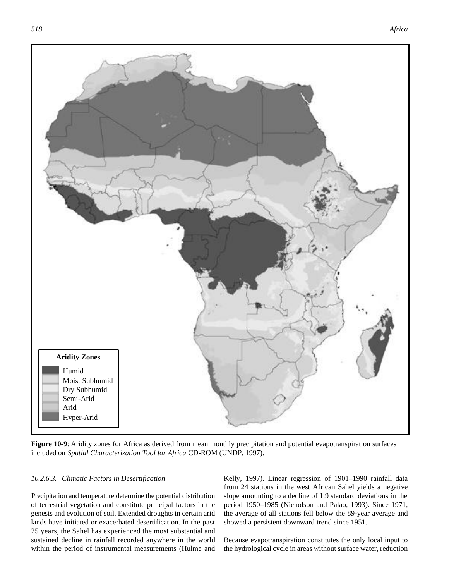

**Figure 10-9**: Aridity zones for Africa as derived from mean monthly precipitation and potential evapotranspiration surfaces included on *Spatial Characterization Tool for Africa* CD-ROM (UNDP, 1997).

#### *10.2.6.3. Climatic Factors in Desertification*

Precipitation and temperature determine the potential distribution of terrestrial vegetation and constitute principal factors in the genesis and evolution of soil. Extended droughts in certain arid lands have initiated or exacerbated desertification. In the past 25 years, the Sahel has experienced the most substantial and sustained decline in rainfall recorded anywhere in the world within the period of instrumental measurements (Hulme and Kelly, 1997). Linear regression of 1901–1990 rainfall data from 24 stations in the west African Sahel yields a negative slope amounting to a decline of 1.9 standard deviations in the period 1950–1985 (Nicholson and Palao, 1993). Since 1971, the average of all stations fell below the 89-year average and showed a persistent downward trend since 1951.

Because evapotranspiration constitutes the only local input to the hydrological cycle in areas without surface water, reduction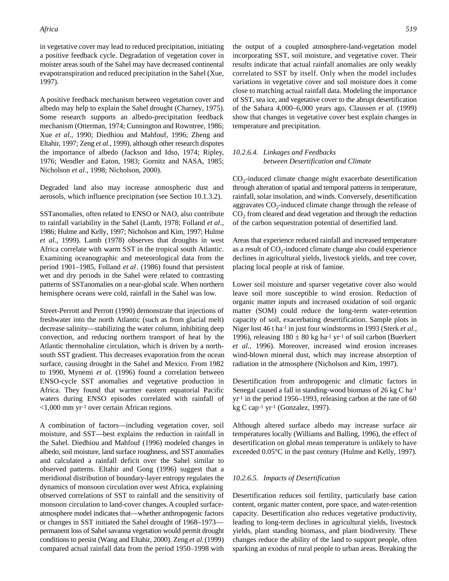#### *Africa 519*

in vegetative cover may lead to reduced precipitation, initiating a positive feedback cycle. Degradation of vegetation cover in moister areas south of the Sahel may have decreased continental evapotranspiration and reduced precipitation in the Sahel (Xue, 1997).

A positive feedback mechanism between vegetation cover and albedo may help to explain the Sahel drought (Charney, 1975). Some research supports an albedo-precipitation feedback mechanism (Otterman, 1974; Cunnington and Rowntree, 1986; Xue *et al*., 1990; Diedhiou and Mahfouf, 1996; Zheng and Eltahir, 1997; Zeng *et al.*, 1999), although other research disputes the importance of albedo (Jackson and Idso, 1974; Ripley, 1976; Wendler and Eaton, 1983; Gornitz and NASA, 1985; Nicholson *et al*., 1998; Nicholson, 2000).

Degraded land also may increase atmospheric dust and aerosols, which influence precipitation (see Section 10.1.3.2).

SSTanomalies, often related to ENSO or NAO, also contribute to rainfall variability in the Sahel (Lamb, 1978; Folland *et al*., 1986; Hulme and Kelly, 1997; Nicholson and Kim, 1997; Hulme *et al*., 1999). Lamb (1978) observes that droughts in west Africa correlate with warm SST in the tropical south Atlantic. Examining oceanographic and meteorological data from the period 1901–1985, Folland *et al*. (1986) found that persistent wet and dry periods in the Sahel were related to contrasting patterns of SSTanomalies on a near-global scale. When northern hemisphere oceans were cold, rainfall in the Sahel was low.

Street-Perrott and Perrott (1990) demonstrate that injections of freshwater into the north Atlantic (such as from glacial melt) decrease salinity—stabilizing the water column, inhibiting deep convection, and reducing northern transport of heat by the Atlantic thermohaline circulation, which is driven by a northsouth SST gradient. This decreases evaporation from the ocean surface, causing drought in the Sahel and Mexico. From 1982 to 1990, Mynemi *et al*. (1996) found a correlation between ENSO-cycle SST anomalies and vegetative production in Africa. They found that warmer eastern equatorial Pacific waters during ENSO episodes correlated with rainfall of <1,000 mm yr-1 over certain African regions.

A combination of factors—including vegetation cover, soil moisture, and SST—best explains the reduction in rainfall in the Sahel. Diedhiou and Mahfouf (1996) modeled changes in albedo, soil moisture, land surface roughness, and SST anomalies and calculated a rainfall deficit over the Sahel similar to observed patterns. Eltahir and Gong (1996) suggest that a meridional distribution of boundary-layer entropy regulates the dynamics of monsoon circulation over west Africa, explaining observed correlations of SST to rainfall and the sensitivity of monsoon circulation to land-cover changes. A coupled surfaceatmosphere model indicates that—whether anthropogenic factors or changes in SST initiated the Sahel drought of 1968–1973 permanent loss of Sahel savanna vegetation would permit drought conditions to persist (Wang and Eltahir, 2000). Zeng *et al.* (1999) compared actual rainfall data from the period 1950–1998 with

the output of a coupled atmosphere-land-vegetation model incorporating SST, soil moisture, and vegetative cover. Their results indicate that actual rainfall anomalies are only weakly correlated to SST by itself. Only when the model includes variations in vegetative cover and soil moisture does it come close to matching actual rainfall data. Modeling the importance of SST, sea ice, and vegetative cover to the abrupt desertification of the Sahara 4,000–6,000 years ago, Claussen *et al.* (1999) show that changes in vegetative cover best explain changes in temperature and precipitation.

#### *10.2.6.4. Linkages and Feedbacks between Desertification and Climate*

CO<sup>2</sup> -induced climate change might exacerbate desertification through alteration of spatial and temporal patterns in temperature, rainfall, solar insolation, and winds. Conversely, desertification aggravates  $CO_2$ -induced climate change through the release of  $CO<sub>2</sub>$  from cleared and dead vegetation and through the reduction of the carbon sequestration potential of desertified land.

Areas that experience reduced rainfall and increased temperature as a result of  $CO_2$ -induced climate change also could experience declines in agricultural yields, livestock yields, and tree cover, placing local people at risk of famine.

Lower soil moisture and sparser vegetative cover also would leave soil more susceptible to wind erosion. Reduction of organic matter inputs and increased oxidation of soil organic matter (SOM) could reduce the long-term water-retention capacity of soil, exacerbating desertification. Sample plots in Niger lost 46 t ha-1 in just four windstorms in 1993 (Sterk *et al.,* 1996), releasing  $180 \pm 80$  kg ha<sup>-1</sup> yr<sup>-1</sup> of soil carbon (Buerkert *et al.,* 1996). Moreover, increased wind erosion increases wind-blown mineral dust, which may increase absorption of radiation in the atmosphere (Nicholson and Kim, 1997).

Desertification from anthropogenic and climatic factors in Senegal caused a fall in standing-wood biomass of  $26 \text{ kg C}$  ha<sup>-1</sup>  $yr<sup>-1</sup>$  in the period 1956–1993, releasing carbon at the rate of 60 kg C cap-1 yr-1 (Gonzalez, 1997).

Although altered surface albedo may increase surface air temperatures locally (Williams and Balling, 1996), the effect of desertification on global mean temperature is unlikely to have exceeded 0.05°C in the past century (Hulme and Kelly, 1997).

#### *10.2.6.5. Impacts of Desertification*

Desertification reduces soil fertility, particularly base cation content, organic matter content, pore space, and water-retention capacity. Desertification also reduces vegetative productivity, leading to long-term declines in agricultural yields, livestock yields, plant standing biomass, and plant biodiversity. These changes reduce the ability of the land to support people, often sparking an exodus of rural people to urban areas. Breaking the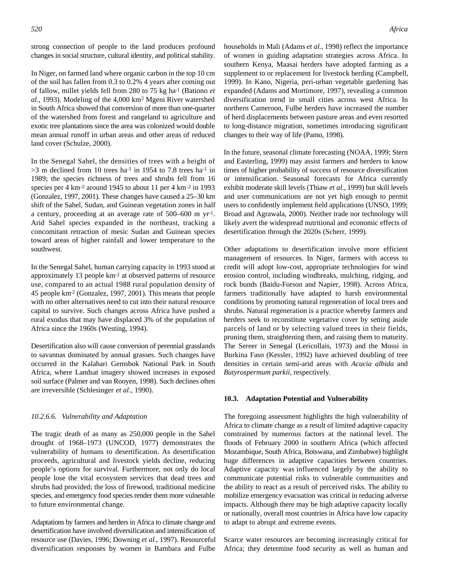strong connection of people to the land produces profound changes in social structure, cultural identity, and political stability.

In Niger, on farmed land where organic carbon in the top 10 cm of the soil has fallen from 0.3 to 0.2% 4 years after coming out of fallow, millet yields fell from 280 to 75 kg ha-1 (Bationo *et al.,* 1993). Modeling of the 4,000 km<sup>2</sup> Mgeni River watershed in South Africa showed that conversion of more than one-quarter of the watershed from forest and rangeland to agriculture and exotic tree plantations since the area was colonized would double mean annual runoff in urban areas and other areas of reduced land cover (Schulze, 2000).

In the Senegal Sahel, the densities of trees with a height of  $>3$  m declined from 10 trees ha<sup>-1</sup> in 1954 to 7.8 trees ha<sup>-1</sup> in 1989; the species richness of trees and shrubs fell from 16 species per 4 km-2 around 1945 to about 11 per 4 km-2 in 1993 (Gonzalez, 1997, 2001). These changes have caused a 25–30 km shift of the Sahel, Sudan, and Guinean vegetation zones in half a century, proceeding at an average rate of 500–600 m yr-1. Arid Sahel species expanded in the northeast, tracking a concomitant retraction of mesic Sudan and Guinean species toward areas of higher rainfall and lower temperature to the southwest.

In the Senegal Sahel, human carrying capacity in 1993 stood at approximately 13 people km-2 at observed patterns of resource use, compared to an actual 1988 rural population density of 45 people km<sup>2</sup> (Gonzalez, 1997, 2001). This means that people with no other alternatives need to cut into their natural resource capital to survive. Such changes across Africa have pushed a rural exodus that may have displaced 3% of the population of Africa since the 1960s (Westing, 1994).

Desertification also will cause conversion of perennial grasslands to savannas dominated by annual grasses. Such changes have occurred in the Kalahari Gemsbok National Park in South Africa, where Landsat imagery showed increases in exposed soil surface (Palmer and van Rooyen, 1998). Such declines often are irreversible (Schlesinger *et al*., 1990).

#### *10.2.6.6. Vulnerability and Adaptation*

The tragic death of as many as 250,000 people in the Sahel drought of 1968–1973 (UNCOD, 1977) demonstrates the vulnerability of humans to desertification. As desertification proceeds, agricultural and livestock yields decline, reducing people's options for survival. Furthermore, not only do local people lose the vital ecosystem services that dead trees and shrubs had provided; the loss of firewood, traditional medicine species, and emergency food species render them more vulnerable to future environmental change.

Adaptations by farmers and herders in Africa to climate change and desertification have involved diversification and intensification of resource use (Davies, 1996; Downing *et al*., 1997). Resourceful diversification responses by women in Bambara and Fulbe households in Mali (Adams *et al.,* 1998) reflect the importance of women in guiding adaptation strategies across Africa. In southern Kenya, Maasai herders have adopted farming as a supplement to or replacement for livestock herding (Campbell, 1999). In Kano, Nigeria, peri-urban vegetable gardening has expanded (Adams and Mortimore, 1997), revealing a common diversification trend in small cities across west Africa. In northern Cameroon, Fulbe herders have increased the number of herd displacements between pasture areas and even resorted to long-distance migration, sometimes introducing significant changes to their way of life (Pamo, 1998).

In the future, seasonal climate forecasting (NOAA, 1999; Stern and Easterling, 1999) may assist farmers and herders to know times of higher probability of success of resource diversification or intensification. Seasonal forecasts for Africa currently exhibit moderate skill levels (Thiaw *et al.,* 1999) but skill levels and user communications are not yet high enough to permit users to confidently implement field applications (UNSO, 1999; Broad and Agrawala, 2000). Neither trade nor technology will likely avert the widespread nutritional and economic effects of desertification through the 2020s (Scherr, 1999).

Other adaptations to desertification involve more efficient management of resources. In Niger, farmers with access to credit will adopt low-cost, appropriate technologies for wind erosion control, including windbreaks, mulching, ridging, and rock bunds (Baidu-Forson and Napier, 1998). Across Africa, farmers traditionally have adapted to harsh environmental conditions by promoting natural regeneration of local trees and shrubs. Natural regeneration is a practice whereby farmers and herders seek to reconstitute vegetative cover by setting aside parcels of land or by selecting valued trees in their fields, pruning them, straightening them, and raising them to maturity. The Sereer in Senegal (Lericollais, 1973) and the Mossi in Burkina Faso (Kessler, 1992) have achieved doubling of tree densities in certain semi-arid areas with *Acacia albida* and *Butyrospermum parkii*, respectively.

#### **10.3. Adaptation Potential and Vulnerability**

The foregoing assessment highlights the high vulnerability of Africa to climate change as a result of limited adaptive capacity constrained by numerous factors at the national level. The floods of February 2000 in southern Africa (which affected Mozambique, South Africa, Botswana, and Zimbabwe) highlight huge differences in adaptive capacities between countries. Adaptive capacity was influenced largely by the ability to communicate potential risks to vulnerable communities and the ability to react as a result of perceived risks. The ability to mobilize emergency evacuation was critical in reducing adverse impacts. Although there may be high adaptive capacity locally or nationally, overall most countries in Africa have low capacity to adapt to abrupt and extreme events.

Scarce water resources are becoming increasingly critical for Africa; they determine food security as well as human and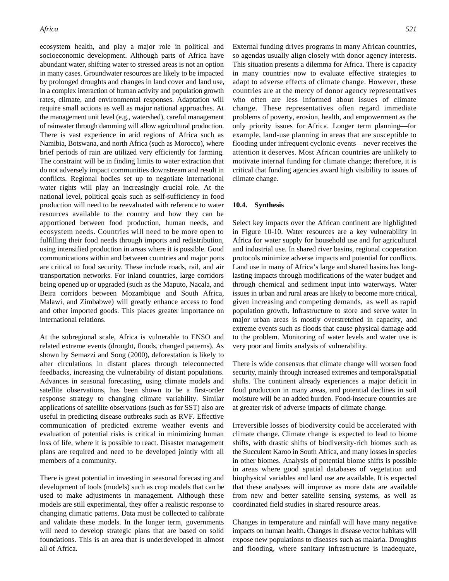ecosystem health, and play a major role in political and socioeconomic development. Although parts of Africa have abundant water, shifting water to stressed areas is not an option in many cases. Groundwater resources are likely to be impacted by prolonged droughts and changes in land cover and land use, in a complex interaction of human activity and population growth rates, climate, and environmental responses. Adaptation will require small actions as well as major national approaches. At the management unit level (e.g., watershed), careful management of rainwater through damming will allow agricultural production. There is vast experience in arid regions of Africa such as Namibia, Botswana, and north Africa (such as Morocco), where brief periods of rain are utilized very efficiently for farming. The constraint will be in finding limits to water extraction that do not adversely impact communities downstream and result in conflicts. Regional bodies set up to negotiate international water rights will play an increasingly crucial role. At the national level, political goals such as self-sufficiency in food production will need to be reevaluated with reference to water resources available to the country and how they can be apportioned between food production, human needs, and ecosystem needs. Countries will need to be more open to fulfilling their food needs through imports and redistribution, using intensified production in areas where it is possible. Good communications within and between countries and major ports are critical to food security. These include roads, rail, and air transportation networks. For inland countries, large corridors being opened up or upgraded (such as the Maputo, Nacala, and Beira corridors between Mozambique and South Africa, Malawi, and Zimbabwe) will greatly enhance access to food and other imported goods. This places greater importance on international relations.

At the subregional scale, Africa is vulnerable to ENSO and related extreme events (drought, floods, changed patterns). As shown by Semazzi and Song (2000), deforestation is likely to alter circulations in distant places through teleconnected feedbacks, increasing the vulnerability of distant populations. Advances in seasonal forecasting, using climate models and satellite observations, has been shown to be a first-order response strategy to changing climate variability. Similar applications of satellite observations (such as for SST) also are useful in predicting disease outbreaks such as RVF. Effective communication of predicted extreme weather events and evaluation of potential risks is critical in minimizing human loss of life, where it is possible to react. Disaster management plans are required and need to be developed jointly with all members of a community.

There is great potential in investing in seasonal forecasting and development of tools (models) such as crop models that can be used to make adjustments in management. Although these models are still experimental, they offer a realistic response to changing climatic patterns. Data must be collected to calibrate and validate these models. In the longer term, governments will need to develop strategic plans that are based on solid foundations. This is an area that is underdeveloped in almost all of Africa.

External funding drives programs in many African countries, so agendas usually align closely with donor agency interests. This situation presents a dilemma for Africa. There is capacity in many countries now to evaluate effective strategies to adapt to adverse effects of climate change. However, these countries are at the mercy of donor agency representatives who often are less informed about issues of climate change. These representatives often regard immediate problems of poverty, erosion, health, and empowerment as the only priority issues for Africa. Longer term planning—for example, land-use planning in areas that are susceptible to flooding under infrequent cyclonic events—never receives the attention it deserves. Most African countries are unlikely to motivate internal funding for climate change; therefore, it is critical that funding agencies award high visibility to issues of climate change.

#### **10.4. Synthesis**

Select key impacts over the African continent are highlighted in Figure 10-10. Water resources are a key vulnerability in Africa for water supply for household use and for agricultural and industrial use. In shared river basins, regional cooperation protocols minimize adverse impacts and potential for conflicts. Land use in many of Africa's large and shared basins has longlasting impacts through modifications of the water budget and through chemical and sediment input into waterways. Water issues in urban and rural areas are likely to become more critical, given increasing and competing demands, as well as rapid population growth. Infrastructure to store and serve water in major urban areas is mostly overstretched in capacity, and extreme events such as floods that cause physical damage add to the problem. Monitoring of water levels and water use is very poor and limits analysis of vulnerability.

There is wide consensus that climate change will worsen food security, mainly through increased extremes and temporal/spatial shifts. The continent already experiences a major deficit in food production in many areas, and potential declines in soil moisture will be an added burden. Food-insecure countries are at greater risk of adverse impacts of climate change.

Irreversible losses of biodiversity could be accelerated with climate change. Climate change is expected to lead to biome shifts, with drastic shifts of biodiversity-rich biomes such as the Succulent Karoo in South Africa, and many losses in species in other biomes. Analysis of potential biome shifts is possible in areas where good spatial databases of vegetation and biophysical variables and land use are available. It is expected that these analyses will improve as more data are available from new and better satellite sensing systems, as well as coordinated field studies in shared resource areas.

Changes in temperature and rainfall will have many negative impacts on human health. Changes in disease vector habitats will expose new populations to diseases such as malaria. Droughts and flooding, where sanitary infrastructure is inadequate,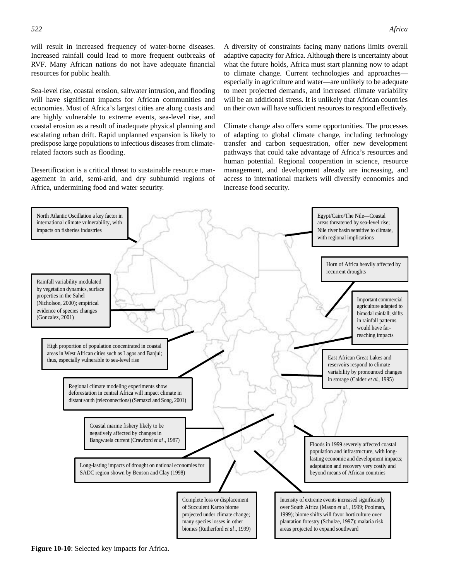will result in increased frequency of water-borne diseases. Increased rainfall could lead to more frequent outbreaks of RVF. Many African nations do not have adequate financial resources for public health.

Sea-level rise, coastal erosion, saltwater intrusion, and flooding will have significant impacts for African communities and economies. Most of Africa's largest cities are along coasts and are highly vulnerable to extreme events, sea-level rise, and coastal erosion as a result of inadequate physical planning and escalating urban drift. Rapid unplanned expansion is likely to predispose large populations to infectious diseases from climaterelated factors such as flooding.

Desertification is a critical threat to sustainable resource management in arid, semi-arid, and dry subhumid regions of Africa, undermining food and water security.

A diversity of constraints facing many nations limits overall adaptive capacity for Africa. Although there is uncertainty about what the future holds, Africa must start planning now to adapt to climate change. Current technologies and approaches especially in agriculture and water—are unlikely to be adequate to meet projected demands, and increased climate variability will be an additional stress. It is unlikely that African countries on their own will have sufficient resources to respond effectively.

Climate change also offers some opportunities. The processes of adapting to global climate change, including technology transfer and carbon sequestration, offer new development pathways that could take advantage of Africa's resources and human potential. Regional cooperation in science, resource management, and development already are increasing, and access to international markets will diversify economies and increase food security.



**Figure 10-10**: Selected key impacts for Africa.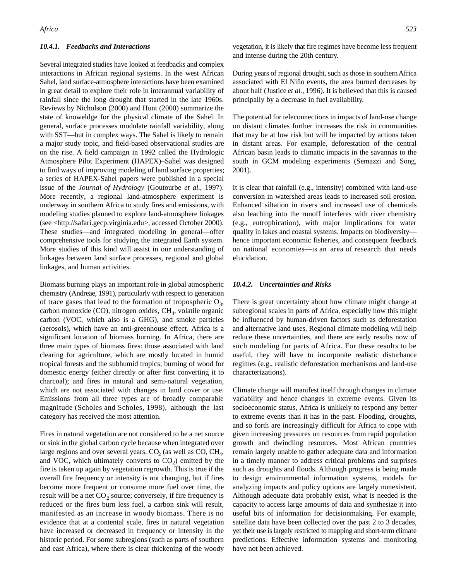#### *10.4.1. Feedbacks and Interactions*

Several integrated studies have looked at feedbacks and complex interactions in African regional systems. In the west African Sahel, land surface-atmosphere interactions have been examined in great detail to explore their role in interannual variability of rainfall since the long drought that started in the late 1960s. Reviews by Nicholson (2000) and Hunt (2000) summarize the state of knoweldge for the physical climate of the Sahel. In general, surface processes modulate rainfall variability, along with SST—but in complex ways. The Sahel is likely to remain a major study topic, and field-based observational studies are on the rise. A field campaign in 1992 called the Hydrologic Atmosphere Pilot Experiment (HAPEX)–Sahel was designed to find ways of improving modeling of land surface properties; a series of HAPEX-Sahel papers were published in a special issue of the *Journal of Hydrology* (Goutourbe *et al*., 1997). More recently, a regional land-atmosphere experiment is underway in southern Africa to study fires and emissions, with modeling studies planned to explore land-atmosphere linkages (see <http://safari.gecp.virginia.edu>, accessed October 2000). These studies—and integrated modeling in general—offer comprehensive tools for studying the integrated Earth system. More studies of this kind will assist in our understanding of linkages between land surface processes, regional and global linkages, and human activities.

Biomass burning plays an important role in global atmospheric chemistry (Andreae, 1991), particularly with respect to generation of trace gases that lead to the formation of tropospheric  $O_3$ , carbon monoxide (CO), nitrogen oxides, CH<sub>4</sub>, volatile organic carbon (VOC, which also is a GHG), and smoke particles (aerosols), which have an anti-greenhouse effect. Africa is a significant location of biomass burning. In Africa, there are three main types of biomass fires: those associated with land clearing for agriculture, which are mostly located in humid tropical forests and the subhumid tropics; burning of wood for domestic energy (either directly or after first converting it to charcoal); and fires in natural and semi-natural vegetation, which are not associated with changes in land cover or use. Emissions from all three types are of broadly comparable magnitude (Scholes and Scholes, 1998), although the last category has received the most attention.

Fires in natural vegetation are not considered to be a net source or sink in the global carbon cycle because when integrated over large regions and over several years,  $CO<sub>2</sub>$  (as well as  $CO$ ,  $CH<sub>4</sub>$ , and VOC, which ultimately converts to  $CO<sub>2</sub>$ ) emitted by the fire is taken up again by vegetation regrowth. This is true if the overall fire frequency or intensity is not changing, but if fires become more frequent or consume more fuel over time, the result will be a net  $CO_2$  source; conversely, if fire frequency is reduced or the fires burn less fuel, a carbon sink will result, manifested as an increase in woody biomass. There is no evidence that at a contental scale, fires in natural vegetation have increased or decreased in frequency or intensity in the historic period. For some subregions (such as parts of southern and east Africa), where there is clear thickening of the woody vegetation, it is likely that fire regimes have become less frequent and intense during the 20th century.

During years of regional drought, such as those in southern Africa associated with El Niño events, the area burned decreases by about half (Justice *et al.,* 1996). It is believed that this is caused principally by a decrease in fuel availability.

The potential for teleconnections in impacts of land-use change on distant climates further increases the risk in communities that may be at low risk but will be impacted by actions taken in distant areas. For example, deforestation of the central African basin leads to climatic impacts in the savannas to the south in GCM modeling experiments (Semazzi and Song, 2001).

It is clear that rainfall (e.g., intensity) combined with land-use conversion in watershed areas leads to increased soil erosion. Enhanced siltation in rivers and increased use of chemicals also leaching into the runoff interferes with river chemistry (e.g., eutrophication), with major implications for water quality in lakes and coastal systems. Impacts on biodiversity hence important economic fisheries, and consequent feedback on national economies—is an area of research that needs elucidation.

#### *10.4.2. Uncertainties and Risks*

There is great uncertainty about how climate might change at subregional scales in parts of Africa, especially how this might be influenced by human-driven factors such as deforestation and alternative land uses. Regional climate modeling will help reduce these uncertainties, and there are early results now of such modeling for parts of Africa. For these results to be useful, they will have to incorporate realistic disturbance regimes (e.g., realistic deforestation mechanisms and land-use characterizations).

Climate change will manifest itself through changes in climate variability and hence changes in extreme events. Given its socioeconomic status, Africa is unlikely to respond any better to extreme events than it has in the past. Flooding, droughts, and so forth are increasingly difficult for Africa to cope with given increasing pressures on resources from rapid population growth and dwindling resources. Most African countries remain largely unable to gather adequate data and information in a timely manner to address critical problems and surprises such as droughts and floods. Although progress is being made to design environmental information systems, models for analyzing impacts and policy options are largely nonexistent. Although adequate data probably exist, what is needed is the capacity to access large amounts of data and synthesize it into useful bits of information for decisionmaking. For example, satellite data have been collected over the past 2 to 3 decades, yet their use is largely restricted to mapping and short-term climate predictions. Effective information systems and monitoring have not been achieved.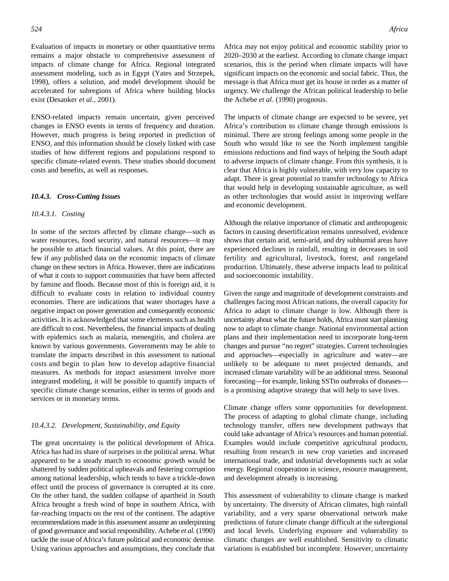Evaluation of impacts in monetary or other quantitative terms remains a major obstacle to comprehensive assessment of impacts of climate change for Africa. Regional integrated assessment modeling, such as in Egypt (Yates and Strzepek, 1998), offers a solution, and model development should be accelerated for subregions of Africa where building blocks exist (Desanker *et al.*, 2001).

ENSO-related impacts remain uncertain, given perceived changes in ENSO events in terms of frequency and duration. However, much progress is being reported in prediction of ENSO, and this information should be closely linked with case studies of how different regions and populations respond to specific climate-related events. These studies should document costs and benefits, as well as responses.

#### *10.4.3. Cross-Cutting Issues*

#### *10.4.3.1. Costing*

In some of the sectors affected by climate change—such as water resources, food security, and natural resources—it may be possible to attach financial values. At this point, there are few if any published data on the economic impacts of climate change on these sectors in Africa. However, there are indications of what it costs to support communities that have been affected by famine and floods. Because most of this is foreign aid, it is difficult to evaluate costs in relation to individual country economies. There are indications that water shortages have a negative impact on power generation and consequently economic activities. It is acknowledged that some elements such as health are difficult to cost. Nevertheless, the financial impacts of dealing with epidemics such as malaria, menengitis, and cholera are known by various governments. Governments may be able to translate the impacts described in this assessment to national costs and begin to plan how to develop adaptive financial measures. As methods for impact assessment involve more integrated modeling, it will be possible to quantify impacts of specific climate change scenarios, either in terms of goods and services or in monetary terms.

#### *10.4.3.2. Development, Sustainability, and Equity*

The great uncertainty is the political development of Africa. Africa has had its share of surprises in the political arena. What appeared to be a steady march to economic growth would be shattered by sudden political upheavals and festering corruption among national leadership, which tends to have a trickle-down effect until the process of governance is corrupted at its core. On the other hand, the sudden collapse of apartheid in South Africa brought a fresh wind of hope in southern Africa, with far-reaching impacts on the rest of the continent. The adaptive recommendations made in this assessment assume an underpinning of good governance and social responsibility. Achebe *et al.* (1990) tackle the issue of Africa's future political and economic demise. Using various approaches and assumptions, they conclude that Africa may not enjoy political and economic stability prior to 2020–2030 at the earliest. According to climate change impact scenarios, this is the period when climate impacts will have significant impacts on the economic and social fabric. Thus, the message is that Africa must get its house in order as a matter of urgency. We challenge the African political leadership to belie the Achebe *et al.* (1990) prognosis.

The impacts of climate change are expected to be severe, yet Africa's contribution to climate change through emissions is minimal. There are strong feelings among some people in the South who would like to see the North implement tangible emissions reductions and find ways of helping the South adapt to adverse impacts of climate change. From this synthesis, it is clear that Africa is highly vulnerable, with very low capacity to adapt. There is great potential to transfer technology to Africa that would help in developing sustainable agriculture, as well as other technologies that would assist in improving welfare and economic development.

Although the relative importance of climatic and anthropogenic factors in causing desertification remains unresolved, evidence shows that certain arid, semi-arid, and dry subhumid areas have experienced declines in rainfall, resulting in decreases in soil fertility and agricultural, livestock, forest, and rangeland production. Ultimately, these adverse impacts lead to political and socioeconomic instability.

Given the range and magnitude of development constraints and challenges facing most African nations, the overall capacity for Africa to adapt to climate change is low. Although there is uncertainty about what the future holds, Africa must start planning now to adapt to climate change. National environmental action plans and their implementation need to incorporate long-term changes and pursue "no regret" strategies. Current technologies and approaches—especially in agriculture and water—are unlikely to be adequate to meet projected demands, and increased climate variability will be an additional stress. Seasonal forecasting—for example, linking SSTto outbreaks of diseases is a promising adaptive strategy that will help to save lives.

Climate change offers some opportunities for development. The process of adapting to global climate change, including technology transfer, offers new development pathways that could take advantage of Africa's resources and human potential. Examples would include competitive agricultural products, resulting from research in new crop varieties and increased international trade, and industrial developments such as solar energy. Regional cooperation in science, resource management, and development already is increasing.

This assessment of vulnerability to climate change is marked by uncertainty. The diversity of African climates, high rainfall variability, and a very sparse observational network make predictions of future climate change difficult at the subregional and local levels. Underlying exposure and vulnerability to climatic changes are well established. Sensitivity to climatic variations is established but incomplete. However, uncertainty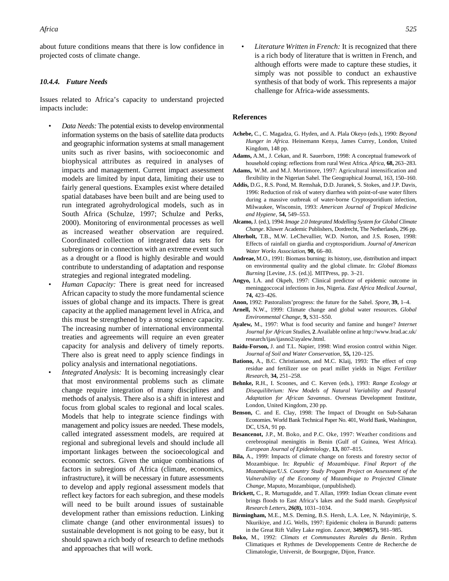about future conditions means that there is low confidence in projected costs of climate change.

#### *10.4.4. Future Needs*

Issues related to Africa's capacity to understand projected impacts include:

- *Data Needs:* The potential exists to develop environmental information systems on the basis of satellite data products and geographic information systems at small management units such as river basins, with socioeconomic and biophysical attributes as required in analyses of impacts and management. Current impact assessment models are limited by input data, limiting their use to fairly general questions. Examples exist where detailed spatial databases have been built and are being used to run integrated agrohydrological models, such as in South Africa (Schulze, 1997; Schulze and Perks, 2000). Monitoring of environmental processes as well as increased weather observation are required. Coordinated collection of integrated data sets for subregions or in connection with an extreme event such as a drought or a flood is highly desirable and would contribute to understanding of adaptation and response strategies and regional integrated modeling.
- *Human Capacity:* There is great need for increased African capacity to study the more fundamental science issues of global change and its impacts. There is great capacity at the applied management level in Africa, and this must be strengthened by a strong science capacity. The increasing number of international environmental treaties and agreements will require an even greater capacity for analysis and delivery of timely reports. There also is great need to apply science findings in policy analysis and international negotiations.
- *Integrated Analysis:* It is becoming increasingly clear that most environmental problems such as climate change require integration of many disciplines and methods of analysis. There also is a shift in interest and focus from global scales to regional and local scales. Models that help to integrate science findings with management and policy issues are needed. These models, called integrated assessment models, are required at regional and subregional levels and should include all important linkages between the socioecological and economic sectors. Given the unique combinations of factors in subregions of Africa (climate, economics, infrastructure), it will be necessary in future assessments to develop and apply regional assessment models that reflect key factors for each subregion, and these models will need to be built around issues of sustainable development rather than emissions reduction. Linking climate change (and other environmental issues) to sustainable development is not going to be easy, but it should spawn a rich body of research to define methods and approaches that will work.
- 
- Literature Written in French: It is recognized that there is a rich body of literature that is written in French, and although efforts were made to capture these studies, it simply was not possible to conduct an exhaustive synthesis of that body of work. This represents a major challenge for Africa-wide assessments.

#### **References**

- **Achebe,** C., C. Magadza, G. Hyden, and A. Plala Okeyo (eds.), 1990: *Beyond Hunger in Africa.* Heinemann Kenya, James Currey, London, United Kingdom, 148 pp.
- **Adams,** A.M., J. Cekan, and R. Sauerborn, 1998: A conceptual framework of household coping: reflections from rural West Africa. *Africa*, **68**, 263–283.
- Adams, W.M. and M.J. Mortimore, 1997: Agricultural intensification and flexibility in the Nigerian Sahel. The Geographical Journal, 163, 150-160.
- **Addis,** D.G., R.S. Pond, M. Remshak, D.D. Juranek, S. Stokes, and J.P. Davis, 1996: Reduction of risk of watery diarrhea with point-of-use water filters during a massive outbreak of water-borne Cryptosporidium infection, Milwaukee, Wisconsin, 1993: *American Journal of Tropical Medicine and Hygiene*, **54,** 549–553.
- Alcamo, J. (ed.), 1994: *Image 2.0 Integrated Modelling System for Global Climate* Change. Kluwer Academic Publishers, Dordrecht, The Netherlands, 296 pp.
- **Alterholt,** T.B., M.W. LeChevallier, W.D. Norton, and J.S. Rosen, 1998: Effects of rainfall on giardia and cryptosporidium. *Journal of American Water Works Association*, **90,** 66–80.
- Andreae, M.O., 1991: Biomass burning: its history, use, distribution and impact on environmental quality and the global climate. In: *Global Biomass Burning* [Levine, J.S. (ed.)]. MITPress, pp. 3–21.
- **Angyo,** I.A. and Okpeh, 1997: Clinical predictor of epidemic outcome in meninggoccocal infections in Jos, Nigeria. *East Africa Medical Journal*, **74,** 423–426.
- **Anon,** 1992: Pastoralists'progress: the future for the Sahel. *Spore,* **39,** 1–4.
- **Arnell,** N.W., 1999: Climate change and global water resources. *Global Environmental Change*, **9,** S31–S50.
- **Ayalew,** M., 1997: What is food security and famine and hunger? *Internet Journal for African Studies*, **2**.Available online at http://www.brad.ac.uk/ research/ijas/ijasno2/ayalew.html.
- **Baidu-Forson,** J. and T.L. Napier, 1998: Wind erosion control within Niger. *Journal of Soil and Water Conservation*, **55,** 120–125.
- **Bationo,** A., B.C. Christianson, and M.C. Klaij, 1993: The effect of crop residue and fertilizer use on pearl millet yields in Niger. *Fertilizer Research*, **34,** 251–258.
- **Behnke,** R.H., I. Scoones, and C. Kerven (eds.), 1993: *Range Ecology at Disequilibrium: New Models of Natural Variability and Pastoral Adaptation for African Savannas*. Overseas Development Institute, London, United Kingdom, 230 pp.
- **Benson,** C. and E. Clay, 1998: The Impact of Drought on Sub-Saharan Economies. World Bank Technical Paper No. 401, World Bank, Washington, DC, USA, 91 pp.
- **Besancenot, J.P., M. Boko, and P.C. Oke, 1997: Weather conditions and** cerebrospinal meningitis in Benin (Gulf of Guinea, West Africa). *European Journal of Epidemiology*, **13,** 807–815.
- **Bila,** A., 1999: Impacts of climate change on forests and forestry sector of Mozambique. In: *Republic of Mozambique. Final Report of the Mozambique/U.S. Country Study Progam Project on Assessment of the Vulnerability of the Economy of Mozambique to Projected Climate Change*, Maputo, Mozambique, (unpublished).
- **Brickett,** C., R. Murtugudde, and T. Allan, 1999: Indian Ocean climate event brings floods to East Africa's lakes and the Sudd marsh. *Geophysical Research Letters*, **26(8),** 1031–1034.
- **Birmingham,** M.E., M.S. Deming, B.S. Hersh, L.A. Lee, N. Ndayimirije, S. Nkurikiye, and J.G. Wells, 1997: Epidemic cholera in Burundi: patterns in the Great Rift Valley Lake region. *Lancet*, **349(9057),** 981–985.
- Boko, M., 1992: *Climats et Communautes Rurales du Benin*. Rythm Climatiques et Rythmes de Developpements Centre de Recherche de Climatologie, Universit, de Bourgogne, Dijon, France.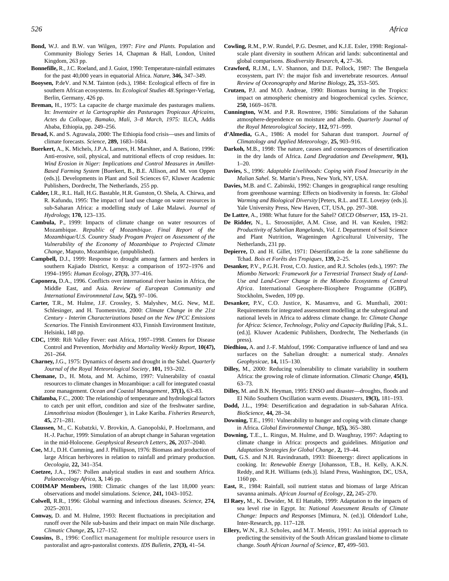- **Bond,** W.J. and B.W. van Wilgen, 1997: *Fire and Plants*. Population and Community Biology Series 14, Chapman & Hall, London, United Kingdom, 263 pp.
- Bonnefille, R., J.C. Roeland, and J. Guiot, 1990: Temperature-rainfall estimates for the past 40,000 years in equatorial Africa. *Nature*, **346,** 347–349.
- **Booysen,** P.deV. and N.M. Tainton (eds.), 1984: Ecological effects of fire in southern African ecosystems. In: *Ecological Studies 48*. Springer-Verlag, Berlin, Germany, 426 pp.
- **Breman,** H., 1975: La capacite de charge maximale des pasturages maliens. In: *Inventaire et la Cartographie des Pasturages Tropicaux Africains, Actes du Colloque, Bamako, Mali, 3–8 March, 1975:* ILCA, Addis Ababa, Ethiopia, pp. 249–256.
- **Broad,** K. and S. Agrawala, 2000: The Ethiopia food crisis—uses and limits of climate forecasts. *Science*, **289,** 1683–1684.
- **Buerkert,** A., K. Michels, J.P.A. Lamers, H. Marshner, and A. Bationo, 1996: Anti-erosive, soil, physical, and nutritional effects of crop residues. In: *Wind Erosion in Niger: Implications and Control Measures in Amillet-Based Farming System* [Buerkert, B., B.E. Allison, and M. von Oppen (eds.)]. Developments in Plant and Soil Sciences 67, Kluwer Academic Publishers, Dordrecht, The Netherlands, 255 pp.
- **Calder,** I.R., R.L. Hall, H.G. Bastable, H.R. Gunston, O. Shela, A. Chirwa, and R. Kafundu, 1995: The impact of land use change on water resources in sub-Saharan Africa: a modelling study of Lake Malawi. *Journal of Hydrology,* **170,** 123–135.
- Cambula, P., 1999: Impacts of climate change on water resources of Mozambique. *Republic of Mozambique. Final Report of the Mozambique/U.S. Country Study Progam Project on Assessment of the Vulnerability of the Economy of Mozambique to Projected Climate Change*, Maputo, Mozambique, (unpublished).
- **Campbell,** D.J., 1999: Response to drought among farmers and herders in southern Kajiado District, Kenya: a comparison of 1972–1976 and 1994–1995: *Human Ecology*, **27(3),** 377–416.
- **Caponera,** D.A., 1996. Conflicts over international river basins in Africa, the Middle East, and Asia. *Review of European Community and International Environmnetal Law,* **5(2)***,* 97–106.
- **Carter,** T.R., M. Hulme, J.F. Crossley, S. Malyshev, M.G. New, M.E. Schlesinger, and H. Tuomenvirta, 2000: *Climate Change in the 21st Century - Interim Characterizations based on the New IPCC Emissions Scenarios*. The Finnish Environment 433, Finnish Environment Institute, Helsinki, 148 pp.
- **CDC,** 1998: Rift Valley Fever: east Africa, 1997–1998. Centers for Disease Control and Prevention, *Morbidity and Mortality Weekly Report*, **10(47),** 261–264.
- **Charney,** J.G., 1975: Dynamics of deserts and drought in the Sahel. *Quarterly Journal of the Royal Meteorological Society*, **101,** 193–202.
- **Chemane,** D., H. Mota, and M. Achimo, 1997: Vulnerability of coastal resources to climate changes in Mozambique: a call for integrated coastal zone management. *Ocean and Coastal Management*, **37(1),** 63–83.
- Chifamba, F.C., 2000: The relationship of temperature and hydrological factors to catch per unit effort, condition and size of the freshwater sardine, *Limnothrissa miodon* (Boulenger ), in Lake Kariba. *Fisheries Research*, **45,** 271–281.
- Claussen, M., C. Kubatzki, V. Brovkin, A. Ganopolski, P. Hoelzmann, and H.-J. Pachur, 1999: Simulation of an abrupt change in Saharan vegetation in the mid-Holocene. *Geophysical Research Letters*, **26,** 2037–2040.
- **Coe,** M.J., D.H. Cumming, and J. Phillipson, 1976: Biomass and production of large African herbivores in relation to rainfall and primary production. *Oecologia*, **22,** 341–354.
- **Coetzee,** J.A., 1967: Pollen analytical studies in east and southern Africa. *Palaeoecology Africa*, **3,** 146 pp.
- **COHMAP Members,** 1988: Climatic changes of the last 18,000 years: observations and model simulations. *Science*, **241**, 1043–1052.
- **Colwell,** R.R., 1996: Global warming and infectious diseases. *Science*, **274,** 2025–2031.
- **Conway,** D. and M. Hulme, 1993: Recent fluctuations in precipitation and runoff over the Nile sub-basins and their impact on main Nile discharge. *Climatic Change*, **25,** 127–152.
- Cousins, B., 1996: Conflict management for multiple resource users in pastoralist and agro-pastoralist contexts. *IDS Bulletin*, 27(3), 41-54.
- **Cowling,** R.M., P.W. Rundel, P.G. Desmet, and K.J.E. Esler, 1998: Regionalscale plant diversity in southern African arid lands: subcontinental and global comparisons. *Biodiversity Research*, **4,** 27–36.
- **Crawford,** R.J.M., L.V. Shannon, and D.E. Pollock, 1987: The Benguela ecosystem, part IV: the major fish and invertebrate resources. *Annual Review of Oceonography and Marine Biology,* **25,** 353–505.
- **Crutzen,** P.J. and M.O. Andreae, 1990: Biomass burning in the Tropics: impact on atmospheric chemistry and biogeochemical cycles. *Science*, **250,** 1669–1678.
- **Cunnington,** W.M. and P.R. Rowntree, 1986: Simulations of the Saharan atmosphere-dependence on moisture and albedo. *Quarterly Journal of the Royal Meteorological Society*, **112,** 971–999.
- **d'Almedia,** G.A., 1986: A model for Saharan dust transport. *Journal of Climatology and Applied Meteorology*, **25,** 903–916.
- **Darkoh,** M.B., 1998: The nature, causes and consequences of desertification in the dry lands of Africa. *Land Degradation and Development*, **9(1),**  $1 - 20$ .
- **Davies,** S., 1996: *Adaptable Livelihoods: Coping with Food Insecurity in the Malian Sahel.* St. Martin's Press, New York, NY, USA.
- **Davies,** M.B. and C. Zabinski, 1992: Changes in geographical range resulting from greenhouse warming: Effects on biodiversity in forests. In: *Global Warming and Biological Diversity* [Peters, R.L. and T.E. Lovejoy (eds.)]. Yale University Press, New Haven, CT, USA, pp. 297–308.
- **De Lattre**, A., 1988: What future for the Sahel? *OECD Observer*, **153,** 19–21.
- **De Ridder,** N., L. Stroosnijder, A.M. Cisse, and H. van Keulen, 1982: *Productivity of Sahelian Rangelands, Vol. 1*. Department of Soil Science and Plant Nutrition, Wageningen Agricultural University, The Netherlands, 231 pp.
- **Depierre,** D. and H. Gillet, 1971: Désertification de la zone sahélienne du Tchad. *Bois et Forêts des Tropiques*, **139,** 2–25.
- **Desanker,** P.V., P.G.H. Frost, C.O. Justice, and R.J. Scholes (eds.), 1997: *The Miombo Network: Framework for a Terrestrial Transect Study of Land-Use and Land-Cover Change in the Miombo Ecosystems of Central* Africa. International Geosphere-Biosphere Programme (IGBP), Stockholm, Sweden, 109 pp.
- Desanker, P.V., C.O. Justice, K. Masamvu, and G. Munthali, 2001: Requirements for integrated assessment modelling at the subregional and national levels in Africa to address climate change. In: *Climate Change for Africa: Science, Technology, Policy and Capacity Building* [Pak, S.L. (ed.)]. Kluwer Academic Publishers, Dordrecht, The Netherlands (in press).
- **Diedhiou,** A. and J.-F. Mahfouf, 1996: Comparative influence of land and sea surfaces on the Sahelian drought: a numerical study. Annales *Geophysicae*, **14,** 115–130.
- **Dilley,** M., 2000: Reducing vulnerability to climate variability in southern Africa: the growing role of climate information. *Climatic Change*, **45(1),** 63–73.
- **Dilley,** M. and B.N. Heyman, 1995: ENSO and disaster—droughts, floods and El Niño Southern Oscillation warm events. *Disasters*, **19(3),** 181–193.
- **Dodd,** J.L., 1994: Desertification and degradation in sub-Saharan Africa. *BioScience*, **44,** 28–34.
- **Downing,** T.E., 1991: Vulnerability to hunger and coping with climate change in Africa. *Global Environmental Change*, **1(5),** 365–380.
- **Downing,** T.E., L. Ringus, M. Hulme, and D. Waughray, 1997: Adapting to climate change in Africa: prospects and guidelines. *Mitigation and Adaptation Strategies for Global Change*, **2,** 19–44.
- **Dutt,** G.S. and N.H. Ravindranath, 1993: Bioenergy: direct applications in cooking. In: *Renewable Energy* [Johansson, T.B., H. Kelly, A.K.N. Reddy, and R.H. Williams (eds.)]. Island Press, Washington, DC, USA, 1160 pp.
- **East,** R., 1984: Rainfall, soil nutrient status and biomass of large African savanna animals. *African Journal of Ecology*, **22,** 245–270.
- **El Raey,** M., K. Dewider, M. El Hattabb, 1999: Adaptation to the impacts of sea level rise in Egypt. In: *National Assessment Results of Climate Change: Impacts and Responses* [Mimura, N. (ed.)]. Oldendorf Luhe, Inter-Research, pp. 117–128.
- **Ellery,** W.N., R.J. Scholes, and M.T. Mentis, 1991: An initial approach to predicting the sensitivity of the South African grassland biome to climate change. *South African Journal of Science*, **87,** 499–503.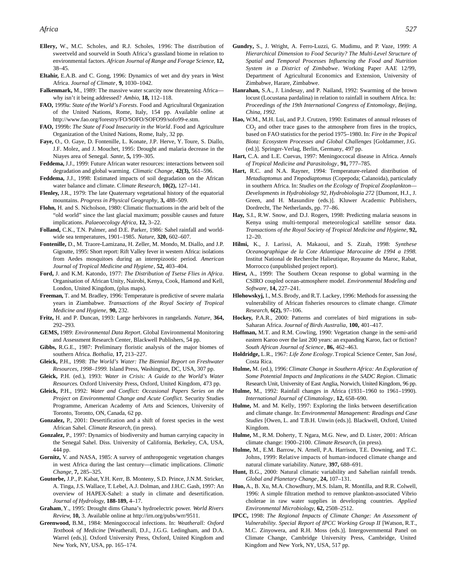- Ellery, W., M.C. Scholes, and R.J. Scholes, 1996: The distribution of sweetveld and sourveld in South Africa's grassland biome in relation to environmental factors. *African Journal of Range and Forage Science*, **12,** 38–45.
- **Eltahir,** E.A.B. and C. Gong, 1996: Dynamics of wet and dry years in West Africa. *Journal of Climate*, **9,** 1030–1042.
- **Falkenmark,** M., 1989: The massive water scarcity now threatening Africa why isn't it being addressed? *Ambio*, **18,** 112–118.
- **FAO,** 1999a: *State of the World's Forests*. Food and Agricultural Organization of the United Nations, Rome, Italy, 154 pp. Available online at http://www.fao.org/forestry/FO/SOFO/SOFO99/sofo99-e.stm.
- **FAO,** 1999b: *The State of Food Insecurity in the World*. Food and Agriculture Organization of the United Nations, Rome, Italy, 32 pp.
- **Faye,** O., O. Gaye, D. Fontenille, L. Konate, J.P. Herve, Y. Toure, S. Diallo, J.F. Molez, and J. Mouchet, 1995: Drought and malaria decrease in the Niayes area of Senegal. *Sante*, **5,** 199–305.
- **Feddema,** J.J., 1999: Future African water resources: interactions between soil degradation and global warming. *Climatic Change*, **42(3),** 561–596.
- **Feddema,** J.J., 1998: Estimated impacts of soil degradation on the African water balance and climate. C*limate Research*, **10(2),** 127–141.
- **Flenley,** J.R., 1979: The late Quaternary vegetational history of the equatorial mountains. *Progress in Physical Geography*, **3,** 488–509.
- **Flohn,** H. and S. Nicholson, 1980: Climatic fluctuations in the arid belt of the "old world" since the last glacial maximum; possible causes and future implications. *Palaeoecology Africa*, **12,** 3–22.
- **Folland,** C.K., T.N. Palmer, and D.E. Parker, 1986: Sahel rainfall and worldwide sea temperatures, 1901–1985. *Nature*, **320,** 602–607.
- **Fontenille,** D., M. Traore-Lamizana, H. Zeller, M. Mondo, M. Diallo, and J.P. Gigoutte, 1995: Short report: Rift Valley fever in western Africa: isolations from Aedes mosquitoes during an interepizootic period. American *Journal of Tropical Medicine and Hygiene*, **52,** 403–404.
- **Ford,** J. and K.M. Katondo, 1977: *The Distribution of Tsetse Flies in Africa*. Organisation of African Unity, Nairobi, Kenya, Cook, Hamond and Kell, London, United Kingdom, (plus maps).
- Freeman, T. and M. Bradley, 1996: Temperature is predictive of severe malaria years in Ziambabwe. *Transactions of the Royal Society of Tropical Medicine and Hygiene,* **90,** 232.
- **Fritz,** H. and P. Duncan, 1993: Large herbivores in rangelands. *Nature*, **364,** 292–293.
- **GEMS,** 1989: *Environmental Data Report*. Global Environmental Monitoring and Assessment Research Center, Blackwell Publishers, 54 pp.
- **Gibbs,** R.G.E., 1987: Preliminary floristic analysis of the major biomes of southern Africa. *Bothalia*, **17,** 213–227.
- **Gleick,** P.H., 1998: *The World's Water: The Biennial Report on Freshwater Resources, 1998–1999.* Island Press, Washington, DC, USA, 307 pp.
- **Gleick,** P.H. (ed.), 1993: *Water in Crisis: A Guide to the World's Water Resources*. Oxford University Press, Oxford, United Kingdom, 473 pp.
- **Gleick,** P.H., 1992: *Water and Conflict: Occasional Papers Series on the Project on Environmental Change and Acute Conflict*. Security Studies Programme, American Academy of Arts and Sciences, University of Toronto, Toronto, ON, Canada, 62 pp.
- **Gonzalez,** P., 2001: Desertification and a shift of forest species in the west African Sahel. *Climate Research*, (in press).
- **Gonzalez,** P., 1997: Dynamics of biodiversity and human carrying capacity in the Senegal Sahel. Diss. University of California, Berkeley, CA, USA, 444 pp.
- **Gornitz,** V. and NASA, 1985: A survey of anthropogenic vegetation changes in west Africa during the last century—climatic implications. *Climatic Change*, **7,** 285–325.
- **Goutorbe,** J.P., P. Kabat, Y.H. Kerr, B. Monteny, S.D. Prince, J.N.M. Stricker, A. Tinga, J.S. Wallace, T. Lebel, A.J. Dolman, and J.H.C. Gash, 1997: An overview of HAPEX-Sahel: a study in climate and desertification. *Journal of Hydrology,* **188-189,** 4–17.
- **Graham**, Y., 1995: Drought dims Ghana's hydroelectric power. *World Rivers Review,* **10,** 3. Available online at http://irn.org/pubs/wrr/9511.
- **Greenwood,** B.M., 1984: Meningoccocal infections. In: *Weatherall: Oxford Textbook of Medicine* [Weatherall, D.J., J.G.G. Ledingham, and D.A. Warrel (eds.)]. Oxford University Press, Oxford, United Kingdom and New York, NY, USA, pp. 165–174.
- **Gundry,** S., J. Wright, A. Ferro-Luzzi, G. Mudimu, and P. Vaze, 1999: *A Hierarchical Dimension to Food Security? The Multi-Level Structure of Spatial and Temporal Processes Influencing the Food and Nutrition System in a District of Zimbabwe*. Working Paper AAE 12/99, Department of Agricultural Economics and Extension, University of Zimbabwe, Harare, Zimbabwe.
- **Hanrahan,** S.A., J. Lindesay, and P. Nailand, 1992: Swarming of the brown locust (Locustana pardalina) in relation to rainfall in southern Africa. In: *Proceedings of the 19th International Congress of Entomology, Beijing, China, 1992.*
- **Hao,** W.M., M.H. Lui, and P.J. Crutzen, 1990: Estimates of annual releases of  $CO<sub>2</sub>$  and other trace gases to the atmosphere from fires in the tropics, based on FAO statistics for the period 1975–1980. In: *Fire in the Tropical Biota: Ecosystem Processes and Global Challenges* [Goldammer, J.G. (ed.)]. Springer-Verlag, Berlin, Germany, 497 pp.
- **Hart,** C.A. and L.E. Cuevas, 1997: Meningoccocal disease in Africa. *Annals of Tropical Medicine and Parasitology*, **91,** 777–785.
- **Hart,** R.C. and N.A. Rayner, 1994: Temperature-related distribution of *Metadiaptomus* and *Tropodiaptomus* (Copepoda; Calanoida), particularly in southern Africa. In: *Studies on the Ecology of Tropical Zooplankton*— *Developments in Hydrobiology 92, Hydrobiologia 272* [Dumont, H.J., J. Green, and H. Masundire (eds.)]. Kluwer Academic Publishers, Dordrecht, The Netherlands, pp. 77–86.
- **Hay,** S.I., R.W. Snow, and D.J. Rogers, 1998: Predicting malaria seasons in Kenya using multi-temporal meteorological satellite sensor data. *Transactions of the Royal Society of Tropical Medicine and Hygiene*, **92,** 12–20.
- Hilmi, K., J. Larissi, A. Makaoui, and S. Zizah, 1998: Synthese *Oceanographique de la Cote Atlantique Marocaine de 1994 a 1998.* Institut National de Recherche Halieutique, Royaume du Maroc, Rabat, Morrocco (unpublished project report).
- **Hirst,** A., 1999: The Southern Ocean response to global warming in the CSIRO coupled ocean-atmosphere model. *Environmental Modeling and Software*, **14,** 227–241.
- **Hlohowskyj,** I., M.S. Brody, and R.T. Lackey, 1996: Methods for assessing the vulnerability of African fisheries resources to climate change. *Climate Research*, **6(2),** 97–106.
- **Hockey,** P.A.R., 2000: Patterns and correlates of bird migrations in sub-Saharan Africa. *Journal of Birds Australia,* **100,** 401–417.
- **Hoffman,** M.T. and R.M. Cowling, 1990: Vegetation change in the semi-arid eastern Karoo over the last 200 years: an expanding Karoo, fact or fiction? *South African Journal of Science*, **86,** 462–463.
- **Holdridge,** L.R., 1967: *Life Zone Ecology*. Tropical Science Center, San José, Costa Rica.
- **Hulme,** M. (ed.), 1996: *Climate Change in Southern Africa: An Exploration of Some Potential Impacts and Implications in the SADC Region*. Climatic Research Unit, University of East Anglia, Norwich, United Kingdom, 96 pp.
- **Hulme,** M., 1992: Rainfall changes in Africa (1931–1960 to 1961–1990). *International Journal of Climatology*, **12,** 658–690.
- **Hulme,** M. and M. Kelly, 1997: Exploring the links between desertification and climate change. In: *Environmental Management: Readings and Case Studies* [Owen, L. and T.B.H. Unwin (eds.)]. Blackwell, Oxford, United Kingdom.
- **Hulme,** M., R.M. Doherty, T. Ngara, M.G. New, and D. Lister, 2001: African climate change: 1900–2100. *Climate Research*, (in press).
- **Hulme,** M., E.M. Barrow, N. Arnell, P.A. Harrison, T.E. Downing, and T.C. Johns, 1999: Relative impacts of human-induced climate change and natural climate variability. Nature, 397, 688-691.
- **Hunt,** B.G., 2000: Natural climatic variability and Sahelian rainfall trends. *Global and Planetary Change*, **24,** 107–131.
- **Huo,** A., B. Xu, M.A. Chowdhury, M.S. Islam, R. Montilla, and R.R. Colwell, 1996: A simple filtration method to remove plankton-associated Vibrio cholerae in raw water supplies in developing countries. *Applied Environmental Microbiology*, **62,** 2508–2512.
- **IPCC,** 1998: *The Regional Impacts of Climate Change: An Assessment of Vulnerability. Special Report of IPCC Working Group II* [Watson, R.T., M.C. Zinyowera, and R.H. Moss (eds.)]. Intergovernmental Panel on Climate Change, Cambridge University Press, Cambridge, United Kingdom and New York, NY, USA, 517 pp.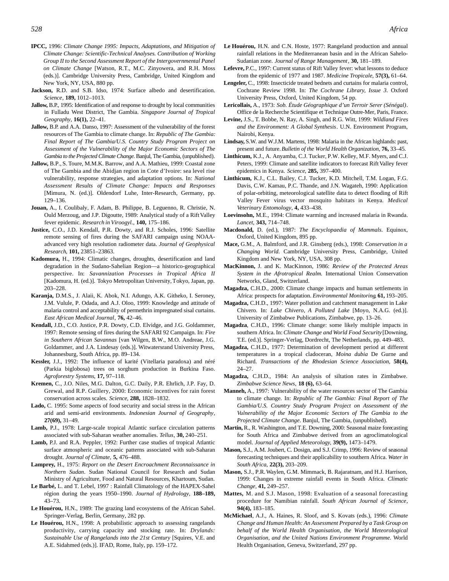- **IPCC,** 1996: *Climate Change 1995: Impacts, Adaptations, and Mitigation of Climate Change: Scientific-Technical Analyses. Contribution of Working Group II to the Second Assessment Report of the Intergovernmental Panel on Climate Change* [Watson, R.T., M.C. Zinyowera, and R.H. Moss (eds.)]. Cambridge University Press, Cambridge, United Kingdom and New York, NY, USA, 880 pp.
- **Jackson,** R.D. and S.B. Idso, 1974: Surface albedo and desertification. *Science*, **189,** 1012–1013.
- **Jallow, B.P., 1995: Identification of and response to drought by local communities** in Fulladu West District, The Gambia. *Singapore Journal of Tropical Geography*, **16(1),** 22–41.
- Jallow, B.P. and A.A. Danso, 1997: Assessment of the vulnerability of the forest resources of The Gambia to climate change. In: *Republic of The Gambia: Final Report of The Gambia/U.S. Country Study Program Project on Assessment of the Vulnerability of the Major Economic Sectors of The Gambia to the Projected Climate Change*. Banjul, The Gambia, (unpublished).
- **Jallow,** B.P., S. Toure, M.M.K. Barrow, and A.A. Mathieu, 1999: Coastal zone of The Gambia and the Abidjan region in Cote d'Ivoire: sea level rise vulnerability, response strategies, and adaptation options. In: *National Assessment Results of Climate Change: Impacts and Responses* [Mimura, N. (ed.)]. Oldendorf Luhe, Inter-Research, Germany, pp. 129–136.
- **Jouan,** A., I. Coulibaly, F. Adam, B. Philippe, B. Leguenno, R. Christie, N. Ould Merzoug, and J.P. Digoutte, 1989: Analytical study of a Rift Valley fever epidemic. *Research in Viroogyl.*, **140,** 175–186.
- **Justice,** C.O., J.D. Kendall, P.R. Dowty, and R.J. Scholes, 1996: Satellite remote sensing of fires during the SAFARI campaign using NOAAadvanced very high resolution radiometer data. *Journal of Geophysical Research*, **101,** 23851–23863.
- **Kadomura,** H., 1994: Climatic changes, droughts, desertification and land degradation in the Sudano-Sahelian Region—a historico-geographical perspective. In: *Savannization Processes in Tropical Africa II* [Kadomura, H. (ed.)]. Tokyo Metropolitan University, Tokyo, Japan, pp. 203–228.
- **Karanja,** D.M.S., J. Alaii, K. Abok, N.I. Adungo, A.K. Githeko, I. Seroney, J.M. Vulule, P. Odada, and A.J. Oloo, 1999: Knowledge and attitude of malaria control and acceptability of permethrin impregnated sisal curtains. *East African Medical Journal*, **76,** 42–46.
- **Kendall,** J.D., C.O. Justice, P.R. Dowty, C.D. Elvidge, and J.G. Goldammer, 1997: Remote sensing of fires during the SAFARI 92 Campaign. In: *Fire in Southern African Savannas* [van Wilgen, B.W., M.O. Andreae, J.G. Goldammer, and J.A. Lindesay (eds.)]. Witwatersrand University Press, Johannesburg, South Africa, pp. 89–134.
- **Kessler,** J.J., 1992: The influence of karité (Vitellaria paradoxa) and néré (Parkia biglobosa) trees on sorghum production in Burkina Faso. *Agroforestry Systems*, **17,** 97–118.
- **Kremen,** C., J.O. Niles, M.G. Dalton, G.C. Daily, P.R. Ehrlich, J.P. Fay, D. Grewal, and R.P. Guillery, 2000: Economic incentives for rain forest conservation across scales. *Science*, 288, 1828-1832.
- **Lado,** C. 1995: Some aspects of food security and social stress in the African arid and semi-arid environments. *Indonesian Journal of Geography*, **27(69),** 31–49.
- **Lamb,** P.J., 1978: Large-scale tropical Atlantic surface circulation patterns associated with sub-Saharan weather anomalies. *Tellus*, **30,** 240–251.
- **Lamb,** P.J. and R.A. Peppler, 1992: Further case studies of tropical Atlantic surface atmospheric and oceanic patterns associated with sub-Saharan drought. *Journal of Climate,* **5,** 476–488.
- **Lamprey,** H., 1975: *Report on the Desert Encroachment Reconnaissance in Northern Sudan*. Sudan National Council for Research and Sudan Ministry of Agriculture, Food and Natural Resources, Khartoum, Sudan.
- **Le Barbé,** L. and T. Lebel, 1997 : Rainfall Climatology of the HAPEX-Sahel région during the years 1950–1990. *Journal of Hydrology*, **188–189,** 43–73.
- **Le Houérou,** H.N., 1989: The grazing land ecosystems of the African Sahel. Springer-Verlag, Berlin, Germany, 282 pp.
- **Le Houérou,** H.N., 1998: A probabilistic approach to assessing rangelands productivity, carrying capacity and stocking rate. In: *Drylands*: *Sustainable Use of Rangelands into the 21st Century* [Squires, V.E. and A.E. Sidahmed (eds.)]. IFAD, Rome, Italy, pp. 159–172.
- **Le Houérou,** H.N. and C.N. Hoste, 1977: Rangeland production and annual rainfall relations in the Mediterranean basin and in the African Sahelo-Sudanian zone. *Journal of Range Management*, **30,** 181–189.
- **Lefevre,** P.C., 1997: Current status of Rift Valley fever: what lessons to deduce from the epidemic of 1977 and 1987. *Medicine Tropicale,* **57(3),** 61–64.
- **Lengeler, C.**, 1998: Insecticide treated bednets and curtains for malaria control, Cochrane Review 1998. In: *The Cochrane Library, Issue 3*. Oxford University Press, Oxford, United Kingdom, 54 pp.
- **Lericollais,** A., 1973: *Sob. Étude Géographique d'un Terroir Serer (Sénégal)*. Office de la Recherche Scientifique et Technique Outre-Mer, Paris, France.
- **Levine,** J.S., T. Bobbe, N. Ray, A. Singh, and R.G. Witt, 1999: *Wildland Fires and the Environment: A Global Synthesis*. U.N. Environment Program, Nairobi, Kenya.
- Lindsay, S.W. and W.J.M. Martens, 1998: Malaria in the African highlands: past, present and future. *Bulletin of the World Health Organization*, **76**, 33-45.
- **Linthicum,** K.J., A. Anyamba, C.J. Tucker, P.W. Kelley, M.F. Myers, and C.J. Peters, 1999: Climate and satellite indicators to forecast Rift Valley fever epidemics in Kenya. *Science*, **285,** 397–400.
- **Linthicum,** K.J., C.L. Bailey, C.J. Tucker, K.D. Mitchell, T.M. Logan, F.G. Davis, C.W. Kamau, P.C. Thande, and J.N. Wagateh, 1990: Application of polar-orbiting, meteorological satellite data to detect flooding of Rift Valley Fever virus vector mosquito habitats in Kenya. Medical *Veterinary Entomology*, **4,** 433–438.
- **Loevinsohn,** M.E., 1994: Climate warming and increased malaria in Rwanda. *Lancet*, **343,** 714–748.
- **Macdonald,** D. (ed.), 1987: *The Encyclopaedia of Mammals*. Equinox, Oxford, United Kingdom, 895 pp.
- **Mace,** G.M., A. Balmford, and J.R. Ginsberg (eds.), 1998: *Conservation in a Changing World.* Cambridge University Press, Cambridge, United Kingdom and New York, NY, USA, 308 pp.
- **MacKinnon,** J. and K. MacKinnon, 1986: *Review of the Protected Areas System in the Afrotropical Realm*. International Union Conservation Networks, Gland, Switzerland.
- **Magadza,** C.H.D., 2000: Climate change impacts and human settlements in Africa: prospects for adaptation. *Environmental Monitoring*, **61**, 193–205.
- **Magadza,** C.H.D., 1997: Water pollution and catchment management in Lake Chivero. In: *Lake Chivero, A Polluted Lake* [Moyo, N.A.G. (ed.)]. University of Zimbabwe Publications, Zimbabwe, pp. 13–26.
- **Magadza**, C.H.D., 1996: Climate change: some likely multiple impacts in southern Africa. In: *Climate Change and World Food Security* [Downing, T.E. (ed.)]. Springer-Verlag, Dordrecht, The Netherlands, pp. 449–483.
- **Magadza,** C.H.D., 1977: Determination of development period at different temperatures in a tropical cladoceran, *Moina dubia* De Gurne and Richard. *Transactions of the Rhodesian Science Association*, **58(4),** 24–27.
- **Magadza,** C.H.D., 1984: An analysis of siltation rates in Zimbabwe. *Zimbabwe Science News,* **18 (6),** 63–64.
- **Manneh,** A., 1997: Vulnerability of the water resources sector of The Gambia to climate change. In: *Republic of The Gambia: Final Report of The Gambia/U.S. Country Study Program Project on Assessment of the Vulnerability of the Major Economic Sectors of The Gambia to the Projected Climate Change*. Banjul, The Gambia, (unpublished).
- Martin, R., R. Washington, and T.E. Downing, 2000: Seasonal maize forecasting for South Africa and Zimbabwe derived from an agroclimatological model. *Journal of Applied Meteorology,* **39(9),** 1473–1479.
- **Mason, S.J., A.M. Joubert, C. Dosign, and S.J. Crimp, 1996: Review of seasonal** forecasting techniques and their applicability to southern Africa. *Water in South Africa*, **22(3),** 203–209.
- **Mason,** S.J., P.R. Waylen, G.M. Mimmack, B. Rajaratnam, and H.J. Harrison, 1999: Changes in extreme rainfall events in South Africa. *Climatic Change*, **41,** 249–257.
- **Mattes,** M. and S.J. Mason, 1998: Evaluation of a seasonal forecasting procedure for Namibian rainfall. South African Journal of Science, **94(4),** 183–185.
- **McMichael**, A.J., A. Haines, R. Sloof, and S. Kovats (eds.), 1996: *Climate Change and Human Health: An Assessment Prepared by a Task Group on behalf of the World Health Organisation, the World Meteorological Organisation, and the United Nations Environment Programme.* World Health Organisation, Geneva, Switzerland, 297 pp.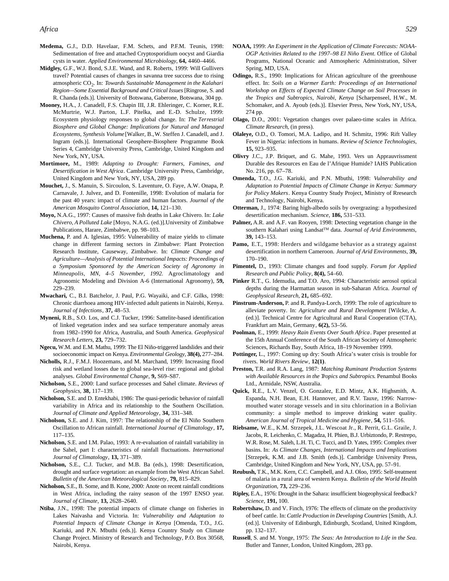- Medema, G.J., D.D. Havelaar, F.M. Schets, and P.F.M. Teunis, 1998: Sedimentation of free and attached Cryptosporidium oocyst and Giardia cysts in water. *Applied Environmental Microbiology*, **64,** 4460–4466.
- **Midgley,** G.F., W.J. Bond, S.J.E. Wand, and R. Roberts, 1999: Will Gullivers travel? Potential causes of changes in savanna tree success due to rising atmospheric CO<sub>2</sub>. In: *Towards Sustainable Management in the Kalahari Region—Some Essential Background and Critical Issues* [Ringrose, S. and R. Chanda (eds.)]. University of Botswana, Gaberone, Botswana, 304 pp.
- **Mooney,** H.A., J. Canadell, F.S. Chapin III, J.R. Ehleringer, C. Korner, R.E. McMurtrie, W.J. Parton, L.F. Pitelka, and E.-D. Schulze, 1999: Ecosystem physiology responses to global change. In: *The Terrestrial Biosphere and Global Change: Implications for Natural and Managed Ecosystems, Synthesis Volume* [Walker, B., W. Steffen J. Canadell, and J. Ingram (eds.)]. International Geosphere-Biosphere Programme Book Series 4, Cambridge University Press, Cambridge, United Kingdom and New York, NY, USA.
- Mortimore, M., 1989: *Adapting to Drought: Farmers, Famines, and Desertification in West Africa*. Cambridge University Press, Cambridge, United Kingdom and New York, NY, USA, 289 pp.
- **Mouchet,** J., S. Manuin, S. Sircoulon, S. Laventure, O. Faye, A.W. Onapa, P. Carnavale, J. Julvez, and D. Fontenille, 1998: Evolution of malaria for the past 40 years: impact of climate and human factors. *Journal of the American Mosquito Control Association*, **14,** 121–130.
- **Moyo,** N.A.G., 1997: Causes of massive fish deaths in Lake Chivero. In: *Lake Chivero, A Polluted Lake* [Moyo, N.A.G. (ed.)].University of Zimbabwe Publications, Harare, Zimbabwe, pp. 98–103.
- **Muchena,** P. and A. Iglesias, 1995: Vulnerability of maize yields to climate change in different farming sectors in Zimbabwe: Plant Protection Research Institute, Causeway, Zimbabwe. In: *Climate Change and Agriculture—Analysis of Potential International Impacts: Proceedings of a Symposium Sponsored by the American Society of Agronomy in Minneapolis, MN, 4–5 November, 1992.* Agroclimatology and Agronomic Modeling and Division A-6 (International Agronomy), **59,** 229–239.
- **Mwachari,** C., B.I. Batchelor, J. Paul, P.G. Wayaiki, and C.F. Gilks, 1998: Chronic diarrhoea among HIV-infected adult patients in Nairobi, Kenya. *Journal of Infections*, **37,** 48–53.
- **Myneni,** R.B., S.O. Los, and C.J. Tucker, 1996: Sattelite-based identification of linked vegetation index and sea surface temperature anomaly areas from 1982–1990 for Africa, Australia, and South America. *Geophysical Research Letters*, **23,** 729–732.
- **Ngecu ,** W.M. and E.M. Mathu, 1999: The El Niño-triggered landslides and their socioeconomic impact on Kenya. *Environmental Geology*, 38(4), 277-284.
- **Nicholls,** R.J., F.M.J. Hoozemans, and M. Marchand, 1999: Increasing flood risk and wetland losses due to global sea-level rise: regional and global analyses. *Global Environmental Change*, **9,** S69–S87.
- **Nicholson,** S.E., 2000: Land surface processes and Sahel climate. *Reviews of Geophysics*, **38,** 117–139.
- Nicholson, S.E. and D. Entekhabi, 1986: The quasi-periodic behavior of rainfall variability in Africa and its relationship to the Southern Oscillation. *Journal of Climate and Applied Meteorology*, **34,** 331–348.
- **Nicholson,** S.E. and J. Kim, 1997: The relationship of the El Niño Southern Oscillation to African rainfall. *International Journal of Climatology*, **17,** 117–135.
- **Nicholson,** S.E. and I.M. Palao, 1993: A re-evaluation of rainfall variability in the Sahel, part I: characteristics of rainfall fluctuations. *International Journal of Climatology*, **13,** 371–389.
- **Nicholson,** S.E., C.J. Tucker, and M.B. Ba (eds.), 1998: Desertification, drought and surface vegetation: an example from the West African Sahel. *Bulletin of the American Meteorological Society*, **79,** 815–829.
- Nicholson, S.E., B. Some, and B. Kone, 2000: Anote on recent rainfall conditions in West Africa, including the rainy season of the 1997 ENSO year. *Journal of Climate*, **13,** 2628–2640.
- **Ntiba**, J.N., 1998: The potential impacts of climate change on fisheries in Lakes Naivasha and Victoria. In: *Vulnerability and Adaptation to Potential Impacts of Climate Change in Kenya* [Omenda, T.O., J.G. Kariuki, and P.N. Mbuthi (eds.)]. Kenya Country Study on Climate Change Project. Ministry of Research and Technology, P.O. Box 30568, Nairobi, Kenya.
- **NOAA,** 1999: *An Experiment in the Application of Climate Forecasts: NOAA-OGP Activities Related to the 1997–98 El Niño Event.* Office of Global Programs, National Oceanic and Atmospheric Administration, Silver Spring, MD, USA.
- **Odingo,** R.S., 1990: Implications for African agriculture of the greenhouse effect. In: *Soils on a Warmer Earth: Proceedings of an International Workshop on Effects of Expected Climate Change on Soil Processes in the Tropics and Subtropics, Nairobi, Kenya* [Scharpenseel, H.W., M. Schomaker, and A. Ayoub (eds.)]. Elsevier Press, New York, NY, USA, 274 pp.
- **Olago,** D.O., 2001: Vegetation changes over palaeo-time scales in Africa. *Climate Research*, (in press).
- **Olaleye,** O.D., O. Tomori, M.A. Ladipo, and H. Schmitz, 1996: Rift Valley Fever in Nigeria: infections in humans. *Review of Science Technologies*, **15,** 923–935.
- **Olivry** J.C., J.P. Briquet, and G. Mahe, 1993. Vers un Apprauvrissment Durable des Resources en Eau de l'Afrique Humide? IAHS Publication No. 216, pp. 67–78.
- **Omenda,** T.O., J.G. Kariuki, and P.N. Mbuthi, 1998: *Vulnerability and Adaptation to Potential Impacts of Climate Change in Kenya: Summary for Policy Makers*. Kenya Country Study Project, Ministry of Rresearch and Technology, Nairobi, Kenya.
- **Otterman,** J., 1974: Baring high-albedo soils by overgrazing: a hypothesized desertification mechanism. *Science*, **186,** 531–533.
- **Palmer,** A.R. and A.F. van Rooyen, 1998: Detecting vegetation change in the southern Kalahari using LandsatTM data. *Journal of Arid Environments*, **39,** 143–153.
- Pamo, E.T., 1998: Herders and wildgame behavior as a strategy against desertification in northern Cameroon. *Journal of Arid Environments*, 39, 170–190.
- **Pimentel,** D., 1993: Climate changes and food supply. *Forum for Applied Research and Public Policy*, **8(4),** 54–60.
- **Pinker** R.T., G. Idemudia, and T.O. Aro, 1994: Characteristic aerosol optical depths during the Harmattan season in sub-Saharan Africa. *Journal of Geophysical Research,* **21,** 685–692.
- **Pinstrum-Anderson,** P. and R. Pandya-Lorch, 1999: The role of agriculture to alleviate poverty. In: *Agriculture and Rural Development* [Wilcke, A. (ed.)]. Technical Centre for Agricultural and Rural Cooperation (CTA), Frankfurt am Main, Germany, **6(2),** 53–56.
- **Poolman,** E., 1999: *Heavy Rain Events Over South Africa*. Paper presented at the 15th Annual Conference of the South African Society of Atmospheric Sciences, Richards Bay, South Africa, 18–19 November 1999.
- **Pottinger,** L., 1997: Coming up dry: South Africa's water crisis is trouble for rivers. *World Rivers Review*, **12(1)**.
- **Preston,** T.R. and R.A. Lang, 1987: *Matching Ruminant Production Systems with Available Resources in the Tropics and Subtropics*. Penambul Books Ltd., Armidale, NSW, Australia.
- **Quick,** R.E., L.V. Venzel, O. Gonzalez, E.D. Mintz, A.K. Highsmith, A. Espanda, N.H. Bean, E.H. Hannover, and R.V. Tauxe, 1996: Narrowmouthed water storage vessels and in situ chlorination in a Bolivian community: a simple method to improve drinking water quality. *American Journal of Tropical Medicine and Hygiene*, **54,** 511–516.
- **Riebsame,** W.E., K.M. Strzepek, J.L. Wescoat Jr., R. Perrit, G.L. Graile, J. Jacobs, R. Leichenko, C. Magadza, H. Phien, B.J. Urbiztondo, P. Restrepo, W.R. Rose, M. Saleh, L.H. Ti, C. Tucci, and D. Yates, 1995: Complex river basins. In: *As Climate Changes, International Impacts and Implications* [Strzepek, K.M. and J.B. Smith (eds.)]. Cambridge University Press, Cambridge, United Kingdom and New York, NY, USA, pp. 57–91.
- Reubush, T.K., M.K. Kern, C.C. Campbell, and A.J. Oloo, 1995: Self-treatment of malaria in a rural area of western Kenya. *Bulletin of the World Health Organization*, **73,** 229–236.
- **Ripley, E.A., 1976: Drought in the Sahara: insufficient biogeophysical feedback?** *Science*, **191,** 100.
- **Robertshaw,** D. and V. Finch, 1976: The effects of climate on the productivity of beef cattle. In: *Cattle Production in Developing Countries* [Smith, A.J. (ed.)]. University of Edinburgh, Edinburgh, Scotland, United Kingdom, pp. 132–137.
- **Russell**, S. and M. Yonge, 1975: *The Seas: An Introduction to Life in the Sea*. Butler and Tanner, London, United Kingdom, 283 pp.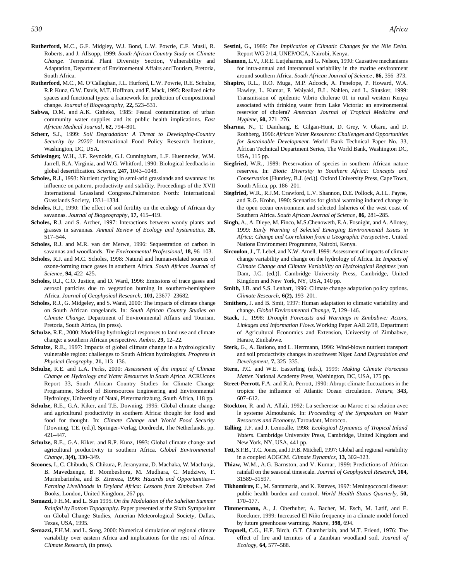- **Rutherford,** M.C., G.F. Midgley, W.J. Bond, L.W. Powrie, C.F. Musil, R. Roberts, and J. Allsopp, 1999: *South African Country Study on Climate* Change. Terrestrial Plant Diversity Section, Vulnerability and Adaptation, Department of Environmental Affairs and Tourism, Pretoria, South Africa.
- **Rutherford,** M.C., M. O'Callaghan, J.L. Hurford, L.W. Powrie, R.E. Schulze, R.P. Kunz, G.W. Davis, M.T. Hoffman, and F. Mack, 1995: Realized niche spaces and functional types: a framework for prediction of compositional change. *Journal of Biogeography*, **22,** 523–531.
- Sabwa, D.M. and A.K. Githeko, 1985: Feacal contamination of urban community water supplies and its public health implications. *East African Medical Journal*, **62,** 794–801.
- Scherr, S.J., 1999: Soil Degradation: A Threat to Developing-Country *Security by 2020?* International Food Policy Research Institute, Washington, DC, USA.
- **Schlesinger,** W.H., J.F. Reynolds, G.I. Cunningham, L.F. Huennecke, W.M. Jarrell, R.A. Virginia, and W.G. Whitford, 1990: Biological feedbacks in global desertification. *Science*, **247,** 1043–1048.
- **Scholes,** R.J., 1993: Nutrient cycling in semi-arid grasslands and savannas: its influence on pattern, productivity and stability. Proceedings of the XVII International Grassland Congress.Palmerston North: International Grasslands Society, 1331–1334.
- **Scholes,** R.J., 1990: The effect of soil fertility on the ecology of African dry savannas. *Journal of Biogeography*, **17,** 415–419.
- **Scholes,** R.J. and S. Archer, 1997: Interactions between woody plants and grasses in savannas. *Annual Review of Ecology and Systematics*, **28,** 517–544.
- **Scholes,** R.J. and M.R. van der Merwe, 1996: Sequestration of carbon in savannas and woodlands. *The Environmental Professional*, **18,** 96–103.
- **Scholes,** R.J. and M.C. Scholes, 1998: Natural and human-related sources of ozone-forming trace gases in southern Africa. *South African Journal of Science*, **94,** 422–425.
- **Scholes,** R.J., C.O. Justice, and D. Ward, 1996: Emissions of trace gases and aerosol particles due to vegetation burning in southern-hemisphere Africa. *Journal of Geophysical Research*, **101,** 23677–23682.
- **Scholes,** R.J., G. Midgeley, and S. Wand, 2000: The impacts of climate change on South African rangelands. In: *South African Country Studies on Climate Change*. Department of Environmental Affairs and Tourism, Pretoria, South Africa, (in press).
- **Schulze,** R.E., 2000: Modelling hydrological responses to land use and climate change: a southern African perspective. *Ambio*, **29,** 12–22.
- **Schulze, R.E., 1997: Impacts of global climate change in a hydrologically** vulnerable region: challenges to South African hydrologists. *Progress in Physical Geography*, **21,** 113–136.
- **Schulze,** R.E. and L.A. Perks, 2000: *Assessment of the impact of Climate Change on Hydrology and Water Resources in South Africa*. ACRUcons Report 33, South African Country Studies for Climate Change Programme, School of Bioresources Engineering and Environmental Hydrology, University of Natal, Pietermaritzburg, South Africa, 118 pp.
- **Schulze,** R.E., G.A. Kiker, and T.E. Downing, 1995: Global climate change and agricultural productivity in southern Africa: thought for food and food for thought. In: *Climate Change and World Food Security* [Downing, T.E. (ed.)]. Springer-Verlag, Dordrecht, The Netherlands, pp. 421–447.
- **Schulze,** R.E., G.A. Kiker, and R.P. Kunz, 1993: Global climate change and agricultural productivity in southern Africa. *Global Environmental Change*, **3(4),** 330–349.
- **Scoones,** I., C. Chibudu, S. Chikura, P. Jeranyama, D. Machaka, W. Machanja, B. Mavedzenge, B. Mombeshora, M. Mudhara, C. Mudziwo, F. Murimbarimba, and B. Zirereza, 1996: *Hazards and Opportunities— Farming Livelihoods in Dryland Africa: Lessons from Zimbabwe*. Zed Books, London, United Kingdom, 267 pp.
- **Semazzi,** F.H.M. and L. Sun 1995. *On the Modulation of the Sahelian Summer Rainfall by Bottom Topography*. Paper presented at the Sixth Symposium on Global Change Studies, Amerian Meteorological Society, Dallas, Texas, USA, 1995.
- **Semazzi,** F.H.M. and L. Song, 2000: Numerical simulation of regional climate variability over eastern Africa and implications for the rest of Africa. *Climate Research*, (in press).
- **Sestini,** G.**,** 1989: *The Implication of Climatic Changes for the Nile Delta.* Report WG 2/14, UNEP/OCA, Nairobi, Kenya.
- Shannon, L.V., J.R.E. Lutjeharms, and G. Nelson, 1990: Causative mechanisms for intra-annual and interannual variability in the marine environment around southern Africa. *South African Journal of Science*, **86,** 356–373.
- **Shapiro,** R.L., R.O. Muga, M.P. Adcock, A. Penelope, P. Howard, W.A. Hawley, L. Kumar, P. Waiyaki, B.L. Nahlen, and L. Slutsker, 1999: Transmission of epidemic Vibrio cholerae 01 in rural western Kenya associated with drinking water from Lake Victoria: an environmental reservior of cholera? Amercian Journal of Tropical Medicine and *Hygiene*, **60,** 271–276.
- **Sharma**, N., T. Damhang, E. Gilgan-Hunt, D. Grey, V. Okaru, and D. Rothberg, 1996:*African Water Resources: Challenges and Opportunities for Sustainable Development*. World Bank Technical Paper No. 33, African Technical Department Series, The World Bank, Washington DC, USA, 115 pp.
- **Siegfried,** W.R., 1989: Preservation of species in southern African nature reserves. In: *Biotic Diversity in Southern Africa: Concepts and Conservation* [Huntley, B.J. (ed.)]. Oxford University Press, Cape Town, South Africa, pp. 186–201.
- **Siegfried,** W.R., R.J.M. Crawford, L.V. Shannon, D.E. Pollock, A.I.L. Payne, and R.G. Krohn, 1990: Scenarios for global warming induced change in the open ocean environment and selected fisheries of the west coast of Southern Africa. *South African Journal of Science*, **86,** 281–285.
- **Singh,** A., A. Dieye, M. Finco, M.S.Chenoweth, E.A. Fosnight, and A. Allotey, 1999: *Early Warning of Selected Emerging Environmental Issues in Africa: Change and Correlation from a Geographic Perspective*. United Nations Environment Programme, Nairobi, Kenya.
- **Sircoulon**, J., T. Lebel, and N.W. Arnell, 1999: Assessment of impacts of climate change variability and change on the hydrology of Africa. In: *Impacts of Climate Change and Climate Variability on Hydrological Regimes* [van Dam, J.C. (ed.)]. Cambridge University Press, Cambridge, United Kingdom and New York, NY, USA, 140 pp.
- **Smith,** J.B. and S.S. Lenhart, 1996: Climate change adaptation policy options. *Climate Research*, **6(2),** 193–201.
- **Smithers,** J. and B. Smit, 1997: Human adaptation to climatic variability and change. *Global Environmental Change*, **7,** 129–146.
- **Stack,** J., 1998: *Drought Forecasts and Warnings in Zimbabwe: Actors, Linkages and Information Flows*. Working Paper AAE 2/98, Department of Agricultural Economics and Extension, University of Zimbabwe, Harare, Zimbabwe.
- **Sterk,** G., A. Bationo, and L. Herrmann, 1996: Wind-blown nutrient transport and soil productivity changes in southwest Niger. *Land Degradation and Development*, **7,** 325–335.
- **Stern,** P.C. and W.E. Easterling (eds.), 1999: *Making Climate Forecasts Matter.* National Academy Press, Washington, DC, USA, 175 pp.
- **Street-Perrott,** F.A. and R.A. Perrott, 1990: Abrupt climate fluctuations in the tropics: the influence of Atlantic Ocean circulation. *Nature*, 343, 607–612.
- **Stockton**, R. and A. Allali, 1992: La secheresse au Maroc et sa relation avec le systeme Almoubarak. In: *Proceeding of the Symposium on Water Resources and Economy*. Taroudant, Morocco.
- **Talling**, J.F. and J. Lemoalle, 1998: *Ecological Dynamics of Tropical Inland Waters*. Cambridge University Press, Cambridge, United Kingdom and New York, NY, USA, 441 pp.
- Tett, S.F.B., T.C. Jones, and J.F.B. Mitchell, 1997: Global and regional variability in a coupled AOGCM. *Climate Dynamics*, **13,** 302–323.
- Thiaw, W.M., A.G. Barnston, and V. Kumar, 1999: Predictions of African rainfall on the seasonal timescale. *Journal of Geophysical Research*, 104, 31589–31597.
- **Tikhomirov, E., M. Santamaria, and K. Esteves, 1997: Meningoccocal disease:** public health burden and control. *World Health Status Quarterly*, **50,** 170–177.
- **Timmermann,** A., J. Oberhuber, A. Bacher, M. Esch, M. Latif, and E. Roeckner, 1999: Increased El Niño frequency in a climate model forced by future greenhouse warming. *Nature*, **398,** 694.
- **Trapnell,** C.G., H.F. Birch, G.T. Chamberlain, and M.T. Friend, 1976: The effect of fire and termites of a Zambian woodland soil. *Journal of Ecology*, **64,** 577–588.